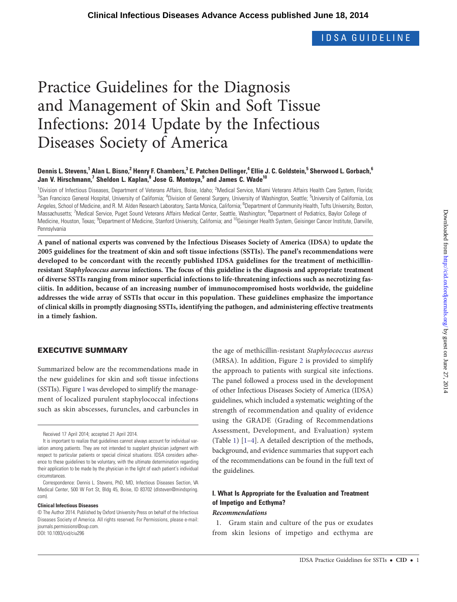## IDSA GUIDELINE

# Practice Guidelines for the Diagnosis and Management of Skin and Soft Tissue Infections: 2014 Update by the Infectious Diseases Society of America

#### Dennis L. Stevens,<sup>1</sup> Alan L. Bisno,<sup>2</sup> Henry F. Chambers,<sup>3</sup> E. Patchen Dellinger,<sup>4</sup> Ellie J. C. Goldstein,<sup>5</sup> Sherwood L. Gorbach,<sup>6</sup> Jan V. Hirschmann,<sup>7</sup> Sheldon L. Kaplan, $^8$  Jose G. Montoya, $^9$  and James C. Wade<sup>10</sup>

<sup>1</sup> Division of Infectious Diseases, Department of Veterans Affairs, Boise, Idaho; <sup>2</sup>Medical Service, Miami Veterans Affairs Health Care System, Florida;<br><sup>3</sup>San Francisco General Health University of Colifornia: <sup>4</sup>Divisi San Francisco General Hospital, University of California; <sup>4</sup>Division of General Surgery, University of Washington, Seattle; <sup>5</sup>University of California, Los Angeles, School of Medicine, and R. M. Alden Research Laboratory, Santa Monica, California; <sup>6</sup>Department of Community Health, Tufts University, Boston, Massachusetts; <sup>7</sup>Medical Service, Puget Sound Veterans Affairs Medical Center, Seattle, Washington; <sup>8</sup>Department of Pediatrics, Baylor College of Medicine, Houston, Texas; <sup>9</sup>Department of Medicine, Stanford University, California; and <sup>10</sup>Geisinger Health System, Geisinger Cancer Institute, Danville, Pennsylvania

A panel of national experts was convened by the Infectious Diseases Society of America (IDSA) to update the 2005 guidelines for the treatment of skin and soft tissue infections (SSTIs). The panel's recommendations were developed to be concordant with the recently published IDSA guidelines for the treatment of methicillinresistant Staphylococcus aureus infections. The focus of this guideline is the diagnosis and appropriate treatment of diverse SSTIs ranging from minor superficial infections to life-threatening infections such as necrotizing fasciitis. In addition, because of an increasing number of immunocompromised hosts worldwide, the guideline addresses the wide array of SSTIs that occur in this population. These guidelines emphasize the importance of clinical skills in promptly diagnosing SSTIs, identifying the pathogen, and administering effective treatments in a timely fashion.

#### EXECUTIVE SUMMARY

Summarized below are the recommendations made in the new guidelines for skin and soft tissue infections (SSTIs). Figure [1](#page-1-0) was developed to simplify the management of localized purulent staphylococcal infections such as skin abscesses, furuncles, and carbuncles in

#### Clinical Infectious Diseases

the age of methicillin-resistant Staphylococcus aureus (MRSA). In addition, Figure [2](#page-2-0) is provided to simplify the approach to patients with surgical site infections. The panel followed a process used in the development of other Infectious Diseases Society of America (IDSA) guidelines, which included a systematic weighting of the strength of recommendation and quality of evidence using the GRADE (Grading of Recommendations Assessment, Development, and Evaluation) system (Table [1](#page-3-0)) [[1](#page-36-0)–[4\]](#page-36-0). A detailed description of the methods, background, and evidence summaries that support each of the recommendations can be found in the full text of the guidelines.

#### I. What Is Appropriate for the Evaluation and Treatment of Impetigo and Ecthyma? Recommendations

1. Gram stain and culture of the pus or exudates from skin lesions of impetigo and ecthyma are

Received 17 April 2014; accepted 21 April 2014.

It is important to realize that guidelines cannot always account for individual variation among patients. They are not intended to supplant physician judgment with respect to particular patients or special clinical situations. IDSA considers adherence to these guidelines to be voluntary, with the ultimate determination regarding their application to be made by the physician in the light of each patient's individual circumstances.

Correspondence: Dennis L. Stevens, PhD, MD, Infectious Diseases Section, VA Medical Center, 500 W Fort St, Bldg 45, Boise, ID 83702 ([dlsteven@mindspring.](mailto:dlsteven@mindspring.com) [com](mailto:dlsteven@mindspring.com)).

<sup>©</sup> The Author 2014. Published by Oxford University Press on behalf of the Infectious Diseases Society of America. All rights reserved. For Permissions, please e-mail: [journals.permissions@oup.com](mailto:journals.permissions@oup.com). DOI: 10.1093/cid/ciu296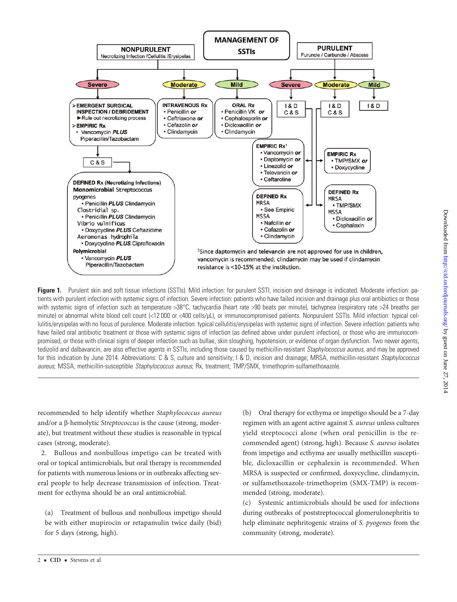<span id="page-1-0"></span>

Figure 1. Purulent skin and soft tissue infections (SSTIs). Mild infection: for purulent SSTI, incision and drainage is indicated. Moderate infection: patients with purulent infection with systemic signs of infection. Severe infection: patients who have failed incision and drainage plus oral antibiotics or those with systemic signs of infection such as temperature >38°C, tachycardia (heart rate >90 beats per minute), tachypnea (respiratory rate >24 breaths per minute) or abnormal white blood cell count (<12 000 or <400 cells/µL), or immunocompromised patients. Nonpurulent SSTIs. Mild infection: typical cellulitis/erysipelas with no focus of purulence. Moderate infection: typical cellulitis/erysipelas with systemic signs of infection. Severe infection: patients who have failed oral antibiotic treatment or those with systemic signs of infection (as defined above under purulent infection), or those who are immunocompromised, or those with clinical signs of deeper infection such as bullae, skin sloughing, hypotension, or evidence of organ dysfunction. Two newer agents, tedizolid and dalbavancin, are also effective agents in SSTIs, including those caused by methicillin-resistant Staphylococcus aureus, and may be approved for this indication by June 2014. Abbreviations: C & S, culture and sensitivity; I & D, incision and drainage; MRSA, methicillin-resistant Staphylococcus aureus; MSSA, methicillin-susceptible Staphylococcus aureus; Rx, treatment; TMP/SMX, trimethoprim-sulfamethoxazole.

recommended to help identify whether Staphylococcus aureus and/or a β-hemolytic Streptococcus is the cause (strong, moderate), but treatment without these studies is reasonable in typical cases (strong, moderate).

2. Bullous and nonbullous impetigo can be treated with oral or topical antimicrobials, but oral therapy is recommended for patients with numerous lesions or in outbreaks affecting several people to help decrease transmission of infection. Treatment for ecthyma should be an oral antimicrobial.

(a) Treatment of bullous and nonbullous impetigo should be with either mupirocin or retapamulin twice daily (bid) for 5 days (strong, high).

(b) Oral therapy for ecthyma or impetigo should be a 7-day regimen with an agent active against S. aureus unless cultures yield streptococci alone (when oral penicillin is the recommended agent) (strong, high). Because S. aureus isolates from impetigo and ecthyma are usually methicillin susceptible, dicloxacillin or cephalexin is recommended. When MRSA is suspected or confirmed, doxycycline, clindamycin, or sulfamethoxazole-trimethoprim (SMX-TMP) is recommended (strong, moderate).

(c) Systemic antimicrobials should be used for infections during outbreaks of poststreptococcal glomerulonephritis to help eliminate nephritogenic strains of S. pyogenes from the community (strong, moderate).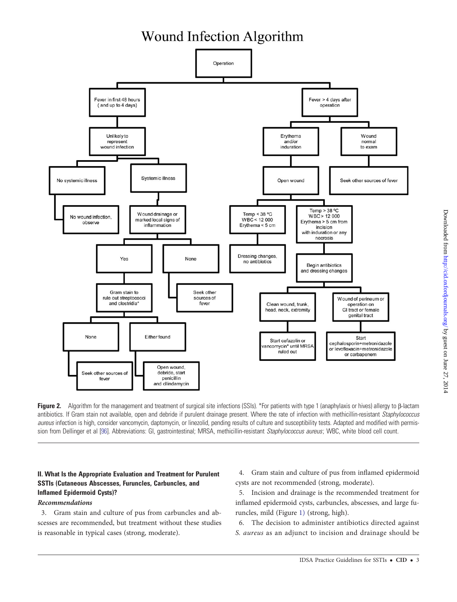# Wound Infection Algorithm

<span id="page-2-0"></span>

Figure 2. Algorithm for the management and treatment of surgical site infections (SSIs). \*For patients with type 1 (anaphylaxis or hives) allergy to β-lactam antibiotics. If Gram stain not available, open and debride if purulent drainage present. Where the rate of infection with methicillin-resistant Staphylococcus aureus infection is high, consider vancomycin, daptomycin, or linezolid, pending results of culture and susceptibility tests. Adapted and modified with permis-sion from Dellinger et al [\[96](#page-38-0)]. Abbreviations: GI, gastrointestinal; MRSA, methicillin-resistant Staphylococcus aureus; WBC, white blood cell count.

### II. What Is the Appropriate Evaluation and Treatment for Purulent SSTIs (Cutaneous Abscesses, Furuncles, Carbuncles, and Inflamed Epidermoid Cysts)?

#### Recommendations

3. Gram stain and culture of pus from carbuncles and abscesses are recommended, but treatment without these studies is reasonable in typical cases (strong, moderate).

4. Gram stain and culture of pus from inflamed epidermoid cysts are not recommended (strong, moderate).

5. Incision and drainage is the recommended treatment for inflamed epidermoid cysts, carbuncles, abscesses, and large furuncles, mild (Figure [1\)](#page-1-0) (strong, high).

6. The decision to administer antibiotics directed against S. aureus as an adjunct to incision and drainage should be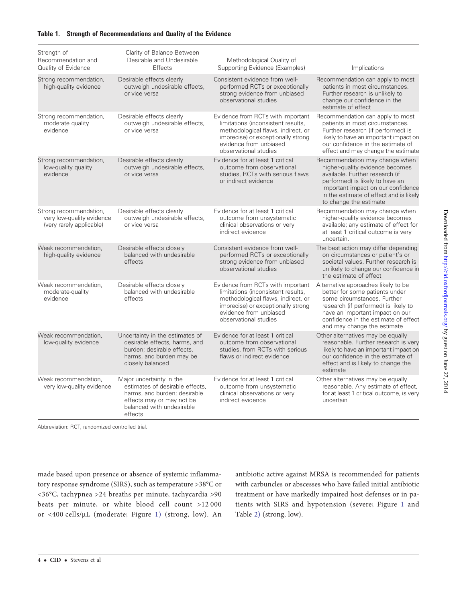| Strength of<br>Recommendation and<br>Quality of Evidence                        | Clarity of Balance Between<br>Desirable and Undesirable<br><b>Effects</b>                                                                                        | Methodological Quality of<br>Supporting Evidence (Examples)                                                                                                                                            | Implications                                                                                                                                                                                                                                           |
|---------------------------------------------------------------------------------|------------------------------------------------------------------------------------------------------------------------------------------------------------------|--------------------------------------------------------------------------------------------------------------------------------------------------------------------------------------------------------|--------------------------------------------------------------------------------------------------------------------------------------------------------------------------------------------------------------------------------------------------------|
| Strong recommendation,<br>high-quality evidence                                 | Desirable effects clearly<br>outweigh undesirable effects,<br>or vice versa                                                                                      | Consistent evidence from well-<br>performed RCTs or exceptionally<br>strong evidence from unbiased<br>observational studies                                                                            | Recommendation can apply to most<br>patients in most circumstances.<br>Further research is unlikely to<br>change our confidence in the<br>estimate of effect                                                                                           |
| Strong recommendation,<br>moderate quality<br>evidence                          | Desirable effects clearly<br>outweigh undesirable effects,<br>or vice versa                                                                                      | Evidence from RCTs with important<br>limitations (inconsistent results,<br>methodological flaws, indirect, or<br>imprecise) or exceptionally strong<br>evidence from unbiased<br>observational studies | Recommendation can apply to most<br>patients in most circumstances.<br>Further research (if performed) is<br>likely to have an important impact on<br>our confidence in the estimate of<br>effect and may change the estimate                          |
| Strong recommendation,<br>low-quality quality<br>evidence                       | Desirable effects clearly<br>outweigh undesirable effects,<br>or vice versa                                                                                      | Evidence for at least 1 critical<br>outcome from observational<br>studies, RCTs with serious flaws<br>or indirect evidence                                                                             | Recommendation may change when<br>higher-quality evidence becomes<br>available. Further research (if<br>performed) is likely to have an<br>important impact on our confidence<br>in the estimate of effect and is likely<br>to change the estimate     |
| Strong recommendation,<br>very low-quality evidence<br>(very rarely applicable) | Desirable effects clearly<br>outweigh undesirable effects,<br>or vice versa                                                                                      | Evidence for at least 1 critical<br>outcome from unsystematic<br>clinical observations or very<br>indirect evidence                                                                                    | Recommendation may change when<br>higher-quality evidence becomes<br>available; any estimate of effect for<br>at least 1 critical outcome is very<br>uncertain.                                                                                        |
| Weak recommendation,<br>high-quality evidence                                   | Desirable effects closely<br>balanced with undesirable<br>effects                                                                                                | Consistent evidence from well-<br>performed RCTs or exceptionally<br>strong evidence from unbiased<br>observational studies                                                                            | The best action may differ depending<br>on circumstances or patient's or<br>societal values. Further research is<br>unlikely to change our confidence in<br>the estimate of effect                                                                     |
| Weak recommendation,<br>moderate-quality<br>evidence                            | Desirable effects closely<br>balanced with undesirable<br>effects                                                                                                | Evidence from RCTs with important<br>limitations (inconsistent results,<br>methodological flaws, indirect, or<br>imprecise) or exceptionally strong<br>evidence from unbiased<br>observational studies | Alternative approaches likely to be<br>better for some patients under<br>some circumstances. Further<br>research (if performed) is likely to<br>have an important impact on our<br>confidence in the estimate of effect<br>and may change the estimate |
| Weak recommendation,<br>low-quality evidence                                    | Uncertainty in the estimates of<br>desirable effects, harms, and<br>burden; desirable effects,<br>harms, and burden may be<br>closely balanced                   | Evidence for at least 1 critical<br>outcome from observational<br>studies, from RCTs with serious<br>flaws or indirect evidence                                                                        | Other alternatives may be equally<br>reasonable. Further research is very<br>likely to have an important impact on<br>our confidence in the estimate of<br>effect and is likely to change the<br>estimate                                              |
| Weak recommendation,<br>very low-quality evidence                               | Major uncertainty in the<br>estimates of desirable effects,<br>harms, and burden; desirable<br>effects may or may not be<br>balanced with undesirable<br>effects | Evidence for at least 1 critical<br>outcome from unsystematic<br>clinical observations or very<br>indirect evidence                                                                                    | Other alternatives may be equally<br>reasonable. Any estimate of effect,<br>for at least 1 critical outcome, is very<br>uncertain                                                                                                                      |

#### <span id="page-3-0"></span>Table 1. Strength of Recommendations and Quality of the Evidence

Abbreviation: RCT, randomized controlled trial.

made based upon presence or absence of systemic inflammatory response syndrome (SIRS), such as temperature >38°C or <36°C, tachypnea >24 breaths per minute, tachycardia >90 beats per minute, or white blood cell count >12 000 or <400 cells/µL (moderate; Figure [1\)](#page-1-0) (strong, low). An antibiotic active against MRSA is recommended for patients with carbuncles or abscesses who have failed initial antibiotic treatment or have markedly impaired host defenses or in patients with SIRS and hypotension (severe; Figure [1](#page-1-0) and Table [2\)](#page-4-0) (strong, low).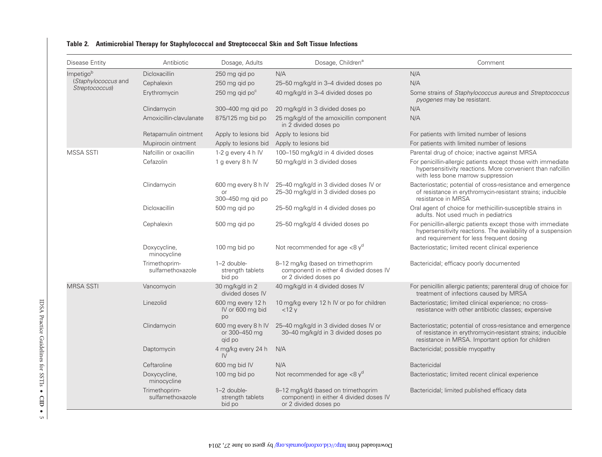| Disease Entity      | Antibiotic                        | Dosage, Adults                                 | Dosage, Children <sup>a</sup>                                                                           | Comment                                                                                                                                                                        |
|---------------------|-----------------------------------|------------------------------------------------|---------------------------------------------------------------------------------------------------------|--------------------------------------------------------------------------------------------------------------------------------------------------------------------------------|
| Impetigob           | Dicloxacillin                     | 250 mg qid po                                  | N/A                                                                                                     | N/A                                                                                                                                                                            |
| (Staphylococcus and | Cephalexin                        | 250 mg qid po                                  | 25-50 mg/kg/d in 3-4 divided doses po                                                                   | N/A                                                                                                                                                                            |
| Streptococcus)      | Erythromycin                      | $250 \text{ mg}$ gid po <sup>c</sup>           | 40 mg/kg/d in 3-4 divided doses po                                                                      | Some strains of Staphylococcus aureus and Streptococcus<br><i>pyogenes</i> may be resistant.                                                                                   |
|                     | Clindamycin                       | 300-400 mg qid po                              | 20 mg/kg/d in 3 divided doses po                                                                        | N/A                                                                                                                                                                            |
|                     | Amoxicillin-clavulanate           | 875/125 mg bid po                              | 25 mg/kg/d of the amoxicillin component<br>in 2 divided doses po                                        | N/A                                                                                                                                                                            |
|                     | Retapamulin ointment              | Apply to lesions bid                           | Apply to lesions bid                                                                                    | For patients with limited number of lesions                                                                                                                                    |
|                     | Mupirocin ointment                | Apply to lesions bid                           | Apply to lesions bid                                                                                    | For patients with limited number of lesions                                                                                                                                    |
| MSSA SSTI           | Nafcillin or oxacillin            | 1-2 g every 4 h IV                             | 100-150 mg/kg/d in 4 divided doses                                                                      | Parental drug of choice; inactive against MRSA                                                                                                                                 |
|                     | Cefazolin                         | 1 g every 8 h IV                               | 50 mg/kg/d in 3 divided doses                                                                           | For penicillin-allergic patients except those with immediate<br>hypersensitivity reactions. More convenient than nafcillin<br>with less bone marrow suppression                |
|                     | Clindamycin                       | 600 mg every 8 h IV<br>or<br>300-450 mg qid po | 25-40 mg/kg/d in 3 divided doses IV or<br>25-30 mg/kg/d in 3 divided doses po                           | Bacteriostatic; potential of cross-resistance and emergence<br>of resistance in erythromycin-resistant strains; inducible<br>resistance in MRSA                                |
|                     | Dicloxacillin                     | 500 mg gid po                                  | 25–50 mg/kg/d in 4 divided doses po                                                                     | Oral agent of choice for methicillin-susceptible strains in<br>adults. Not used much in pediatrics                                                                             |
|                     | Cephalexin                        | 500 mg gid po                                  | 25-50 mg/kg/d 4 divided doses po                                                                        | For penicillin-allergic patients except those with immediate<br>hypersensitivity reactions. The availability of a suspension<br>and requirement for less frequent dosing       |
|                     | Doxycycline,<br>minocycline       | 100 mg bid po                                  | Not recommended for age $<$ 8 y <sup>d</sup>                                                            | Bacteriostatic; limited recent clinical experience                                                                                                                             |
|                     | Trimethoprim-<br>sulfamethoxazole | $1-2$ double-<br>strength tablets<br>bid po    | 8–12 mg/kg (based on trimethoprim<br>component) in either 4 divided doses IV<br>or 2 divided doses po   | Bactericidal; efficacy poorly documented                                                                                                                                       |
| <b>MRSA SSTI</b>    | Vancomycin                        | 30 mg/kg/d in 2<br>divided doses IV            | 40 mg/kg/d in 4 divided doses IV                                                                        | For penicillin allergic patients; parenteral drug of choice for<br>treatment of infections caused by MRSA                                                                      |
|                     | Linezolid                         | 600 mg every 12 h<br>IV or 600 mg bid<br>po    | 10 mg/kg every 12 h IV or po for children<br>$<$ 12 $y$                                                 | Bacteriostatic; limited clinical experience; no cross-<br>resistance with other antibiotic classes; expensive                                                                  |
|                     | Clindamycin                       | 600 mg every 8 h IV<br>or 300-450 mg<br>gid po | 25-40 mg/kg/d in 3 divided doses IV or<br>30-40 mg/kg/d in 3 divided doses po                           | Bacteriostatic; potential of cross-resistance and emergence<br>of resistance in erythromycin-resistant strains; inducible<br>resistance in MRSA. Important option for children |
|                     | Daptomycin                        | 4 mg/kg every 24 h<br>IV                       | N/A                                                                                                     | Bactericidal; possible myopathy                                                                                                                                                |
|                     | Ceftaroline                       | 600 mg bid IV                                  | N/A                                                                                                     | <b>Bactericidal</b>                                                                                                                                                            |
|                     | Doxycycline,<br>minocycline       | 100 mg bid po                                  | Not recommended for age $<$ 8 y <sup>d</sup>                                                            | Bacteriostatic; limited recent clinical experience                                                                                                                             |
|                     | Trimethoprim-<br>sulfamethoxazole | $1-2$ double-<br>strength tablets<br>bid po    | 8-12 mg/kg/d (based on trimethoprim<br>component) in either 4 divided doses IV<br>or 2 divided doses po | Bactericidal; limited published efficacy data                                                                                                                                  |

### <span id="page-4-0"></span>Table 2. Antimicrobial Therapy for Staphylococcal and Streptococcal Skin and Soft Tissue Infections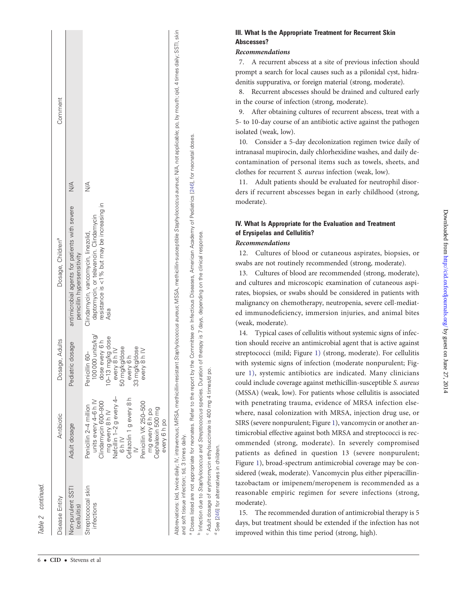| í |  |
|---|--|
|   |  |
|   |  |
|   |  |
|   |  |
|   |  |
|   |  |
|   |  |
|   |  |
| ٢ |  |
|   |  |
|   |  |
|   |  |
|   |  |
|   |  |
|   |  |
|   |  |
|   |  |

| isease Entity                    | Antibiotic                                                                                                                                                                                                                                 | Dosage, Adults                                                                                                                                           | Dosage, Children <sup>a</sup>                                                                                                       | Comment       |
|----------------------------------|--------------------------------------------------------------------------------------------------------------------------------------------------------------------------------------------------------------------------------------------|----------------------------------------------------------------------------------------------------------------------------------------------------------|-------------------------------------------------------------------------------------------------------------------------------------|---------------|
| Non-purulent SST<br>(cellulitis) | Adult dosage                                                                                                                                                                                                                               | Pediatric dosage                                                                                                                                         | antimicrobial agents for patients with severe<br>penicilin hypersensitivity                                                         | $\frac{1}{2}$ |
| Streptococcal skin<br>infections | Nafcillin 1-2 g every 4-<br>Cefazolin 1 g every 8 h<br>units every 4-6 h IV<br>Penicillin VK 250-500<br>Clindamycin 600-900<br>Penicillin 2-4 million<br>Cephalexin 500 mg<br>mg every 6 h po<br>mg every 8 h IV<br>every 6 h po<br>$6h$ N | 100 000 units/kg/<br>10-13 mg/kg dose<br>dose every 6 h<br>50 mg/kg/dose<br>every 8 h IV<br>33 mg/kg/dose<br>every 8 h IV<br>Penicillin 60-<br>every 6 h | resistance is <1% but may be increasing in<br>daptomycin, or telavancin. Clindamycin<br>Clindamycin, vancomycin, linezolid,<br>Asia | $\frac{1}{2}$ |

 Doses listed are not appropriate for neonates. Refer to the report by the Committee on Infectious Diseases, American Academy of Pediatrics [[246](#page-42-0)], for neonatal doses. Refer to the report by the Committee on Infectious Diseases, American Academy of Pediatrics [246], for neonatal doses Doses listed are not appropriate for neonates. and soft tissue infection; tid, 3 times daily. and soft tissue infection; tid, 3 times daily.

<sup>b</sup> Infection due to Staphylococcus and Streptococcus species. Duration of therapy is 7 days, depending on the clinical response. Infection due to Staphylococcus and Streptococcus species. Duration of therapy is 7 days, depending on the clinical response.

erythromycin ethylsuccinate is 400 mg 4 times/d po Adult dosage of erythromycin ethylsuccinate is 400 mg 4 times/d po. <sup>c</sup> Adult dosage of

<sup>d</sup> See [246] for alternatives in children. See [[246](#page-42-0)] for alternatives in children.

### III. What Is the Appropriate Treatment for Recurrent Skin Abscesses?

### Recommendations

7. A recurrent abscess at a site of previous infection should prompt a search for local causes such as a pilonidal cyst, hidradenitis suppurativa, or foreign material (strong, moderate).

8. Recurrent abscesses should be drained and cultured early in the course of infection (strong, moderate).

9. After obtaining cultures of recurrent abscess, treat with a 5- to 10-day course of an antibiotic active against the pathogen isolated (weak, low).

10. Consider a 5-day decolonization regimen twice daily of intranasal mupirocin, daily chlorhexidine washes, and daily decontamination of personal items such as towels, sheets, and clothes for recurrent S. aureus infection (weak, low).

11. Adult patients should be evaluated for neutrophil disorders if recurrent abscesses began in early childhood (strong, moderate).

### IV. What Is Appropriate for the Evaluation and Treatment of Erysipelas and Cellulitis?

### Recommendations

12. Cultures of blood or cutaneous aspirates, biopsies, or swabs are not routinely recommended (strong, moderate).

13. Cultures of blood are recommended (strong, moderate), and cultures and microscopic examination of cutaneous aspirates, biopsies, or swabs should be considered in patients with malignancy on chemotherapy, neutropenia, severe cell-mediated immunodeficiency, immersion injuries, and animal bites (weak, moderate).

14. Typical cases of cellulitis without systemic signs of infection should receive an antimicrobial agent that is active against streptococci (mild; Figure [1\)](#page-1-0) (strong, moderate). For cellulitis with systemic signs of infection (moderate nonpurulent; Figure [1\)](#page-1-0), systemic antibiotics are indicated. Many clinicians could include coverage against methicillin-susceptible S. aureus (MSSA) (weak, low). For patients whose cellulitis is associated with penetrating trauma, evidence of MRSA infection elsewhere, nasal colonization with MRSA, injection drug use, or SIRS (severe nonpurulent; Figure [1\)](#page-1-0), vancomycin or another antimicrobial effective against both MRSA and streptococci is recommended (strong, moderate). In severely compromised patients as defined in question 13 (severe nonpurulent; Figure [1](#page-1-0)), broad-spectrum antimicrobial coverage may be considered (weak, moderate). Vancomycin plus either piperacillintazobactam or imipenem/meropenem is recommended as a reasonable empiric regimen for severe infections (strong, moderate).

15. The recommended duration of antimicrobial therapy is 5 days, but treatment should be extended if the infection has not improved within this time period (strong, high).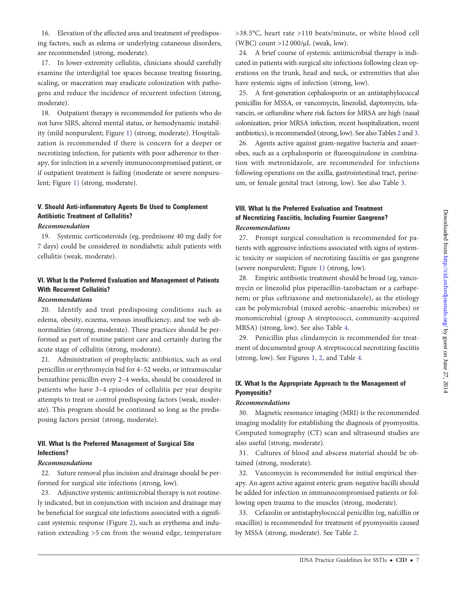16. Elevation of the affected area and treatment of predisposing factors, such as edema or underlying cutaneous disorders, are recommended (strong, moderate).

17. In lower-extremity cellulitis, clinicians should carefully examine the interdigital toe spaces because treating fissuring, scaling, or maceration may eradicate colonization with pathogens and reduce the incidence of recurrent infection (strong, moderate).

18. Outpatient therapy is recommended for patients who do not have SIRS, altered mental status, or hemodynamic instability (mild nonpurulent; Figure [1\)](#page-1-0) (strong, moderate). Hospitalization is recommended if there is concern for a deeper or necrotizing infection, for patients with poor adherence to therapy, for infection in a severely immunocompromised patient, or if outpatient treatment is failing (moderate or severe nonpurulent; Figure [1\)](#page-1-0) (strong, moderate).

#### V. Should Anti-inflammatory Agents Be Used to Complement Antibiotic Treatment of Cellulitis?

#### Recommendation

19. Systemic corticosteroids (eg, prednisone 40 mg daily for 7 days) could be considered in nondiabetic adult patients with cellulitis (weak, moderate).

#### VI. What Is the Preferred Evaluation and Management of Patients With Recurrent Cellulitis?

#### Recommendations

20. Identify and treat predisposing conditions such as edema, obesity, eczema, venous insufficiency, and toe web abnormalities (strong, moderate). These practices should be performed as part of routine patient care and certainly during the acute stage of cellulitis (strong, moderate).

21. Administration of prophylactic antibiotics, such as oral penicillin or erythromycin bid for 4–52 weeks, or intramuscular benzathine penicillin every 2–4 weeks, should be considered in patients who have 3–4 episodes of cellulitis per year despite attempts to treat or control predisposing factors (weak, moderate). This program should be continued so long as the predisposing factors persist (strong, moderate).

#### VII. What Is the Preferred Management of Surgical Site Infections?

#### Recommendations

22. Suture removal plus incision and drainage should be performed for surgical site infections (strong, low).

23. Adjunctive systemic antimicrobial therapy is not routinely indicated, but in conjunction with incision and drainage may be beneficial for surgical site infections associated with a significant systemic response (Figure [2\)](#page-2-0), such as erythema and induration extending >5 cm from the wound edge, temperature >38.5°C, heart rate >110 beats/minute, or white blood cell (WBC) count  $>12000/\mu$ L (weak, low).

24. A brief course of systemic antimicrobial therapy is indicated in patients with surgical site infections following clean operations on the trunk, head and neck, or extremities that also have systemic signs of infection (strong, low).

25. A first-generation cephalosporin or an antistaphylococcal penicillin for MSSA, or vancomycin, linezolid, daptomycin, telavancin, or ceftaroline where risk factors for MRSA are high (nasal colonization, prior MRSA infection, recent hospitalization, recent antibiotics), is recommended (strong, low). See also Tables [2](#page-4-0) and [3.](#page-18-0)

26. Agents active against gram-negative bacteria and anaerobes, such as a cephalosporin or fluoroquinolone in combination with metronidazole, are recommended for infections following operations on the axilla, gastrointestinal tract, perineum, or female genital tract (strong, low). See also Table [3.](#page-18-0)

### VIII. What Is the Preferred Evaluation and Treatment of Necrotizing Fasciitis, Including Fournier Gangrene? Recommendations

27. Prompt surgical consultation is recommended for patients with aggressive infections associated with signs of systemic toxicity or suspicion of necrotizing fasciitis or gas gangrene (severe nonpurulent; Figure [1\)](#page-1-0) (strong, low).

28. Empiric antibiotic treatment should be broad (eg, vancomycin or linezolid plus piperacillin-tazobactam or a carbapenem; or plus ceftriaxone and metronidazole), as the etiology can be polymicrobial (mixed aerobic–anaerobic microbes) or monomicrobial (group A streptococci, community-acquired MRSA) (strong, low). See also Table [4.](#page-19-0)

29. Penicillin plus clindamycin is recommended for treatment of documented group A streptococcal necrotizing fasciitis (strong, low). See Figures [1](#page-1-0), [2](#page-2-0), and Table [4](#page-19-0).

#### IX. What Is the Appropriate Approach to the Management of Pyomyositis?

#### Recommendations

30. Magnetic resonance imaging (MRI) is the recommended imaging modality for establishing the diagnosis of pyomyositis. Computed tomography (CT) scan and ultrasound studies are also useful (strong, moderate).

31. Cultures of blood and abscess material should be obtained (strong, moderate).

32. Vancomycin is recommended for initial empirical therapy. An agent active against enteric gram-negative bacilli should be added for infection in immunocompromised patients or following open trauma to the muscles (strong, moderate).

33. Cefazolin or antistaphylococcal penicillin (eg, nafcillin or oxacillin) is recommended for treatment of pyomyositis caused by MSSA (strong, moderate). See Table [2.](#page-4-0)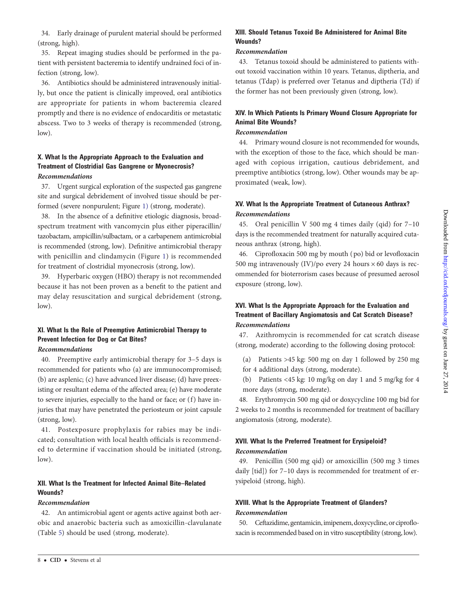34. Early drainage of purulent material should be performed (strong, high).

35. Repeat imaging studies should be performed in the patient with persistent bacteremia to identify undrained foci of infection (strong, low).

36. Antibiotics should be administered intravenously initially, but once the patient is clinically improved, oral antibiotics are appropriate for patients in whom bacteremia cleared promptly and there is no evidence of endocarditis or metastatic abscess. Two to 3 weeks of therapy is recommended (strong, low).

#### X. What Is the Appropriate Approach to the Evaluation and Treatment of Clostridial Gas Gangrene or Myonecrosis? Recommendations

37. Urgent surgical exploration of the suspected gas gangrene site and surgical debridement of involved tissue should be performed (severe nonpurulent; Figure [1\)](#page-1-0) (strong, moderate).

38. In the absence of a definitive etiologic diagnosis, broadspectrum treatment with vancomycin plus either piperacillin/ tazobactam, ampicillin/sulbactam, or a carbapenem antimicrobial is recommended (strong, low). Definitive antimicrobial therapy with penicillin and clindamycin (Figure [1\)](#page-1-0) is recommended for treatment of clostridial myonecrosis (strong, low).

39. Hyperbaric oxygen (HBO) therapy is not recommended because it has not been proven as a benefit to the patient and may delay resuscitation and surgical debridement (strong, low).

#### XI. What Is the Role of Preemptive Antimicrobial Therapy to Prevent Infection for Dog or Cat Bites? Recommendations

40. Preemptive early antimicrobial therapy for 3–5 days is recommended for patients who (a) are immunocompromised; (b) are asplenic; (c) have advanced liver disease; (d) have preexisting or resultant edema of the affected area; (e) have moderate to severe injuries, especially to the hand or face; or (f) have injuries that may have penetrated the periosteum or joint capsule (strong, low).

41. Postexposure prophylaxis for rabies may be indicated; consultation with local health officials is recommended to determine if vaccination should be initiated (strong, low).

### XII. What Is the Treatment for Infected Animal Bite–Related Wounds?

#### Recommendation

42. An antimicrobial agent or agents active against both aerobic and anaerobic bacteria such as amoxicillin-clavulanate (Table [5\)](#page-24-0) should be used (strong, moderate).

### XIII. Should Tetanus Toxoid Be Administered for Animal Bite Wounds?

### Recommendation

43. Tetanus toxoid should be administered to patients without toxoid vaccination within 10 years. Tetanus, diptheria, and tetanus (Tdap) is preferred over Tetanus and diptheria (Td) if the former has not been previously given (strong, low).

### XIV. In Which Patients Is Primary Wound Closure Appropriate for Animal Bite Wounds?

### Recommendation

44. Primary wound closure is not recommended for wounds, with the exception of those to the face, which should be managed with copious irrigation, cautious debridement, and preemptive antibiotics (strong, low). Other wounds may be approximated (weak, low).

### XV. What Is the Appropriate Treatment of Cutaneous Anthrax? Recommendations

45. Oral penicillin V 500 mg 4 times daily (qid) for 7–10 days is the recommended treatment for naturally acquired cutaneous anthrax (strong, high).

46. Ciprofloxacin 500 mg by mouth ( po) bid or levofloxacin 500 mg intravenously (IV)/po every 24 hours  $\times$  60 days is recommended for bioterrorism cases because of presumed aerosol exposure (strong, low).

### XVI. What Is the Appropriate Approach for the Evaluation and Treatment of Bacillary Angiomatosis and Cat Scratch Disease? Recommendations

47. Azithromycin is recommended for cat scratch disease (strong, moderate) according to the following dosing protocol:

- (a) Patients >45 kg: 500 mg on day 1 followed by 250 mg for 4 additional days (strong, moderate).
- (b) Patients <45 kg: 10 mg/kg on day 1 and 5 mg/kg for 4 more days (strong, moderate).

48. Erythromycin 500 mg qid or doxycycline 100 mg bid for 2 weeks to 2 months is recommended for treatment of bacillary angiomatosis (strong, moderate).

### XVII. What Is the Preferred Treatment for Erysipeloid? Recommendation

49. Penicillin (500 mg qid) or amoxicillin (500 mg 3 times daily [tid]) for 7–10 days is recommended for treatment of erysipeloid (strong, high).

### XVIII. What Is the Appropriate Treatment of Glanders? Recommendation

50. Ceftazidime, gentamicin, imipenem, doxycycline, or ciprofloxacin is recommended based on in vitro susceptibility (strong, low).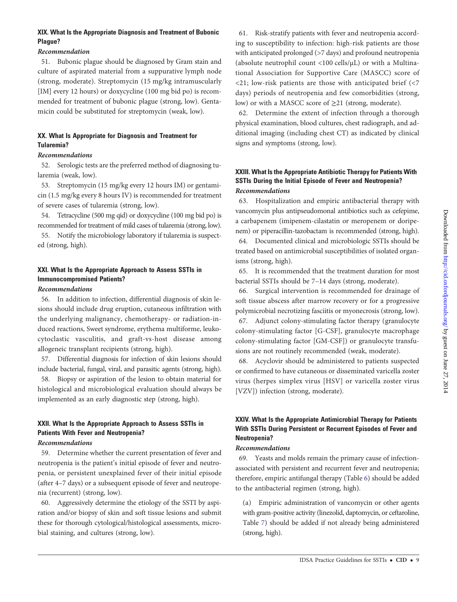### XIX. What Is the Appropriate Diagnosis and Treatment of Bubonic Plague?

#### Recommendation

51. Bubonic plague should be diagnosed by Gram stain and culture of aspirated material from a suppurative lymph node (strong, moderate). Streptomycin (15 mg/kg intramuscularly [IM] every 12 hours) or doxycycline (100 mg bid po) is recommended for treatment of bubonic plague (strong, low). Gentamicin could be substituted for streptomycin (weak, low).

### XX. What Is Appropriate for Diagnosis and Treatment for Tularemia?

#### Recommendations

52. Serologic tests are the preferred method of diagnosing tularemia (weak, low).

53. Streptomycin (15 mg/kg every 12 hours IM) or gentamicin (1.5 mg/kg every 8 hours IV) is recommended for treatment of severe cases of tularemia (strong, low).

54. Tetracycline (500 mg qid) or doxycycline (100 mg bid po) is recommended for treatment of mild cases of tularemia (strong, low). 55. Notify the microbiology laboratory if tularemia is suspected (strong, high).

### XXI. What Is the Appropriate Approach to Assess SSTIs in Immunocompromised Patients?

#### Recommendations

56. In addition to infection, differential diagnosis of skin lesions should include drug eruption, cutaneous infiltration with the underlying malignancy, chemotherapy- or radiation-induced reactions, Sweet syndrome, erythema multiforme, leukocytoclastic vasculitis, and graft-vs-host disease among allogeneic transplant recipients (strong, high).

57. Differential diagnosis for infection of skin lesions should include bacterial, fungal, viral, and parasitic agents (strong, high).

58. Biopsy or aspiration of the lesion to obtain material for histological and microbiological evaluation should always be implemented as an early diagnostic step (strong, high).

### XXII. What Is the Appropriate Approach to Assess SSTIs in Patients With Fever and Neutropenia?

#### Recommendations

59. Determine whether the current presentation of fever and neutropenia is the patient's initial episode of fever and neutropenia, or persistent unexplained fever of their initial episode (after 4–7 days) or a subsequent episode of fever and neutropenia (recurrent) (strong, low).

60. Aggressively determine the etiology of the SSTI by aspiration and/or biopsy of skin and soft tissue lesions and submit these for thorough cytological/histological assessments, microbial staining, and cultures (strong, low).

61. Risk-stratify patients with fever and neutropenia according to susceptibility to infection: high-risk patients are those with anticipated prolonged (>7 days) and profound neutropenia (absolute neutrophil count  $\langle 100 \text{ cells/}\mu L \rangle$  or with a Multinational Association for Supportive Care (MASCC) score of <21; low-risk patients are those with anticipated brief (<7 days) periods of neutropenia and few comorbidities (strong, low) or with a MASCC score of ≥21 (strong, moderate).

62. Determine the extent of infection through a thorough physical examination, blood cultures, chest radiograph, and additional imaging (including chest CT) as indicated by clinical signs and symptoms (strong, low).

### XXIII. What Is the Appropriate Antibiotic Therapy for Patients With SSTIs During the Initial Episode of Fever and Neutropenia? Recommendations

63. Hospitalization and empiric antibacterial therapy with vancomycin plus antipseudomonal antibiotics such as cefepime, a carbapenem (imipenem-cilastatin or meropenem or doripenem) or piperacillin-tazobactam is recommended (strong, high).

64. Documented clinical and microbiologic SSTIs should be treated based on antimicrobial susceptibilities of isolated organisms (strong, high).

65. It is recommended that the treatment duration for most bacterial SSTIs should be 7–14 days (strong, moderate).

66. Surgical intervention is recommended for drainage of soft tissue abscess after marrow recovery or for a progressive polymicrobial necrotizing fasciitis or myonecrosis (strong, low).

67. Adjunct colony-stimulating factor therapy (granulocyte colony-stimulating factor [G-CSF], granulocyte macrophage colony-stimulating factor [GM-CSF]) or granulocyte transfusions are not routinely recommended (weak, moderate).

68. Acyclovir should be administered to patients suspected or confirmed to have cutaneous or disseminated varicella zoster virus (herpes simplex virus [HSV] or varicella zoster virus [VZV]) infection (strong, moderate).

#### XXIV. What Is the Appropriate Antimicrobial Therapy for Patients With SSTIs During Persistent or Recurrent Episodes of Fever and Neutropenia?

#### Recommendations

69. Yeasts and molds remain the primary cause of infectionassociated with persistent and recurrent fever and neutropenia; therefore, empiric antifungal therapy (Table [6\)](#page-31-0) should be added to the antibacterial regimen (strong, high).

(a) Empiric administration of vancomycin or other agents with gram-positive activity (linezolid, daptomycin, or ceftaroline, Table [7](#page-32-0)) should be added if not already being administered (strong, high).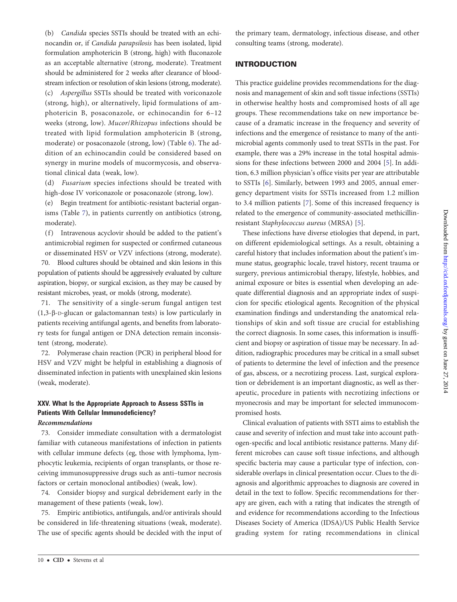(b) Candida species SSTIs should be treated with an echinocandin or, if Candida parapsilosis has been isolated, lipid formulation amphotericin B (strong, high) with fluconazole as an acceptable alternative (strong, moderate). Treatment should be administered for 2 weeks after clearance of bloodstream infection or resolution of skin lesions (strong, moderate). (c) Aspergillus SSTIs should be treated with voriconazole (strong, high), or alternatively, lipid formulations of amphotericin B, posaconazole, or echinocandin for 6–12 weeks (strong, low). Mucor/Rhizopus infections should be treated with lipid formulation amphotericin B (strong, moderate) or posaconazole (strong, low) (Table [6](#page-31-0)). The addition of an echinocandin could be considered based on synergy in murine models of mucormycosis, and observational clinical data (weak, low).

(d) Fusarium species infections should be treated with high-dose IV voriconazole or posaconazole (strong, low).

(e) Begin treatment for antibiotic-resistant bacterial organisms (Table [7](#page-32-0)), in patients currently on antibiotics (strong, moderate).

(f) Intravenous acyclovir should be added to the patient's antimicrobial regimen for suspected or confirmed cutaneous or disseminated HSV or VZV infections (strong, moderate).

70. Blood cultures should be obtained and skin lesions in this population of patients should be aggressively evaluated by culture aspiration, biopsy, or surgical excision, as they may be caused by resistant microbes, yeast, or molds (strong, moderate).

71. The sensitivity of a single-serum fungal antigen test (1,3-β-D-glucan or galactomannan tests) is low particularly in patients receiving antifungal agents, and benefits from laboratory tests for fungal antigen or DNA detection remain inconsistent (strong, moderate).

72. Polymerase chain reaction (PCR) in peripheral blood for HSV and VZV might be helpful in establishing a diagnosis of disseminated infection in patients with unexplained skin lesions (weak, moderate).

#### XXV. What Is the Appropriate Approach to Assess SSTIs in Patients With Cellular Immunodeficiency? Recommendations

73. Consider immediate consultation with a dermatologist familiar with cutaneous manifestations of infection in patients with cellular immune defects (eg, those with lymphoma, lymphocytic leukemia, recipients of organ transplants, or those receiving immunosuppressive drugs such as anti–tumor necrosis factors or certain monoclonal antibodies) (weak, low).

74. Consider biopsy and surgical debridement early in the management of these patients (weak, low).

75. Empiric antibiotics, antifungals, and/or antivirals should be considered in life-threatening situations (weak, moderate). The use of specific agents should be decided with the input of

the primary team, dermatology, infectious disease, and other consulting teams (strong, moderate).

#### INTRODUCTION

This practice guideline provides recommendations for the diagnosis and management of skin and soft tissue infections (SSTIs) in otherwise healthy hosts and compromised hosts of all age groups. These recommendations take on new importance because of a dramatic increase in the frequency and severity of infections and the emergence of resistance to many of the antimicrobial agents commonly used to treat SSTIs in the past. For example, there was a 29% increase in the total hospital admissions for these infections between 2000 and 2004 [[5](#page-36-0)]. In addition, 6.3 million physician's office visits per year are attributable to SSTIs [[6](#page-36-0)]. Similarly, between 1993 and 2005, annual emergency department visits for SSTIs increased from 1.2 million to 3.4 million patients [[7\]](#page-36-0). Some of this increased frequency is related to the emergence of community-associated methicillinresistant Staphylococcus aureus (MRSA) [\[5](#page-36-0)].

These infections have diverse etiologies that depend, in part, on different epidemiological settings. As a result, obtaining a careful history that includes information about the patient's immune status, geographic locale, travel history, recent trauma or surgery, previous antimicrobial therapy, lifestyle, hobbies, and animal exposure or bites is essential when developing an adequate differential diagnosis and an appropriate index of suspicion for specific etiological agents. Recognition of the physical examination findings and understanding the anatomical relationships of skin and soft tissue are crucial for establishing the correct diagnosis. In some cases, this information is insufficient and biopsy or aspiration of tissue may be necessary. In addition, radiographic procedures may be critical in a small subset of patients to determine the level of infection and the presence of gas, abscess, or a necrotizing process. Last, surgical exploration or debridement is an important diagnostic, as well as therapeutic, procedure in patients with necrotizing infections or myonecrosis and may be important for selected immunocompromised hosts.

Clinical evaluation of patients with SSTI aims to establish the cause and severity of infection and must take into account pathogen-specific and local antibiotic resistance patterns. Many different microbes can cause soft tissue infections, and although specific bacteria may cause a particular type of infection, considerable overlaps in clinical presentation occur. Clues to the diagnosis and algorithmic approaches to diagnosis are covered in detail in the text to follow. Specific recommendations for therapy are given, each with a rating that indicates the strength of and evidence for recommendations according to the Infectious Diseases Society of America (IDSA)/US Public Health Service grading system for rating recommendations in clinical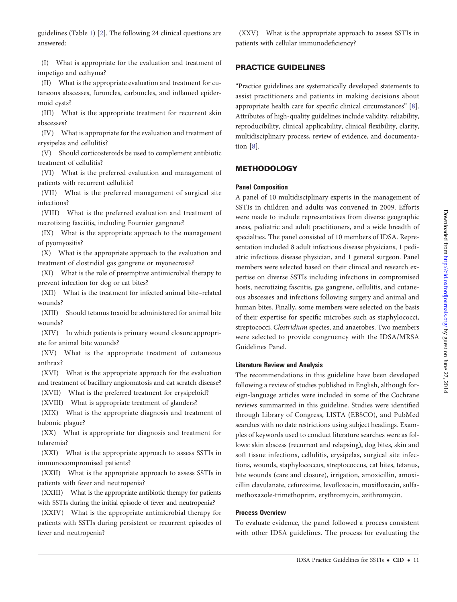guidelines (Table [1\)](#page-3-0) [[2](#page-36-0)]. The following 24 clinical questions are answered:

(I) What is appropriate for the evaluation and treatment of impetigo and ecthyma?

(II) What is the appropriate evaluation and treatment for cutaneous abscesses, furuncles, carbuncles, and inflamed epidermoid cysts?

(III) What is the appropriate treatment for recurrent skin abscesses?

(IV) What is appropriate for the evaluation and treatment of erysipelas and cellulitis?

(V) Should corticosteroids be used to complement antibiotic treatment of cellulitis?

(VI) What is the preferred evaluation and management of patients with recurrent cellulitis?

(VII) What is the preferred management of surgical site infections?

(VIII) What is the preferred evaluation and treatment of necrotizing fasciitis, including Fournier gangrene?

(IX) What is the appropriate approach to the management of pyomyositis?

(X) What is the appropriate approach to the evaluation and treatment of clostridial gas gangrene or myonecrosis?

(XI) What is the role of preemptive antimicrobial therapy to prevent infection for dog or cat bites?

(XII) What is the treatment for infected animal bite–related wounds?

(XIII) Should tetanus toxoid be administered for animal bite wounds?

(XIV) In which patients is primary wound closure appropriate for animal bite wounds?

(XV) What is the appropriate treatment of cutaneous anthrax?

(XVI) What is the appropriate approach for the evaluation and treatment of bacillary angiomatosis and cat scratch disease?

(XVII) What is the preferred treatment for erysipeloid?

(XVIII) What is appropriate treatment of glanders?

(XIX) What is the appropriate diagnosis and treatment of bubonic plague?

(XX) What is appropriate for diagnosis and treatment for tularemia?

(XXI) What is the appropriate approach to assess SSTIs in immunocompromised patients?

(XXII) What is the appropriate approach to assess SSTIs in patients with fever and neutropenia?

(XXIII) What is the appropriate antibiotic therapy for patients with SSTIs during the initial episode of fever and neutropenia?

(XXIV) What is the appropriate antimicrobial therapy for patients with SSTIs during persistent or recurrent episodes of fever and neutropenia?

(XXV) What is the appropriate approach to assess SSTIs in patients with cellular immunodeficiency?

### PRACTICE GUIDELINES

"Practice guidelines are systematically developed statements to assist practitioners and patients in making decisions about appropriate health care for specific clinical circumstances" [[8\]](#page-36-0). Attributes of high-quality guidelines include validity, reliability, reproducibility, clinical applicability, clinical flexibility, clarity, multidisciplinary process, review of evidence, and documentation [\[8\]](#page-36-0).

#### **METHODOLOGY**

#### Panel Composition

A panel of 10 multidisciplinary experts in the management of SSTIs in children and adults was convened in 2009. Efforts were made to include representatives from diverse geographic areas, pediatric and adult practitioners, and a wide breadth of specialties. The panel consisted of 10 members of IDSA. Representation included 8 adult infectious disease physicians, 1 pediatric infectious disease physician, and 1 general surgeon. Panel members were selected based on their clinical and research expertise on diverse SSTIs including infections in compromised hosts, necrotizing fasciitis, gas gangrene, cellulitis, and cutaneous abscesses and infections following surgery and animal and human bites. Finally, some members were selected on the basis of their expertise for specific microbes such as staphylococci, streptococci, Clostridium species, and anaerobes. Two members were selected to provide congruency with the IDSA/MRSA Guidelines Panel.

#### Literature Review and Analysis

The recommendations in this guideline have been developed following a review of studies published in English, although foreign-language articles were included in some of the Cochrane reviews summarized in this guideline. Studies were identified through Library of Congress, LISTA (EBSCO), and PubMed searches with no date restrictions using subject headings. Examples of keywords used to conduct literature searches were as follows: skin abscess (recurrent and relapsing), dog bites, skin and soft tissue infections, cellulitis, erysipelas, surgical site infections, wounds, staphylococcus, streptococcus, cat bites, tetanus, bite wounds (care and closure), irrigation, amoxicillin, amoxicillin clavulanate, cefuroxime, levofloxacin, moxifloxacin, sulfamethoxazole-trimethoprim, erythromycin, azithromycin.

#### Process Overview

To evaluate evidence, the panel followed a process consistent with other IDSA guidelines. The process for evaluating the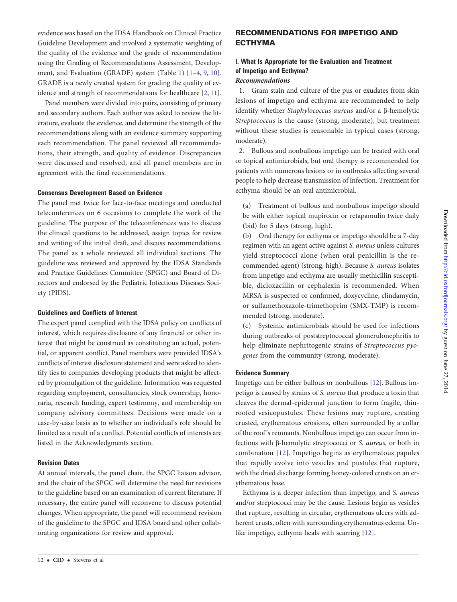evidence was based on the IDSA Handbook on Clinical Practice Guideline Development and involved a systematic weighting of the quality of the evidence and the grade of recommendation using the Grading of Recommendations Assessment, Development, and Evaluation (GRADE) system (Table [1](#page-3-0)) [[1](#page-36-0)–[4,](#page-36-0) [9](#page-36-0), [10\]](#page-36-0). GRADE is a newly created system for grading the quality of evidence and strength of recommendations for healthcare [\[2,](#page-36-0) [11\]](#page-36-0).

Panel members were divided into pairs, consisting of primary and secondary authors. Each author was asked to review the literature, evaluate the evidence, and determine the strength of the recommendations along with an evidence summary supporting each recommendation. The panel reviewed all recommendations, their strength, and quality of evidence. Discrepancies were discussed and resolved, and all panel members are in agreement with the final recommendations.

#### Consensus Development Based on Evidence

The panel met twice for face-to-face meetings and conducted teleconferences on 6 occasions to complete the work of the guideline. The purpose of the teleconferences was to discuss the clinical questions to be addressed, assign topics for review and writing of the initial draft, and discuss recommendations. The panel as a whole reviewed all individual sections. The guideline was reviewed and approved by the IDSA Standards and Practice Guidelines Committee (SPGC) and Board of Directors and endorsed by the Pediatric Infectious Diseases Society (PIDS).

#### Guidelines and Conflicts of Interest

The expert panel complied with the IDSA policy on conflicts of interest, which requires disclosure of any financial or other interest that might be construed as constituting an actual, potential, or apparent conflict. Panel members were provided IDSA's conflicts of interest disclosure statement and were asked to identify ties to companies developing products that might be affected by promulgation of the guideline. Information was requested regarding employment, consultancies, stock ownership, honoraria, research funding, expert testimony, and membership on company advisory committees. Decisions were made on a case-by-case basis as to whether an individual's role should be limited as a result of a conflict. Potential conflicts of interests are listed in the Acknowledgments section.

#### Revision Dates

At annual intervals, the panel chair, the SPGC liaison advisor, and the chair of the SPGC will determine the need for revisions to the guideline based on an examination of current literature. If necessary, the entire panel will reconvene to discuss potential changes. When appropriate, the panel will recommend revision of the guideline to the SPGC and IDSA board and other collaborating organizations for review and approval.

### RECOMMENDATIONS FOR IMPETIGO AND ECTHYMA

#### I. What Is Appropriate for the Evaluation and Treatment of Impetigo and Ecthyma? Recommendations

1. Gram stain and culture of the pus or exudates from skin lesions of impetigo and ecthyma are recommended to help identify whether Staphylococcus aureus and/or a β-hemolytic Streptococcus is the cause (strong, moderate), but treatment without these studies is reasonable in typical cases (strong, moderate).

2. Bullous and nonbullous impetigo can be treated with oral or topical antimicrobials, but oral therapy is recommended for patients with numerous lesions or in outbreaks affecting several people to help decrease transmission of infection. Treatment for ecthyma should be an oral antimicrobial.

(a) Treatment of bullous and nonbullous impetigo should be with either topical mupirocin or retapamulin twice daily (bid) for 5 days (strong, high).

(b) Oral therapy for ecthyma or impetigo should be a 7-day regimen with an agent active against S. aureus unless cultures yield streptococci alone (when oral penicillin is the recommended agent) (strong, high). Because S. aureus isolates from impetigo and ecthyma are usually methicillin susceptible, dicloxacillin or cephalexin is recommended. When MRSA is suspected or confirmed, doxycycline, clindamycin, or sulfamethoxazole-trimethoprim (SMX-TMP) is recommended (strong, moderate).

(c) Systemic antimicrobials should be used for infections during outbreaks of poststreptococcal glomerulonephritis to help eliminate nephritogenic strains of Streptococcus pyogenes from the community (strong, moderate).

#### Evidence Summary

Impetigo can be either bullous or nonbullous [\[12](#page-36-0)]. Bullous impetigo is caused by strains of S. aureus that produce a toxin that cleaves the dermal-epidermal junction to form fragile, thinroofed vesicopustules. These lesions may rupture, creating crusted, erythematous erosions, often surrounded by a collar of the roof's remnants. Nonbullous impetigo can occur from infections with β-hemolytic streptococci or S. aureus, or both in combination [\[12\]](#page-36-0). Impetigo begins as erythematous papules that rapidly evolve into vesicles and pustules that rupture, with the dried discharge forming honey-colored crusts on an erythematous base.

Ecthyma is a deeper infection than impetigo, and S. aureus and/or streptococci may be the cause. Lesions begin as vesicles that rupture, resulting in circular, erythematous ulcers with adherent crusts, often with surrounding erythematous edema. Unlike impetigo, ecthyma heals with scarring [[12\]](#page-36-0).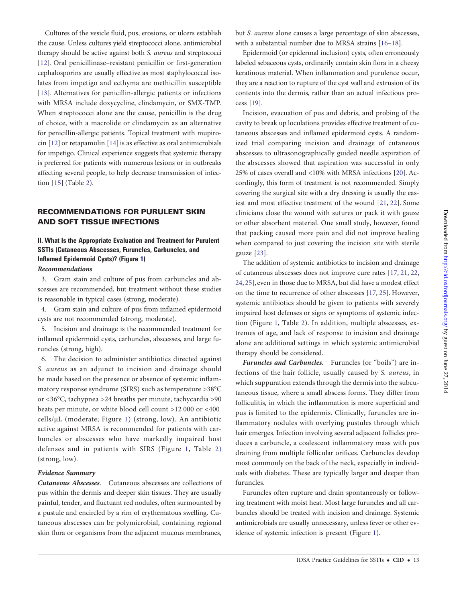Cultures of the vesicle fluid, pus, erosions, or ulcers establish the cause. Unless cultures yield streptococci alone, antimicrobial therapy should be active against both S. aureus and streptococci [\[12\]](#page-36-0). Oral penicillinase–resistant penicillin or first-generation cephalosporins are usually effective as most staphylococcal isolates from impetigo and ecthyma are methicillin susceptible [\[13\]](#page-36-0). Alternatives for penicillin-allergic patients or infections with MRSA include doxycycline, clindamycin, or SMX-TMP. When streptococci alone are the cause, penicillin is the drug of choice, with a macrolide or clindamycin as an alternative for penicillin-allergic patients. Topical treatment with mupirocin [\[12](#page-36-0)] or retapamulin [[14](#page-37-0)] is as effective as oral antimicrobials for impetigo. Clinical experience suggests that systemic therapy is preferred for patients with numerous lesions or in outbreaks affecting several people, to help decrease transmission of infection [\[15](#page-37-0)] (Table [2](#page-4-0)).

### RECOMMENDATIONS FOR PURULENT SKIN AND SOFT TISSUE INFECTIONS

### II. What Is the Appropriate Evaluation and Treatment for Purulent SSTIs (Cutaneous Abscesses, Furuncles, Carbuncles, and Inflamed Epidermoid Cysts)? (Figure [1](#page-1-0))

#### Recommendations

3. Gram stain and culture of pus from carbuncles and abscesses are recommended, but treatment without these studies is reasonable in typical cases (strong, moderate).

4. Gram stain and culture of pus from inflamed epidermoid cysts are not recommended (strong, moderate).

5. Incision and drainage is the recommended treatment for inflamed epidermoid cysts, carbuncles, abscesses, and large furuncles (strong, high).

6. The decision to administer antibiotics directed against S. aureus as an adjunct to incision and drainage should be made based on the presence or absence of systemic inflammatory response syndrome (SIRS) such as temperature >38°C or <36°C, tachypnea >24 breaths per minute, tachycardia >90 beats per minute, or white blood cell count >12 000 or <400  $cells/µL$  (moderate; Figure [1\)](#page-1-0) (strong, low). An antibiotic active against MRSA is recommended for patients with carbuncles or abscesses who have markedly impaired host defenses and in patients with SIRS (Figure [1](#page-1-0), Table [2\)](#page-4-0) (strong, low).

#### Evidence Summary

Cutaneous Abscesses. Cutaneous abscesses are collections of pus within the dermis and deeper skin tissues. They are usually painful, tender, and fluctuant red nodules, often surmounted by a pustule and encircled by a rim of erythematous swelling. Cutaneous abscesses can be polymicrobial, containing regional skin flora or organisms from the adjacent mucous membranes, but S. aureus alone causes a large percentage of skin abscesses, with a substantial number due to MRSA strains [\[16](#page-37-0)–[18](#page-37-0)].

Epidermoid (or epidermal inclusion) cysts, often erroneously labeled sebaceous cysts, ordinarily contain skin flora in a cheesy keratinous material. When inflammation and purulence occur, they are a reaction to rupture of the cyst wall and extrusion of its contents into the dermis, rather than an actual infectious process [[19](#page-37-0)].

Incision, evacuation of pus and debris, and probing of the cavity to break up loculations provides effective treatment of cutaneous abscesses and inflamed epidermoid cysts. A randomized trial comparing incision and drainage of cutaneous abscesses to ultrasonographically guided needle aspiration of the abscesses showed that aspiration was successful in only 25% of cases overall and <10% with MRSA infections [[20\]](#page-37-0). Accordingly, this form of treatment is not recommended. Simply covering the surgical site with a dry dressing is usually the easiest and most effective treatment of the wound [\[21,](#page-37-0) [22](#page-37-0)]. Some clinicians close the wound with sutures or pack it with gauze or other absorbent material. One small study, however, found that packing caused more pain and did not improve healing when compared to just covering the incision site with sterile gauze [\[23\]](#page-37-0).

The addition of systemic antibiotics to incision and drainage of cutaneous abscesses does not improve cure rates [\[17](#page-37-0), [21,](#page-37-0) [22,](#page-37-0) [24](#page-37-0), [25\]](#page-37-0), even in those due to MRSA, but did have a modest effect on the time to recurrence of other abscesses [[17,](#page-37-0) [25\]](#page-37-0). However, systemic antibiotics should be given to patients with severely impaired host defenses or signs or symptoms of systemic infection (Figure [1](#page-1-0), Table [2](#page-4-0)). In addition, multiple abscesses, extremes of age, and lack of response to incision and drainage alone are additional settings in which systemic antimicrobial therapy should be considered.

Furuncles and Carbuncles. Furuncles (or "boils") are infections of the hair follicle, usually caused by S. aureus, in which suppuration extends through the dermis into the subcutaneous tissue, where a small abscess forms. They differ from folliculitis, in which the inflammation is more superficial and pus is limited to the epidermis. Clinically, furuncles are inflammatory nodules with overlying pustules through which hair emerges. Infection involving several adjacent follicles produces a carbuncle, a coalescent inflammatory mass with pus draining from multiple follicular orifices. Carbuncles develop most commonly on the back of the neck, especially in individuals with diabetes. These are typically larger and deeper than furuncles.

Furuncles often rupture and drain spontaneously or following treatment with moist heat. Most large furuncles and all carbuncles should be treated with incision and drainage. Systemic antimicrobials are usually unnecessary, unless fever or other evidence of systemic infection is present (Figure [1](#page-1-0)).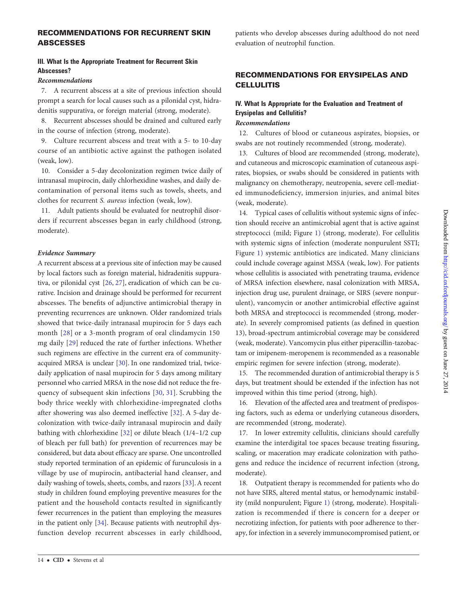### RECOMMENDATIONS FOR RECURRENT SKIN ABSCESSES

#### III. What Is the Appropriate Treatment for Recurrent Skin Abscesses?

#### Recommendations

7. A recurrent abscess at a site of previous infection should prompt a search for local causes such as a pilonidal cyst, hidradenitis suppurativa, or foreign material (strong, moderate).

8. Recurrent abscesses should be drained and cultured early in the course of infection (strong, moderate).

9. Culture recurrent abscess and treat with a 5- to 10-day course of an antibiotic active against the pathogen isolated (weak, low).

10. Consider a 5-day decolonization regimen twice daily of intranasal mupirocin, daily chlorhexidine washes, and daily decontamination of personal items such as towels, sheets, and clothes for recurrent S. aureus infection (weak, low).

11. Adult patients should be evaluated for neutrophil disorders if recurrent abscesses began in early childhood (strong, moderate).

#### Evidence Summary

A recurrent abscess at a previous site of infection may be caused by local factors such as foreign material, hidradenitis suppurativa, or pilonidal cyst [[26,](#page-37-0) [27\]](#page-37-0), eradication of which can be curative. Incision and drainage should be performed for recurrent abscesses. The benefits of adjunctive antimicrobial therapy in preventing recurrences are unknown. Older randomized trials showed that twice-daily intranasal mupirocin for 5 days each month [[28](#page-37-0)] or a 3-month program of oral clindamycin 150 mg daily [\[29\]](#page-37-0) reduced the rate of further infections. Whether such regimens are effective in the current era of communityacquired MRSA is unclear [[30\]](#page-37-0). In one randomized trial, twicedaily application of nasal mupirocin for 5 days among military personnel who carried MRSA in the nose did not reduce the frequency of subsequent skin infections [[30](#page-37-0), [31](#page-37-0)]. Scrubbing the body thrice weekly with chlorhexidine-impregnated cloths after showering was also deemed ineffective [[32\]](#page-37-0). A 5-day decolonization with twice-daily intranasal mupirocin and daily bathing with chlorhexidine [[32\]](#page-37-0) or dilute bleach (1/4–1/2 cup of bleach per full bath) for prevention of recurrences may be considered, but data about efficacy are sparse. One uncontrolled study reported termination of an epidemic of furunculosis in a village by use of mupirocin, antibacterial hand cleanser, and daily washing of towels, sheets, combs, and razors [\[33](#page-37-0)]. A recent study in children found employing preventive measures for the patient and the household contacts resulted in significantly fewer recurrences in the patient than employing the measures in the patient only [\[34](#page-37-0)]. Because patients with neutrophil dysfunction develop recurrent abscesses in early childhood,

patients who develop abscesses during adulthood do not need evaluation of neutrophil function.

### RECOMMENDATIONS FOR ERYSIPELAS AND **CELLULITIS**

#### IV. What Is Appropriate for the Evaluation and Treatment of Erysipelas and Cellulitis? Recommendations

12. Cultures of blood or cutaneous aspirates, biopsies, or swabs are not routinely recommended (strong, moderate).

13. Cultures of blood are recommended (strong, moderate), and cutaneous and microscopic examination of cutaneous aspirates, biopsies, or swabs should be considered in patients with malignancy on chemotherapy, neutropenia, severe cell-mediated immunodeficiency, immersion injuries, and animal bites (weak, moderate).

14. Typical cases of cellulitis without systemic signs of infection should receive an antimicrobial agent that is active against streptococci (mild; Figure [1\)](#page-1-0) (strong, moderate). For cellulitis with systemic signs of infection (moderate nonpurulent SSTI; Figure [1\)](#page-1-0) systemic antibiotics are indicated. Many clinicians could include coverage against MSSA (weak, low). For patients whose cellulitis is associated with penetrating trauma, evidence of MRSA infection elsewhere, nasal colonization with MRSA, injection drug use, purulent drainage, or SIRS (severe nonpurulent), vancomycin or another antimicrobial effective against both MRSA and streptococci is recommended (strong, moderate). In severely compromised patients (as defined in question 13), broad-spectrum antimicrobial coverage may be considered (weak, moderate). Vancomycin plus either piperacillin-tazobactam or imipenem-meropenem is recommended as a reasonable empiric regimen for severe infection (strong, moderate).

15. The recommended duration of antimicrobial therapy is 5 days, but treatment should be extended if the infection has not improved within this time period (strong, high).

16. Elevation of the affected area and treatment of predisposing factors, such as edema or underlying cutaneous disorders, are recommended (strong, moderate).

17. In lower extremity cellulitis, clinicians should carefully examine the interdigital toe spaces because treating fissuring, scaling, or maceration may eradicate colonization with pathogens and reduce the incidence of recurrent infection (strong, moderate).

18. Outpatient therapy is recommended for patients who do not have SIRS, altered mental status, or hemodynamic instability (mild nonpurulent; Figure [1\)](#page-1-0) (strong, moderate). Hospitalization is recommended if there is concern for a deeper or necrotizing infection, for patients with poor adherence to therapy, for infection in a severely immunocompromised patient, or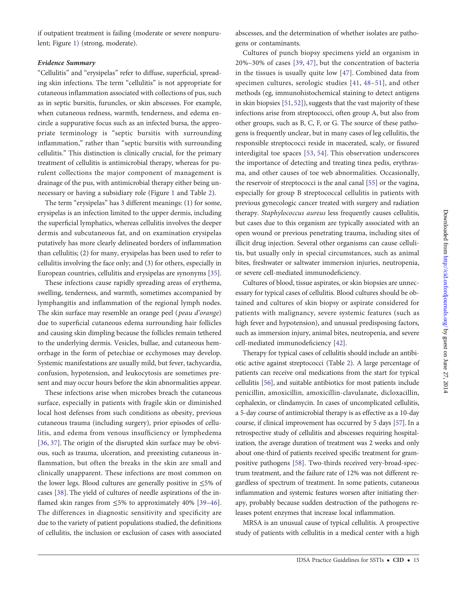if outpatient treatment is failing (moderate or severe nonpurulent; Figure [1\)](#page-1-0) (strong, moderate).

#### Evidence Summary

"Cellulitis" and "erysipelas" refer to diffuse, superficial, spreading skin infections. The term "cellulitis" is not appropriate for cutaneous inflammation associated with collections of pus, such as in septic bursitis, furuncles, or skin abscesses. For example, when cutaneous redness, warmth, tenderness, and edema encircle a suppurative focus such as an infected bursa, the appropriate terminology is "septic bursitis with surrounding inflammation," rather than "septic bursitis with surrounding cellulitis." This distinction is clinically crucial, for the primary treatment of cellulitis is antimicrobial therapy, whereas for purulent collections the major component of management is drainage of the pus, with antimicrobial therapy either being unnecessary or having a subsidiary role (Figure [1](#page-1-0) and Table [2](#page-4-0)).

The term "erysipelas" has 3 different meanings: (1) for some, erysipelas is an infection limited to the upper dermis, including the superficial lymphatics, whereas cellulitis involves the deeper dermis and subcutaneous fat, and on examination erysipelas putatively has more clearly delineated borders of inflammation than cellulitis; (2) for many, erysipelas has been used to refer to cellulitis involving the face only; and (3) for others, especially in European countries, cellulitis and erysipelas are synonyms [\[35\]](#page-37-0).

These infections cause rapidly spreading areas of erythema, swelling, tenderness, and warmth, sometimes accompanied by lymphangitis and inflammation of the regional lymph nodes. The skin surface may resemble an orange peel (peau d'orange) due to superficial cutaneous edema surrounding hair follicles and causing skin dimpling because the follicles remain tethered to the underlying dermis. Vesicles, bullae, and cutaneous hemorrhage in the form of petechiae or ecchymoses may develop. Systemic manifestations are usually mild, but fever, tachycardia, confusion, hypotension, and leukocytosis are sometimes present and may occur hours before the skin abnormalities appear.

These infections arise when microbes breach the cutaneous surface, especially in patients with fragile skin or diminished local host defenses from such conditions as obesity, previous cutaneous trauma (including surgery), prior episodes of cellulitis, and edema from venous insufficiency or lymphedema [\[36](#page-37-0), [37\]](#page-37-0). The origin of the disrupted skin surface may be obvious, such as trauma, ulceration, and preexisting cutaneous inflammation, but often the breaks in the skin are small and clinically unapparent. These infections are most common on the lower legs. Blood cultures are generally positive in ≤5% of cases [[38\]](#page-37-0). The yield of cultures of needle aspirations of the inflamed skin ranges from  $\leq 5\%$  to approximately 40% [\[39](#page-37-0)–[46\]](#page-37-0). The differences in diagnostic sensitivity and specificity are due to the variety of patient populations studied, the definitions of cellulitis, the inclusion or exclusion of cases with associated abscesses, and the determination of whether isolates are pathogens or contaminants.

Cultures of punch biopsy specimens yield an organism in 20%–30% of cases [\[39,](#page-37-0) [47](#page-37-0)], but the concentration of bacteria in the tissues is usually quite low [[47](#page-37-0)]. Combined data from specimen cultures, serologic studies [[41,](#page-37-0) [48](#page-37-0)–[51\]](#page-37-0), and other methods (eg, immunohistochemical staining to detect antigens in skin biopsies [\[51,](#page-37-0) [52](#page-37-0)]), suggests that the vast majority of these infections arise from streptococci, often group A, but also from other groups, such as B, C, F, or G. The source of these pathogens is frequently unclear, but in many cases of leg cellulitis, the responsible streptococci reside in macerated, scaly, or fissured interdigital toe spaces [\[53,](#page-37-0) [54\]](#page-37-0). This observation underscores the importance of detecting and treating tinea pedis, erythrasma, and other causes of toe web abnormalities. Occasionally, the reservoir of streptococci is the anal canal [[55\]](#page-37-0) or the vagina, especially for group B streptococcal cellulitis in patients with previous gynecologic cancer treated with surgery and radiation therapy. Staphylococcus aureus less frequently causes cellulitis, but cases due to this organism are typically associated with an open wound or previous penetrating trauma, including sites of illicit drug injection. Several other organisms can cause cellulitis, but usually only in special circumstances, such as animal bites, freshwater or saltwater immersion injuries, neutropenia, or severe cell-mediated immunodeficiency.

Cultures of blood, tissue aspirates, or skin biopsies are unnecessary for typical cases of cellulitis. Blood cultures should be obtained and cultures of skin biopsy or aspirate considered for patients with malignancy, severe systemic features (such as high fever and hypotension), and unusual predisposing factors, such as immersion injury, animal bites, neutropenia, and severe cell-mediated immunodeficiency [[42\]](#page-37-0).

Therapy for typical cases of cellulitis should include an antibiotic active against streptococci (Table [2](#page-4-0)). A large percentage of patients can receive oral medications from the start for typical cellulitis [[56\]](#page-38-0), and suitable antibiotics for most patients include penicillin, amoxicillin, amoxicillin-clavulanate, dicloxacillin, cephalexin, or clindamycin. In cases of uncomplicated cellulitis, a 5-day course of antimicrobial therapy is as effective as a 10-day course, if clinical improvement has occurred by 5 days [\[57\]](#page-38-0). In a retrospective study of cellulitis and abscesses requiring hospitalization, the average duration of treatment was 2 weeks and only about one-third of patients received specific treatment for grampositive pathogens [\[58](#page-38-0)]. Two-thirds received very-broad-spectrum treatment, and the failure rate of 12% was not different regardless of spectrum of treatment. In some patients, cutaneous inflammation and systemic features worsen after initiating therapy, probably because sudden destruction of the pathogens releases potent enzymes that increase local inflammation.

MRSA is an unusual cause of typical cellulitis. A prospective study of patients with cellulitis in a medical center with a high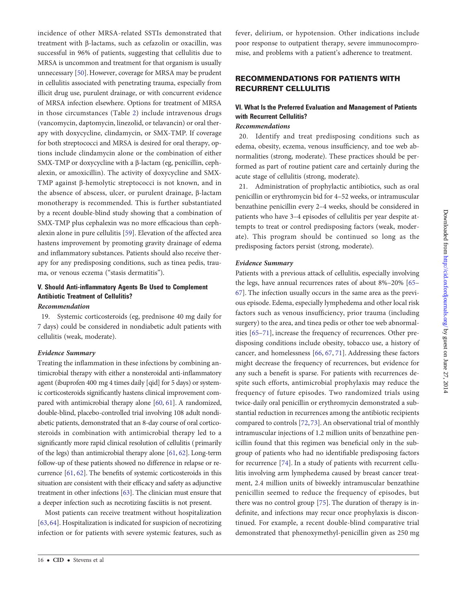incidence of other MRSA-related SSTIs demonstrated that treatment with β-lactams, such as cefazolin or oxacillin, was successful in 96% of patients, suggesting that cellulitis due to MRSA is uncommon and treatment for that organism is usually unnecessary [\[50](#page-37-0)]. However, coverage for MRSA may be prudent in cellulitis associated with penetrating trauma, especially from illicit drug use, purulent drainage, or with concurrent evidence of MRSA infection elsewhere. Options for treatment of MRSA in those circumstances (Table [2](#page-4-0)) include intravenous drugs (vancomycin, daptomycin, linezolid, or telavancin) or oral therapy with doxycycline, clindamycin, or SMX-TMP. If coverage for both streptococci and MRSA is desired for oral therapy, options include clindamycin alone or the combination of either SMX-TMP or doxycycline with a β-lactam (eg, penicillin, cephalexin, or amoxicillin). The activity of doxycycline and SMX-TMP against β-hemolytic streptococci is not known, and in the absence of abscess, ulcer, or purulent drainage, β-lactam monotherapy is recommended. This is further substantiated by a recent double-blind study showing that a combination of SMX-TMP plus cephalexin was no more efficacious than cephalexin alone in pure cellulitis [[59\]](#page-38-0). Elevation of the affected area hastens improvement by promoting gravity drainage of edema and inflammatory substances. Patients should also receive therapy for any predisposing conditions, such as tinea pedis, trauma, or venous eczema ("stasis dermatitis").

#### V. Should Anti-inflammatory Agents Be Used to Complement Antibiotic Treatment of Cellulitis? Recommendation

19. Systemic corticosteroids (eg, prednisone 40 mg daily for 7 days) could be considered in nondiabetic adult patients with cellulitis (weak, moderate).

#### Evidence Summary

Treating the inflammation in these infections by combining antimicrobial therapy with either a nonsteroidal anti-inflammatory agent (ibuprofen 400 mg 4 times daily [qid] for 5 days) or systemic corticosteroids significantly hastens clinical improvement compared with antimicrobial therapy alone [\[60](#page-38-0), [61](#page-38-0)]. A randomized, double-blind, placebo-controlled trial involving 108 adult nondiabetic patients, demonstrated that an 8-day course of oral corticosteroids in combination with antimicrobial therapy led to a significantly more rapid clinical resolution of cellulitis (primarily of the legs) than antimicrobial therapy alone [[61](#page-38-0), [62](#page-38-0)]. Long-term follow-up of these patients showed no difference in relapse or recurrence [[61,](#page-38-0) [62](#page-38-0)]. The benefits of systemic corticosteroids in this situation are consistent with their efficacy and safety as adjunctive treatment in other infections [[63\]](#page-38-0). The clinician must ensure that a deeper infection such as necrotizing fasciitis is not present.

Most patients can receive treatment without hospitalization [\[63](#page-38-0), [64\]](#page-38-0). Hospitalization is indicated for suspicion of necrotizing infection or for patients with severe systemic features, such as fever, delirium, or hypotension. Other indications include poor response to outpatient therapy, severe immunocompromise, and problems with a patient's adherence to treatment.

### RECOMMENDATIONS FOR PATIENTS WITH RECURRENT CELLULITIS

### VI. What Is the Preferred Evaluation and Management of Patients with Recurrent Cellulitis?

#### Recommendations

20. Identify and treat predisposing conditions such as edema, obesity, eczema, venous insufficiency, and toe web abnormalities (strong, moderate). These practices should be performed as part of routine patient care and certainly during the acute stage of cellulitis (strong, moderate).

21. Administration of prophylactic antibiotics, such as oral penicillin or erythromycin bid for 4–52 weeks, or intramuscular benzathine penicillin every 2–4 weeks, should be considered in patients who have 3–4 episodes of cellulitis per year despite attempts to treat or control predisposing factors (weak, moderate). This program should be continued so long as the predisposing factors persist (strong, moderate).

#### Evidence Summary

Patients with a previous attack of cellulitis, especially involving the legs, have annual recurrences rates of about 8%–20% [[65](#page-38-0)– [67](#page-38-0)]. The infection usually occurs in the same area as the previous episode. Edema, especially lymphedema and other local risk factors such as venous insufficiency, prior trauma (including surgery) to the area, and tinea pedis or other toe web abnormalities [\[65](#page-38-0)–[71](#page-38-0)], increase the frequency of recurrences. Other predisposing conditions include obesity, tobacco use, a history of cancer, and homelessness [\[66](#page-38-0), [67,](#page-38-0) [71\]](#page-38-0). Addressing these factors might decrease the frequency of recurrences, but evidence for any such a benefit is sparse. For patients with recurrences despite such efforts, antimicrobial prophylaxis may reduce the frequency of future episodes. Two randomized trials using twice-daily oral penicillin or erythromycin demonstrated a substantial reduction in recurrences among the antibiotic recipients compared to controls [\[72](#page-38-0), [73\]](#page-38-0).An observational trial of monthly intramuscular injections of 1.2 million units of benzathine penicillin found that this regimen was beneficial only in the subgroup of patients who had no identifiable predisposing factors for recurrence [[74\]](#page-38-0). In a study of patients with recurrent cellulitis involving arm lymphedema caused by breast cancer treatment, 2.4 million units of biweekly intramuscular benzathine penicillin seemed to reduce the frequency of episodes, but there was no control group [[75\]](#page-38-0). The duration of therapy is indefinite, and infections may recur once prophylaxis is discontinued. For example, a recent double-blind comparative trial demonstrated that phenoxymethyl-penicillin given as 250 mg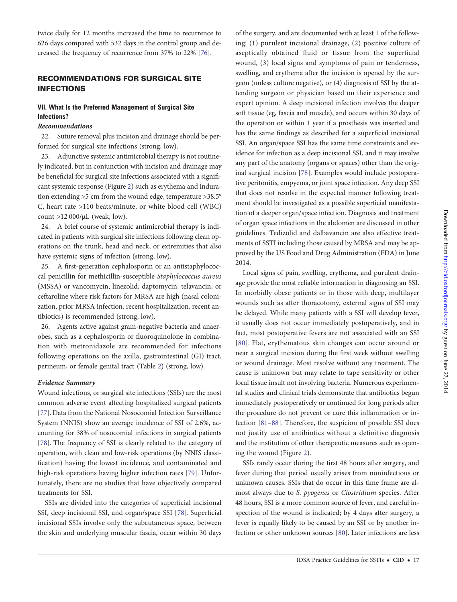twice daily for 12 months increased the time to recurrence to 626 days compared with 532 days in the control group and decreased the frequency of recurrence from 37% to 22% [[76\]](#page-38-0).

### RECOMMENDATIONS FOR SURGICAL SITE INFECTIONS

#### VII. What Is the Preferred Management of Surgical Site Infections?

#### Recommendations

22. Suture removal plus incision and drainage should be performed for surgical site infections (strong, low).

23. Adjunctive systemic antimicrobial therapy is not routinely indicated, but in conjunction with incision and drainage may be beneficial for surgical site infections associated with a significant systemic response (Figure [2](#page-2-0)) such as erythema and induration extending >5 cm from the wound edge, temperature >38.5° C, heart rate >110 beats/minute, or white blood cell (WBC) count  $>12000/\mu L$  (weak, low).

24. A brief course of systemic antimicrobial therapy is indicated in patients with surgical site infections following clean operations on the trunk, head and neck, or extremities that also have systemic signs of infection (strong, low).

25. A first-generation cephalosporin or an antistaphylococcal penicillin for methicillin-susceptible Staphylococcus aureus (MSSA) or vancomycin, linezolid, daptomycin, telavancin, or ceftaroline where risk factors for MRSA are high (nasal colonization, prior MRSA infection, recent hospitalization, recent antibiotics) is recommended (strong, low).

26. Agents active against gram-negative bacteria and anaerobes, such as a cephalosporin or fluoroquinolone in combination with metronidazole are recommended for infections following operations on the axilla, gastrointestinal (GI) tract, perineum, or female genital tract (Table [2\)](#page-4-0) (strong, low).

#### Evidence Summary

Wound infections, or surgical site infections (SSIs) are the most common adverse event affecting hospitalized surgical patients [\[77](#page-38-0)]. Data from the National Nosocomial Infection Surveillance System (NNIS) show an average incidence of SSI of 2.6%, accounting for 38% of nosocomial infections in surgical patients [\[78](#page-38-0)]. The frequency of SSI is clearly related to the category of operation, with clean and low-risk operations (by NNIS classification) having the lowest incidence, and contaminated and high-risk operations having higher infection rates [\[79](#page-38-0)]. Unfortunately, there are no studies that have objectively compared treatments for SSI.

SSIs are divided into the categories of superficial incisional SSI, deep incisional SSI, and organ/space SSI [[78\]](#page-38-0). Superficial incisional SSIs involve only the subcutaneous space, between the skin and underlying muscular fascia, occur within 30 days

of the surgery, and are documented with at least 1 of the following: (1) purulent incisional drainage, (2) positive culture of aseptically obtained fluid or tissue from the superficial wound, (3) local signs and symptoms of pain or tenderness, swelling, and erythema after the incision is opened by the surgeon (unless culture negative), or (4) diagnosis of SSI by the attending surgeon or physician based on their experience and expert opinion. A deep incisional infection involves the deeper soft tissue (eg, fascia and muscle), and occurs within 30 days of the operation or within 1 year if a prosthesis was inserted and has the same findings as described for a superficial incisional SSI. An organ/space SSI has the same time constraints and evidence for infection as a deep incisional SSI, and it may involve any part of the anatomy (organs or spaces) other than the original surgical incision [[78](#page-38-0)]. Examples would include postoperative peritonitis, empyema, or joint space infection. Any deep SSI that does not resolve in the expected manner following treatment should be investigated as a possible superficial manifestation of a deeper organ/space infection. Diagnosis and treatment of organ space infections in the abdomen are discussed in other guidelines. Tedizolid and dalbavancin are also effective treatments of SSTI including those caused by MRSA and may be approved by the US Food and Drug Administration (FDA) in June 2014.

Local signs of pain, swelling, erythema, and purulent drainage provide the most reliable information in diagnosing an SSI. In morbidly obese patients or in those with deep, multilayer wounds such as after thoracotomy, external signs of SSI may be delayed. While many patients with a SSI will develop fever, it usually does not occur immediately postoperatively, and in fact, most postoperative fevers are not associated with an SSI [\[80](#page-38-0)]. Flat, erythematous skin changes can occur around or near a surgical incision during the first week without swelling or wound drainage. Most resolve without any treatment. The cause is unknown but may relate to tape sensitivity or other local tissue insult not involving bacteria. Numerous experimental studies and clinical trials demonstrate that antibiotics begun immediately postoperatively or continued for long periods after the procedure do not prevent or cure this inflammation or infection [[81](#page-38-0)–[88](#page-38-0)]. Therefore, the suspicion of possible SSI does not justify use of antibiotics without a definitive diagnosis and the institution of other therapeutic measures such as opening the wound (Figure [2](#page-2-0)).

SSIs rarely occur during the first 48 hours after surgery, and fever during that period usually arises from noninfectious or unknown causes. SSIs that do occur in this time frame are almost always due to S. pyogenes or Clostridium species. After 48 hours, SSI is a more common source of fever, and careful inspection of the wound is indicated; by 4 days after surgery, a fever is equally likely to be caused by an SSI or by another infection or other unknown sources [[80\]](#page-38-0). Later infections are less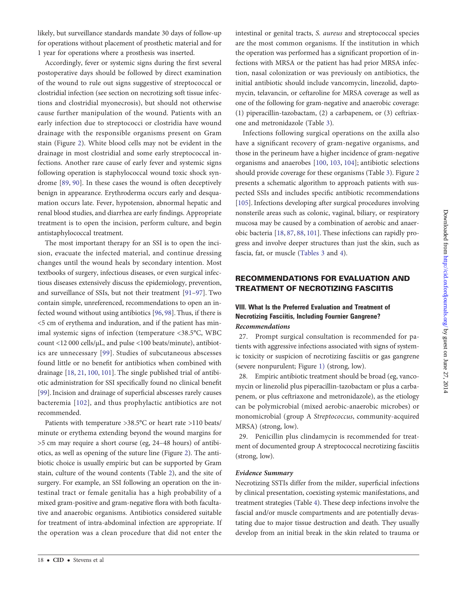likely, but surveillance standards mandate 30 days of follow-up for operations without placement of prosthetic material and for 1 year for operations where a prosthesis was inserted.

Accordingly, fever or systemic signs during the first several postoperative days should be followed by direct examination of the wound to rule out signs suggestive of streptococcal or clostridial infection (see section on necrotizing soft tissue infections and clostridial myonecrosis), but should not otherwise cause further manipulation of the wound. Patients with an early infection due to streptococci or clostridia have wound drainage with the responsible organisms present on Gram stain (Figure [2\)](#page-2-0). White blood cells may not be evident in the drainage in most clostridial and some early streptococcal infections. Another rare cause of early fever and systemic signs following operation is staphylococcal wound toxic shock syndrome [\[89,](#page-38-0) [90](#page-38-0)]. In these cases the wound is often deceptively benign in appearance. Erythroderma occurs early and desquamation occurs late. Fever, hypotension, abnormal hepatic and renal blood studies, and diarrhea are early findings. Appropriate treatment is to open the incision, perform culture, and begin antistaphylococcal treatment.

The most important therapy for an SSI is to open the incision, evacuate the infected material, and continue dressing changes until the wound heals by secondary intention. Most textbooks of surgery, infectious diseases, or even surgical infectious diseases extensively discuss the epidemiology, prevention, and surveillance of SSIs, but not their treatment [\[91](#page-38-0)–[97\]](#page-38-0). Two contain simple, unreferenced, recommendations to open an infected wound without using antibiotics [\[96](#page-38-0), [98\]](#page-38-0). Thus, if there is <5 cm of erythema and induration, and if the patient has minimal systemic signs of infection (temperature <38.5°C, WBC count <12 000 cells/µL, and pulse <100 beats/minute), antibiotics are unnecessary [\[99\]](#page-38-0). Studies of subcutaneous abscesses found little or no benefit for antibiotics when combined with drainage [\[18,](#page-37-0) [21,](#page-37-0) [100](#page-38-0), [101](#page-39-0)]. The single published trial of antibiotic administration for SSI specifically found no clinical benefit [\[99](#page-38-0)]. Incision and drainage of superficial abscesses rarely causes bacteremia [[102](#page-39-0)], and thus prophylactic antibiotics are not recommended.

Patients with temperature >38.5°C or heart rate >110 beats/ minute or erythema extending beyond the wound margins for >5 cm may require a short course (eg, 24–48 hours) of antibiotics, as well as opening of the suture line (Figure [2](#page-2-0)). The antibiotic choice is usually empiric but can be supported by Gram stain, culture of the wound contents (Table [2\)](#page-4-0), and the site of surgery. For example, an SSI following an operation on the intestinal tract or female genitalia has a high probability of a mixed gram-positive and gram-negative flora with both facultative and anaerobic organisms. Antibiotics considered suitable for treatment of intra-abdominal infection are appropriate. If the operation was a clean procedure that did not enter the intestinal or genital tracts, S. aureus and streptococcal species are the most common organisms. If the institution in which the operation was performed has a significant proportion of infections with MRSA or the patient has had prior MRSA infection, nasal colonization or was previously on antibiotics, the initial antibiotic should include vancomycin, linezolid, daptomycin, telavancin, or ceftaroline for MRSA coverage as well as one of the following for gram-negative and anaerobic coverage: (1) piperacillin-tazobactam, (2) a carbapenem, or (3) ceftriaxone and metronidazole (Table [3\)](#page-18-0).

Infections following surgical operations on the axilla also have a significant recovery of gram-negative organisms, and those in the perineum have a higher incidence of gram-negative organisms and anaerobes [\[100](#page-38-0), [103](#page-39-0), [104\]](#page-39-0); antibiotic selections should provide coverage for these organisms (Table [3](#page-18-0)). Figure [2](#page-2-0) presents a schematic algorithm to approach patients with suspected SSIs and includes specific antibiotic recommendations [\[105\]](#page-39-0). Infections developing after surgical procedures involving nonsterile areas such as colonic, vaginal, biliary, or respiratory mucosa may be caused by a combination of aerobic and anaerobic bacteria [[18,](#page-37-0) [87,](#page-38-0) [88,](#page-38-0) [101](#page-39-0)]. These infections can rapidly progress and involve deeper structures than just the skin, such as fascia, fat, or muscle [\(Tables 3](#page-18-0) and [4](#page-19-0)).

### RECOMMENDATIONS FOR EVALUATION AND TREATMENT OF NECROTIZING FASCIITIS

### VIII. What Is the Preferred Evaluation and Treatment of Necrotizing Fasciitis, Including Fournier Gangrene? Recommendations

27. Prompt surgical consultation is recommended for patients with aggressive infections associated with signs of systemic toxicity or suspicion of necrotizing fasciitis or gas gangrene (severe nonpurulent; Figure [1\)](#page-1-0) (strong, low).

28. Empiric antibiotic treatment should be broad (eg, vancomycin or linezolid plus piperacillin-tazobactam or plus a carbapenem, or plus ceftriaxone and metronidazole), as the etiology can be polymicrobial (mixed aerobic-anaerobic microbes) or monomicrobial (group A Streptococcus, community-acquired MRSA) (strong, low).

29. Penicillin plus clindamycin is recommended for treatment of documented group A streptococcal necrotizing fasciitis (strong, low).

#### Evidence Summary

Necrotizing SSTIs differ from the milder, superficial infections by clinical presentation, coexisting systemic manifestations, and treatment strategies (Table [4](#page-19-0)). These deep infections involve the fascial and/or muscle compartments and are potentially devastating due to major tissue destruction and death. They usually develop from an initial break in the skin related to trauma or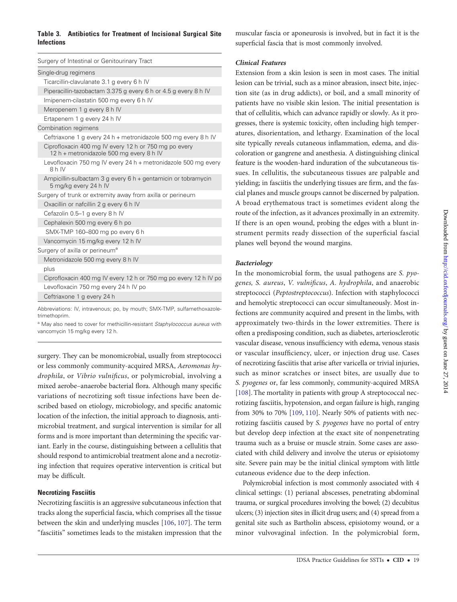#### <span id="page-18-0"></span>Table 3. Antibiotics for Treatment of Incisional Surgical Site Infections

| Surgery of Intestinal or Genitourinary Tract                                                      |
|---------------------------------------------------------------------------------------------------|
| Single-drug regimens                                                                              |
| Ticarcillin-clavulanate 3.1 g every 6 h IV                                                        |
| Piperacillin-tazobactam 3.375 g every 6 h or 4.5 g every 8 h IV                                   |
| Imipenem-cilastatin 500 mg every 6 h IV                                                           |
| Meropenem 1 g every 8 h IV                                                                        |
| Ertapenem 1 g every 24 h IV                                                                       |
| Combination regimens                                                                              |
| Ceftriaxone 1 g every 24 h + metronidazole 500 mg every 8 h IV                                    |
| Ciprofloxacin 400 mg IV every 12 h or 750 mg po every<br>12 h + metronidazole 500 mg every 8 h IV |
| Levofloxacin 750 mg IV every 24 h + metronidazole 500 mg every<br>8h IV                           |
| Ampicillin-sulbactam 3 g every 6 h + gentamicin or tobramycin<br>5 mg/kg every 24 h IV            |
| Surgery of trunk or extremity away from axilla or perineum                                        |
| Oxacillin or nafcillin 2 g every 6 h IV                                                           |
| Cefazolin 0.5-1 g every 8 h IV                                                                    |
| Cephalexin 500 mg every 6 h po                                                                    |
| SMX-TMP 160-800 mg po every 6 h                                                                   |
| Vancomycin 15 mg/kg every 12 h IV                                                                 |
| Surgery of axilla or perineum <sup>a</sup>                                                        |
| Metronidazole 500 mg every 8 h IV                                                                 |
| plus                                                                                              |
| Ciprofloxacin 400 mg IV every 12 h or 750 mg po every 12 h IV po                                  |
| Levofloxacin 750 mg every 24 h IV po                                                              |
| Ceftriaxone 1 g every 24 h                                                                        |
| Abbreviations: IV, intravenous; po, by mouth; SMX-TMP, sulfamethoxazole-                          |

trimethoprim.

<sup>a</sup> May also need to cover for methicillin-resistant Staphylococcus aureus with vancomycin 15 mg/kg every 12 h.

surgery. They can be monomicrobial, usually from streptococci or less commonly community-acquired MRSA, Aeromonas hydrophila, or Vibrio vulnificus, or polymicrobial, involving a mixed aerobe–anaerobe bacterial flora. Although many specific variations of necrotizing soft tissue infections have been described based on etiology, microbiology, and specific anatomic location of the infection, the initial approach to diagnosis, antimicrobial treatment, and surgical intervention is similar for all forms and is more important than determining the specific variant. Early in the course, distinguishing between a cellulitis that should respond to antimicrobial treatment alone and a necrotizing infection that requires operative intervention is critical but may be difficult.

#### Necrotizing Fasciitis

Necrotizing fasciitis is an aggressive subcutaneous infection that tracks along the superficial fascia, which comprises all the tissue between the skin and underlying muscles [[106](#page-39-0), [107](#page-39-0)]. The term "fasciitis" sometimes leads to the mistaken impression that the muscular fascia or aponeurosis is involved, but in fact it is the superficial fascia that is most commonly involved.

### Clinical Features

Extension from a skin lesion is seen in most cases. The initial lesion can be trivial, such as a minor abrasion, insect bite, injection site (as in drug addicts), or boil, and a small minority of patients have no visible skin lesion. The initial presentation is that of cellulitis, which can advance rapidly or slowly. As it progresses, there is systemic toxicity, often including high temperatures, disorientation, and lethargy. Examination of the local site typically reveals cutaneous inflammation, edema, and discoloration or gangrene and anesthesia. A distinguishing clinical feature is the wooden-hard induration of the subcutaneous tissues. In cellulitis, the subcutaneous tissues are palpable and yielding; in fasciitis the underlying tissues are firm, and the fascial planes and muscle groups cannot be discerned by palpation. A broad erythematous tract is sometimes evident along the route of the infection, as it advances proximally in an extremity. If there is an open wound, probing the edges with a blunt instrument permits ready dissection of the superficial fascial planes well beyond the wound margins.

#### Bacteriology

In the monomicrobial form, the usual pathogens are S.  $pvo$ genes, S. aureus, V. vulnificus, A. hydrophila, and anaerobic streptococci (Peptostreptococcus). Infection with staphylococci and hemolytic streptococci can occur simultaneously. Most infections are community acquired and present in the limbs, with approximately two-thirds in the lower extremities. There is often a predisposing condition, such as diabetes, arteriosclerotic vascular disease, venous insufficiency with edema, venous stasis or vascular insufficiency, ulcer, or injection drug use. Cases of necrotizing fasciitis that arise after varicella or trivial injuries, such as minor scratches or insect bites, are usually due to S. pyogenes or, far less commonly, community-acquired MRSA [\[108\]](#page-39-0). The mortality in patients with group A streptococcal necrotizing fasciitis, hypotension, and organ failure is high, ranging from 30% to 70% [\[109,](#page-39-0) [110\]](#page-39-0). Nearly 50% of patients with necrotizing fasciitis caused by S. pyogenes have no portal of entry but develop deep infection at the exact site of nonpenetrating trauma such as a bruise or muscle strain. Some cases are associated with child delivery and involve the uterus or episiotomy site. Severe pain may be the initial clinical symptom with little cutaneous evidence due to the deep infection.

Polymicrobial infection is most commonly associated with 4 clinical settings: (1) perianal abscesses, penetrating abdominal trauma, or surgical procedures involving the bowel; (2) decubitus ulcers; (3) injection sites in illicit drug users; and (4) spread from a genital site such as Bartholin abscess, episiotomy wound, or a minor vulvovaginal infection. In the polymicrobial form,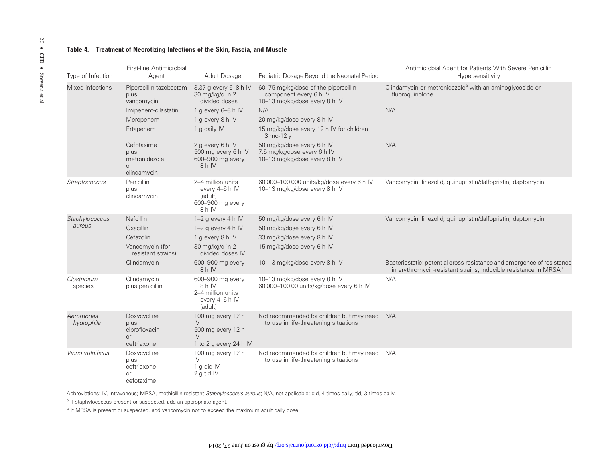### <span id="page-19-0"></span>Table 4. Treatment of Necrotizing Infections of the Skin, Fascia, and Muscle

| Type of Infection       | First-line Antimicrobial<br>Agent                                | <b>Adult Dosage</b>                                                          | Pediatric Dosage Beyond the Neonatal Period                                                     | Antimicrobial Agent for Patients With Severe Penicillin<br>Hypersensitivity                                                                            |
|-------------------------|------------------------------------------------------------------|------------------------------------------------------------------------------|-------------------------------------------------------------------------------------------------|--------------------------------------------------------------------------------------------------------------------------------------------------------|
| Mixed infections        | Piperacillin-tazobactam<br>plus<br>vancomycin                    | 3.37 g every 6-8 h IV<br>30 mg/kg/d in 2<br>divided doses                    | 60–75 mg/kg/dose of the piperacillin<br>component every 6 h IV<br>10-13 mg/kg/dose every 8 h IV | Clindamycin or metronidazole <sup>a</sup> with an aminoglycoside or<br>fluoroquinolone                                                                 |
|                         | Imipenem-cilastatin                                              | 1 g every 6-8 h IV                                                           | N/A                                                                                             | N/A                                                                                                                                                    |
|                         | Meropenem                                                        | 1 g every 8 h IV                                                             | 20 mg/kg/dose every 8 h IV                                                                      |                                                                                                                                                        |
|                         | Ertapenem                                                        | 1 g daily IV                                                                 | 15 mg/kg/dose every 12 h IV for children<br>3 mo-12 y                                           |                                                                                                                                                        |
|                         | Cefotaxime<br>plus<br>metronidazole<br>or<br>clindamycin         | 2 g every 6 h IV<br>500 mg every 6 h IV<br>600-900 mg every<br>8hIV          | 50 mg/kg/dose every 6 h IV<br>7.5 mg/kg/dose every 6 h IV<br>10-13 mg/kg/dose every 8 h IV      | N/A                                                                                                                                                    |
| Streptococcus           | Penicillin<br>plus<br>clindamycin                                | 2-4 million units<br>every 4-6 h IV<br>(adult)<br>600-900 mg every<br>8hIV   | 60 000-100 000 units/kg/dose every 6 h IV<br>10-13 mg/kg/dose every 8 h IV                      | Vancomycin, linezolid, quinupristin/dalfopristin, daptomycin                                                                                           |
| Staphylococcus          | Nafcillin                                                        | 1-2 g every $4 h IV$                                                         | 50 mg/kg/dose every 6 h IV                                                                      | Vancomycin, linezolid, quinupristin/dalfopristin, daptomycin                                                                                           |
| aureus                  | Oxacillin                                                        | 1-2 g every 4 h IV                                                           | 50 mg/kg/dose every 6 h IV                                                                      |                                                                                                                                                        |
|                         | Cefazolin                                                        | 1 g every 8 h IV                                                             | 33 mg/kg/dose every 8 h IV                                                                      |                                                                                                                                                        |
|                         | Vancomycin (for<br>resistant strains)                            | 30 mg/kg/d in 2<br>divided doses IV                                          | 15 mg/kg/dose every 6 h IV                                                                      |                                                                                                                                                        |
|                         | Clindamycin                                                      | 600-900 mg every<br>8hIV                                                     | 10-13 mg/kg/dose every 8 h IV                                                                   | Bacteriostatic; potential cross-resistance and emergence of resistance<br>in erythromycin-resistant strains; inducible resistance in MRSA <sup>b</sup> |
| Clostridium<br>species  | Clindamycin<br>plus penicillin                                   | 600-900 mg every<br>8hIV<br>2-4 million units<br>every 4-6 h IV<br>(adult)   | 10-13 mg/kg/dose every 8 h IV<br>60 000-100 00 units/kg/dose every 6 h IV                       | N/A                                                                                                                                                    |
| Aeromonas<br>hydrophila | Doxycycline<br>plus<br>ciprofloxacin<br><b>or</b><br>ceftriaxone | 100 mg every 12 h<br>IV<br>500 mg every 12 h<br>IV<br>1 to 2 g every 24 h IV | Not recommended for children but may need<br>to use in life-threatening situations              | N/A                                                                                                                                                    |
| Vibrio vulnificus       | Doxycycline<br>plus<br>ceftriaxone<br>or<br>cefotaxime           | 100 mg every 12 h<br>IV<br>1 q gid IV<br>2 g tid IV                          | Not recommended for children but may need<br>to use in life-threatening situations              | N/A                                                                                                                                                    |

Abbreviations: IV, intravenous; MRSA, methicillin-resistant Staphylococcus aureus; N/A, not applicable; qid, 4 times daily; tid, 3 times daily.

<sup>a</sup> If staphylococcus present or suspected, add an appropriate agent.

<sup>b</sup> If MRSA is present or suspected, add vancomycin not to exceed the maximum adult daily dose.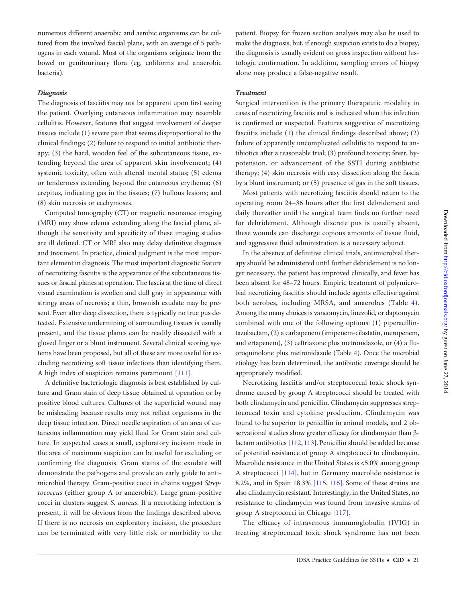numerous different anaerobic and aerobic organisms can be cultured from the involved fascial plane, with an average of 5 pathogens in each wound. Most of the organisms originate from the bowel or genitourinary flora (eg, coliforms and anaerobic bacteria).

#### Diagnosis

The diagnosis of fasciitis may not be apparent upon first seeing the patient. Overlying cutaneous inflammation may resemble cellulitis. However, features that suggest involvement of deeper tissues include (1) severe pain that seems disproportional to the clinical findings; (2) failure to respond to initial antibiotic therapy; (3) the hard, wooden feel of the subcutaneous tissue, extending beyond the area of apparent skin involvement; (4) systemic toxicity, often with altered mental status; (5) edema or tenderness extending beyond the cutaneous erythema; (6) crepitus, indicating gas in the tissues; (7) bullous lesions; and (8) skin necrosis or ecchymoses.

Computed tomography (CT) or magnetic resonance imaging (MRI) may show edema extending along the fascial plane, although the sensitivity and specificity of these imaging studies are ill defined. CT or MRI also may delay definitive diagnosis and treatment. In practice, clinical judgment is the most important element in diagnosis. The most important diagnostic feature of necrotizing fasciitis is the appearance of the subcutaneous tissues or fascial planes at operation. The fascia at the time of direct visual examination is swollen and dull gray in appearance with stringy areas of necrosis; a thin, brownish exudate may be present. Even after deep dissection, there is typically no true pus detected. Extensive undermining of surrounding tissues is usually present, and the tissue planes can be readily dissected with a gloved finger or a blunt instrument. Several clinical scoring systems have been proposed, but all of these are more useful for excluding necrotizing soft tissue infections than identifying them. A high index of suspicion remains paramount [[111](#page-39-0)].

A definitive bacteriologic diagnosis is best established by culture and Gram stain of deep tissue obtained at operation or by positive blood cultures. Cultures of the superficial wound may be misleading because results may not reflect organisms in the deep tissue infection. Direct needle aspiration of an area of cutaneous inflammation may yield fluid for Gram stain and culture. In suspected cases a small, exploratory incision made in the area of maximum suspicion can be useful for excluding or confirming the diagnosis. Gram stains of the exudate will demonstrate the pathogens and provide an early guide to antimicrobial therapy. Gram-positive cocci in chains suggest Streptococcus (either group A or anaerobic). Large gram-positive cocci in clusters suggest S. aureus. If a necrotizing infection is present, it will be obvious from the findings described above. If there is no necrosis on exploratory incision, the procedure can be terminated with very little risk or morbidity to the patient. Biopsy for frozen section analysis may also be used to make the diagnosis, but, if enough suspicion exists to do a biopsy, the diagnosis is usually evident on gross inspection without histologic confirmation. In addition, sampling errors of biopsy alone may produce a false-negative result.

#### **Treatment**

Surgical intervention is the primary therapeutic modality in cases of necrotizing fasciitis and is indicated when this infection is confirmed or suspected. Features suggestive of necrotizing fasciitis include (1) the clinical findings described above; (2) failure of apparently uncomplicated cellulitis to respond to antibiotics after a reasonable trial; (3) profound toxicity; fever, hypotension, or advancement of the SSTI during antibiotic therapy; (4) skin necrosis with easy dissection along the fascia by a blunt instrument; or (5) presence of gas in the soft tissues.

Most patients with necrotizing fasciitis should return to the operating room 24–36 hours after the first debridement and daily thereafter until the surgical team finds no further need for debridement. Although discrete pus is usually absent, these wounds can discharge copious amounts of tissue fluid, and aggressive fluid administration is a necessary adjunct.

In the absence of definitive clinical trials, antimicrobial therapy should be administered until further debridement is no longer necessary, the patient has improved clinically, and fever has been absent for 48–72 hours. Empiric treatment of polymicrobial necrotizing fasciitis should include agents effective against both aerobes, including MRSA, and anaerobes (Table [4](#page-19-0)). Among the many choices is vancomycin, linezolid, or daptomycin combined with one of the following options: (1) piperacillintazobactam, (2) a carbapenem (imipenem-cilastatin, meropenem, and ertapenem), (3) ceftriaxone plus metronidazole, or (4) a fluoroquinolone plus metronidazole (Table [4](#page-19-0)). Once the microbial etiology has been determined, the antibiotic coverage should be appropriately modified.

Necrotizing fasciitis and/or streptococcal toxic shock syndrome caused by group A streptococci should be treated with both clindamycin and penicillin. Clindamycin suppresses streptococcal toxin and cytokine production. Clindamycin was found to be superior to penicillin in animal models, and 2 observational studies show greater efficacy for clindamycin than βlactam antibiotics [[112](#page-39-0), [113](#page-39-0)]. Penicillin should be added because of potential resistance of group A streptococci to clindamycin. Macrolide resistance in the United States is <5.0% among group A streptococci [[114\]](#page-39-0), but in Germany macrolide resistance is 8.2%, and in Spain 18.3% [\[115,](#page-39-0) [116\]](#page-39-0). Some of these strains are also clindamycin resistant. Interestingly, in the United States, no resistance to clindamycin was found from invasive strains of group A streptococci in Chicago [\[117\]](#page-39-0).

The efficacy of intravenous immunoglobulin (IVIG) in treating streptococcal toxic shock syndrome has not been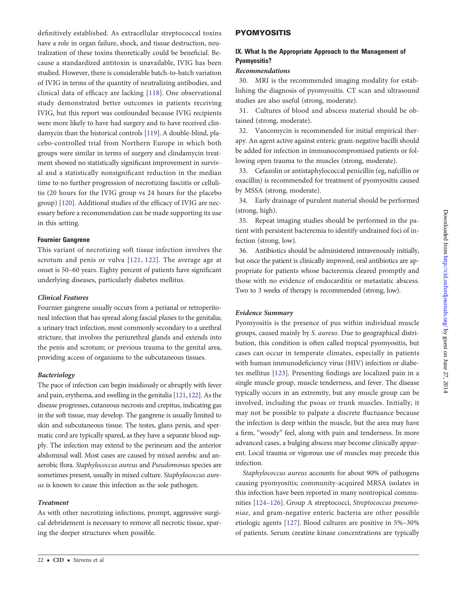definitively established. As extracellular streptococcal toxins have a role in organ failure, shock, and tissue destruction, neutralization of these toxins theoretically could be beneficial. Because a standardized antitoxin is unavailable, IVIG has been studied. However, there is considerable batch-to-batch variation of IVIG in terms of the quantity of neutralizing antibodies, and clinical data of efficacy are lacking [\[118](#page-39-0)]. One observational study demonstrated better outcomes in patients receiving IVIG, but this report was confounded because IVIG recipients were more likely to have had surgery and to have received clindamycin than the historical controls [[119](#page-39-0)]. A double-blind, placebo-controlled trial from Northern Europe in which both groups were similar in terms of surgery and clindamycin treatment showed no statistically significant improvement in survival and a statistically nonsignificant reduction in the median time to no further progression of necrotizing fasciitis or cellulitis (20 hours for the IVIG group vs 24 hours for the placebo group) [[120\]](#page-39-0). Additional studies of the efficacy of IVIG are necessary before a recommendation can be made supporting its use in this setting.

#### Fournier Gangrene

This variant of necrotizing soft tissue infection involves the scrotum and penis or vulva [[121](#page-39-0), [122\]](#page-39-0). The average age at onset is 50–60 years. Eighty percent of patients have significant underlying diseases, particularly diabetes mellitus.

### Clinical Features

Fournier gangrene usually occurs from a perianal or retroperitoneal infection that has spread along fascial planes to the genitalia; a urinary tract infection, most commonly secondary to a urethral stricture, that involves the periurethral glands and extends into the penis and scrotum; or previous trauma to the genital area, providing access of organisms to the subcutaneous tissues.

#### Bacteriology

The pace of infection can begin insidiously or abruptly with fever and pain, erythema, and swelling in the genitalia [\[121,122\]](#page-39-0). As the disease progresses, cutaneous necrosis and crepitus, indicating gas in the soft tissue, may develop. The gangrene is usually limited to skin and subcutaneous tissue. The testes, glans penis, and spermatic cord are typically spared, as they have a separate blood supply. The infection may extend to the perineum and the anterior abdominal wall. Most cases are caused by mixed aerobic and anaerobic flora. Staphylococcus aureus and Pseudomonas species are sometimes present, usually in mixed culture. Staphylococcus aureus is known to cause this infection as the sole pathogen.

#### Treatment

As with other necrotizing infections, prompt, aggressive surgical debridement is necessary to remove all necrotic tissue, sparing the deeper structures when possible.

#### IX. What Is the Appropriate Approach to the Management of Pyomyositis?

#### Recommendations

30. MRI is the recommended imaging modality for establishing the diagnosis of pyomyositis. CT scan and ultrasound studies are also useful (strong, moderate).

31. Cultures of blood and abscess material should be obtained (strong, moderate).

32. Vancomycin is recommended for initial empirical therapy. An agent active against enteric gram-negative bacilli should be added for infection in immunocompromised patients or following open trauma to the muscles (strong, moderate).

33. Cefazolin or antistaphylococcal penicillin (eg, nafcillin or oxacillin) is recommended for treatment of pyomyositis caused by MSSA (strong, moderate).

34. Early drainage of purulent material should be performed (strong, high).

35. Repeat imaging studies should be performed in the patient with persistent bacteremia to identify undrained foci of infection (strong, low).

36. Antibiotics should be administered intravenously initially, but once the patient is clinically improved, oral antibiotics are appropriate for patients whose bacteremia cleared promptly and those with no evidence of endocarditis or metastatic abscess. Two to 3 weeks of therapy is recommended (strong, low).

#### Evidence Summary

Pyomyositis is the presence of pus within individual muscle groups, caused mainly by S. aureus. Due to geographical distribution, this condition is often called tropical pyomyositis, but cases can occur in temperate climates, especially in patients with human immunodeficiency virus (HIV) infection or diabetes mellitus [[123\]](#page-39-0). Presenting findings are localized pain in a single muscle group, muscle tenderness, and fever. The disease typically occurs in an extremity, but any muscle group can be involved, including the psoas or trunk muscles. Initially, it may not be possible to palpate a discrete fluctuance because the infection is deep within the muscle, but the area may have a firm, "woody" feel, along with pain and tenderness. In more advanced cases, a bulging abscess may become clinically apparent. Local trauma or vigorous use of muscles may precede this infection.

Staphylococcus aureus accounts for about 90% of pathogens causing pyomyositis; community-acquired MRSA isolates in this infection have been reported in many nontropical communities [\[124](#page-39-0)–[126\]](#page-39-0). Group A streptococci, Streptococcus pneumoniae, and gram-negative enteric bacteria are other possible etiologic agents [\[127](#page-39-0)]. Blood cultures are positive in 5%–30% of patients. Serum creatine kinase concentrations are typically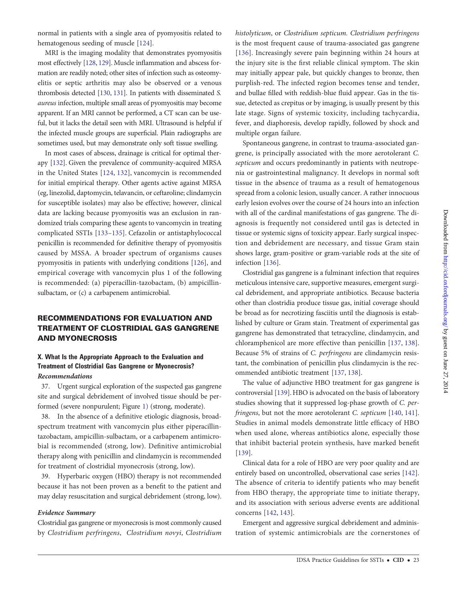normal in patients with a single area of pyomyositis related to hematogenous seeding of muscle [[124\]](#page-39-0).

MRI is the imaging modality that demonstrates pyomyositis most effectively [\[128](#page-39-0), [129](#page-39-0)]. Muscle inflammation and abscess formation are readily noted; other sites of infection such as osteomyelitis or septic arthritis may also be observed or a venous thrombosis detected [[130](#page-39-0), [131](#page-39-0)]. In patients with disseminated S. aureus infection, multiple small areas of pyomyositis may become apparent. If an MRI cannot be performed, a CT scan can be useful, but it lacks the detail seen with MRI. Ultrasound is helpful if the infected muscle groups are superficial. Plain radiographs are sometimes used, but may demonstrate only soft tissue swelling.

In most cases of abscess, drainage is critical for optimal therapy [\[132\]](#page-39-0). Given the prevalence of community-acquired MRSA in the United States [[124](#page-39-0), [132\]](#page-39-0), vancomycin is recommended for initial empirical therapy. Other agents active against MRSA (eg, linezolid, daptomycin, telavancin, or ceftaroline; clindamycin for susceptible isolates) may also be effective; however, clinical data are lacking because pyomyositis was an exclusion in randomized trials comparing these agents to vancomycin in treating complicated SSTIs [[133](#page-39-0)–[135](#page-39-0)]. Cefazolin or antistaphylococcal penicillin is recommended for definitive therapy of pyomyositis caused by MSSA. A broader spectrum of organisms causes pyomyositis in patients with underlying conditions [[126](#page-39-0)], and empirical coverage with vancomycin plus 1 of the following is recommended: (a) piperacillin-tazobactam, (b) ampicillinsulbactam, or (c) a carbapenem antimicrobial.

### RECOMMENDATIONS FOR EVALUATION AND TREATMENT OF CLOSTRIDIAL GAS GANGRENE AND MYONECROSIS

## X. What Is the Appropriate Approach to the Evaluation and Treatment of Clostridial Gas Gangrene or Myonecrosis?

#### Recommendations

37. Urgent surgical exploration of the suspected gas gangrene site and surgical debridement of involved tissue should be performed (severe nonpurulent; Figure [1\)](#page-1-0) (strong, moderate).

38. In the absence of a definitive etiologic diagnosis, broadspectrum treatment with vancomycin plus either piperacillintazobactam, ampicillin-sulbactam, or a carbapenem antimicrobial is recommended (strong, low). Definitive antimicrobial therapy along with penicillin and clindamycin is recommended for treatment of clostridial myonecrosis (strong, low).

39. Hyperbaric oxygen (HBO) therapy is not recommended because it has not been proven as a benefit to the patient and may delay resuscitation and surgical debridement (strong, low).

#### Evidence Summary

Clostridial gas gangrene or myonecrosis is most commonly caused by Clostridium perfringens, Clostridium novyi, Clostridium histolyticum, or Clostridium septicum. Clostridium perfringens is the most frequent cause of trauma-associated gas gangrene [\[136](#page-39-0)]. Increasingly severe pain beginning within 24 hours at the injury site is the first reliable clinical symptom. The skin may initially appear pale, but quickly changes to bronze, then purplish-red. The infected region becomes tense and tender, and bullae filled with reddish-blue fluid appear. Gas in the tissue, detected as crepitus or by imaging, is usually present by this late stage. Signs of systemic toxicity, including tachycardia, fever, and diaphoresis, develop rapidly, followed by shock and multiple organ failure.

Spontaneous gangrene, in contrast to trauma-associated gangrene, is principally associated with the more aerotolerant C. septicum and occurs predominantly in patients with neutropenia or gastrointestinal malignancy. It develops in normal soft tissue in the absence of trauma as a result of hematogenous spread from a colonic lesion, usually cancer. A rather innocuous early lesion evolves over the course of 24 hours into an infection with all of the cardinal manifestations of gas gangrene. The diagnosis is frequently not considered until gas is detected in tissue or systemic signs of toxicity appear. Early surgical inspection and debridement are necessary, and tissue Gram stain shows large, gram-positive or gram-variable rods at the site of infection [[136](#page-39-0)].

Clostridial gas gangrene is a fulminant infection that requires meticulous intensive care, supportive measures, emergent surgical debridement, and appropriate antibiotics. Because bacteria other than clostridia produce tissue gas, initial coverage should be broad as for necrotizing fasciitis until the diagnosis is established by culture or Gram stain. Treatment of experimental gas gangrene has demonstrated that tetracycline, clindamycin, and chloramphenicol are more effective than penicillin [[137](#page-39-0), [138\]](#page-39-0). Because 5% of strains of C. perfringens are clindamycin resistant, the combination of penicillin plus clindamycin is the recommended antibiotic treatment [\[137,](#page-39-0) [138\]](#page-39-0).

The value of adjunctive HBO treatment for gas gangrene is controversial [[139\]](#page-39-0). HBO is advocated on the basis of laboratory studies showing that it suppressed log-phase growth of C. per-fringens, but not the more aerotolerant C. septicum [[140,](#page-39-0) [141\]](#page-39-0). Studies in animal models demonstrate little efficacy of HBO when used alone, whereas antibiotics alone, especially those that inhibit bacterial protein synthesis, have marked benefit [\[139\]](#page-39-0).

Clinical data for a role of HBO are very poor quality and are entirely based on uncontrolled, observational case series [[142\]](#page-39-0). The absence of criteria to identify patients who may benefit from HBO therapy, the appropriate time to initiate therapy, and its association with serious adverse events are additional concerns [[142,](#page-39-0) [143](#page-39-0)].

Emergent and aggressive surgical debridement and administration of systemic antimicrobials are the cornerstones of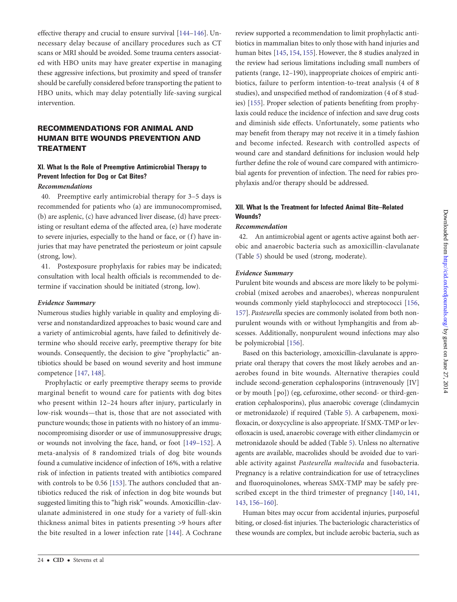effective therapy and crucial to ensure survival [[144](#page-39-0)–[146](#page-40-0)]. Unnecessary delay because of ancillary procedures such as CT scans or MRI should be avoided. Some trauma centers associated with HBO units may have greater expertise in managing these aggressive infections, but proximity and speed of transfer should be carefully considered before transporting the patient to HBO units, which may delay potentially life-saving surgical intervention.

### RECOMMENDATIONS FOR ANIMAL AND HUMAN BITE WOUNDS PREVENTION AND TREATMENT

### XI. What Is the Role of Preemptive Antimicrobial Therapy to Prevent Infection for Dog or Cat Bites?

#### Recommendations

40. Preemptive early antimicrobial therapy for 3–5 days is recommended for patients who (a) are immunocompromised, (b) are asplenic, (c) have advanced liver disease, (d) have preexisting or resultant edema of the affected area, (e) have moderate to severe injuries, especially to the hand or face, or (f) have injuries that may have penetrated the periosteum or joint capsule (strong, low).

41. Postexposure prophylaxis for rabies may be indicated; consultation with local health officials is recommended to determine if vaccination should be initiated (strong, low).

#### Evidence Summary

Numerous studies highly variable in quality and employing diverse and nonstandardized approaches to basic wound care and a variety of antimicrobial agents, have failed to definitively determine who should receive early, preemptive therapy for bite wounds. Consequently, the decision to give "prophylactic" antibiotics should be based on wound severity and host immune competence [\[147](#page-40-0), [148\]](#page-40-0).

Prophylactic or early preemptive therapy seems to provide marginal benefit to wound care for patients with dog bites who present within 12–24 hours after injury, particularly in low-risk wounds—that is, those that are not associated with puncture wounds; those in patients with no history of an immunocompromising disorder or use of immunosuppressive drugs; or wounds not involving the face, hand, or foot [\[149](#page-40-0)–[152\]](#page-40-0). A meta-analysis of 8 randomized trials of dog bite wounds found a cumulative incidence of infection of 16%, with a relative risk of infection in patients treated with antibiotics compared with controls to be 0.56 [[153](#page-40-0)]. The authors concluded that antibiotics reduced the risk of infection in dog bite wounds but suggested limiting this to "high risk" wounds. Amoxicillin-clavulanate administered in one study for a variety of full-skin thickness animal bites in patients presenting >9 hours after the bite resulted in a lower infection rate [[144](#page-39-0)]. A Cochrane review supported a recommendation to limit prophylactic antibiotics in mammalian bites to only those with hand injuries and human bites [[145](#page-40-0), [154,](#page-40-0) [155](#page-40-0)]. However, the 8 studies analyzed in the review had serious limitations including small numbers of patients (range, 12–190), inappropriate choices of empiric antibiotics, failure to perform intention-to-treat analysis (4 of 8 studies), and unspecified method of randomization (4 of 8 studies) [[155\]](#page-40-0). Proper selection of patients benefiting from prophylaxis could reduce the incidence of infection and save drug costs and diminish side effects. Unfortunately, some patients who may benefit from therapy may not receive it in a timely fashion and become infected. Research with controlled aspects of wound care and standard definitions for inclusion would help further define the role of wound care compared with antimicrobial agents for prevention of infection. The need for rabies prophylaxis and/or therapy should be addressed.

#### XII. What Is the Treatment for Infected Animal Bite–Related Wounds?

#### Recommendation

42. An antimicrobial agent or agents active against both aerobic and anaerobic bacteria such as amoxicillin-clavulanate (Table [5\)](#page-24-0) should be used (strong, moderate).

#### Evidence Summary

Purulent bite wounds and abscess are more likely to be polymicrobial (mixed aerobes and anaerobes), whereas nonpurulent wounds commonly yield staphylococci and streptococci [[156,](#page-40-0) [157\]](#page-40-0). Pasteurella species are commonly isolated from both nonpurulent wounds with or without lymphangitis and from abscesses. Additionally, nonpurulent wound infections may also be polymicrobial [\[156\]](#page-40-0).

Based on this bacteriology, amoxicillin-clavulanate is appropriate oral therapy that covers the most likely aerobes and anaerobes found in bite wounds. Alternative therapies could include second-generation cephalosporins (intravenously [IV] or by mouth [ po]) (eg, cefuroxime, other second- or third-generation cephalosporins), plus anaerobic coverage (clindamycin or metronidazole) if required (Table [5\)](#page-24-0). A carbapenem, moxifloxacin, or doxycycline is also appropriate. If SMX-TMP or levofloxacin is used, anaerobic coverage with either clindamycin or metronidazole should be added (Table [5\)](#page-24-0). Unless no alternative agents are available, macrolides should be avoided due to variable activity against Pasteurella multocida and fusobacteria. Pregnancy is a relative contraindication for use of tetracyclines and fluoroquinolones, whereas SMX-TMP may be safely prescribed except in the third trimester of pregnancy [[140](#page-39-0), [141,](#page-39-0) [143,](#page-39-0) [156](#page-40-0)–[160\]](#page-40-0).

Human bites may occur from accidental injuries, purposeful biting, or closed-fist injuries. The bacteriologic characteristics of these wounds are complex, but include aerobic bacteria, such as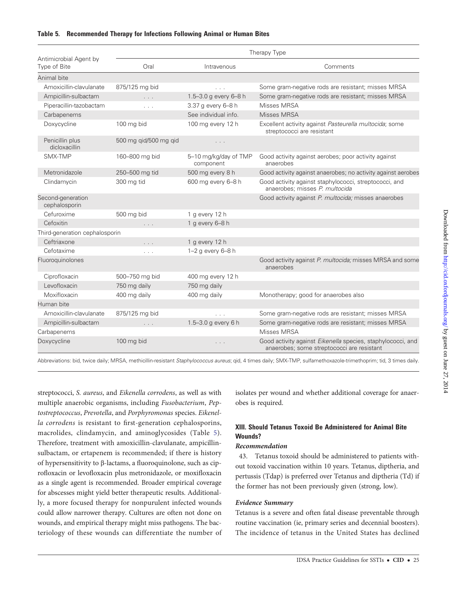|                                        |                       |                                    | Therapy Type                                                                                              |
|----------------------------------------|-----------------------|------------------------------------|-----------------------------------------------------------------------------------------------------------|
| Antimicrobial Agent by<br>Type of Bite | Oral                  | Intravenous                        | Comments                                                                                                  |
| Animal bite                            |                       |                                    |                                                                                                           |
| Amoxicillin-clavulanate                | 875/125 mg bid        |                                    | Some gram-negative rods are resistant; misses MRSA                                                        |
| Ampicillin-sulbactam                   | $\cdots$              | 1.5-3.0 g every 6-8 h              | Some gram-negative rods are resistant; misses MRSA                                                        |
| Piperacillin-tazobactam                | $\sim$ $\sim$ $\sim$  | 3.37 g every 6-8 h                 | Misses MRSA                                                                                               |
| Carbapenems                            |                       | See individual info.               | Misses MRSA                                                                                               |
| Doxycycline                            | 100 mg bid            | 100 mg every 12 h                  | Excellent activity against Pasteurella multocida; some<br>streptococci are resistant                      |
| Penicillin plus<br>dicloxacillin       | 500 mg gid/500 mg gid | $\cdots$                           |                                                                                                           |
| SMX-TMP                                | 160-800 mg bid        | 5-10 mg/kg/day of TMP<br>component | Good activity against aerobes; poor activity against<br>anaerobes                                         |
| Metronidazole                          | 250-500 mg tid        | 500 mg every 8 h                   | Good activity against anaerobes; no activity against aerobes                                              |
| Clindamycin                            | 300 mg tid            | 600 mg every 6-8 h                 | Good activity against staphylococci, streptococci, and<br>anaerobes; misses P. multocida                  |
| Second-generation<br>cephalosporin     |                       |                                    | Good activity against P. multocida; misses anaerobes                                                      |
| Cefuroxime                             | 500 mg bid            | 1 g every 12 h                     |                                                                                                           |
| Cefoxitin                              | $\cdots$              | 1 g every $6 - 8$ h                |                                                                                                           |
| Third-generation cephalosporin         |                       |                                    |                                                                                                           |
| Ceftriaxone                            | $\cdots$              | 1 g every 12 h                     |                                                                                                           |
| Cefotaxime                             | $\sim$ $ \sim$        | 1-2 g every 6-8 h                  |                                                                                                           |
| Fluoroquinolones                       |                       |                                    | Good activity against P. multocida; misses MRSA and some<br>anaerobes                                     |
| Ciprofloxacin                          | 500-750 mg bid        | 400 mg every 12 h                  |                                                                                                           |
| Levofloxacin                           | 750 mg daily          | 750 mg daily                       |                                                                                                           |
| Moxifloxacin                           | 400 mg daily          | 400 mg daily                       | Monotherapy; good for anaerobes also                                                                      |
| Human bite                             |                       |                                    |                                                                                                           |
| Amoxicillin-clavulanate                | 875/125 mg bid        | $\sim$ $\sim$                      | Some gram-negative rods are resistant; misses MRSA                                                        |
| Ampicillin-sulbactam                   |                       | 1.5-3.0 g every 6 h                | Some gram-negative rods are resistant; misses MRSA                                                        |
| Carbapenems                            |                       |                                    | Misses MRSA                                                                                               |
| Doxycycline                            | 100 mg bid            |                                    | Good activity against Eikenella species, staphylococci, and<br>anaerobes; some streptococci are resistant |

#### <span id="page-24-0"></span>Table 5. Recommended Therapy for Infections Following Animal or Human Bites

Abbreviations: bid, twice daily; MRSA, methicillin-resistant Staphylococcus aureus; qid, 4 times daily; SMX-TMP, sulfamethoxazole-trimethoprim; tid, 3 times daily.

streptococci, S. aureus, and Eikenella corrodens, as well as with multiple anaerobic organisms, including Fusobacterium, Peptostreptococcus, Prevotella, and Porphyromonas species. Eikenella corrodens is resistant to first-generation cephalosporins, macrolides, clindamycin, and aminoglycosides (Table 5). Therefore, treatment with amoxicillin-clavulanate, ampicillinsulbactam, or ertapenem is recommended; if there is history of hypersensitivity to β-lactams, a fluoroquinolone, such as ciprofloxacin or levofloxacin plus metronidazole, or moxifloxacin as a single agent is recommended. Broader empirical coverage for abscesses might yield better therapeutic results. Additionally, a more focused therapy for nonpurulent infected wounds could allow narrower therapy. Cultures are often not done on wounds, and empirical therapy might miss pathogens. The bacteriology of these wounds can differentiate the number of isolates per wound and whether additional coverage for anaerobes is required.

#### XIII. Should Tetanus Toxoid Be Administered for Animal Bite Wounds?

#### Recommendation

43. Tetanus toxoid should be administered to patients without toxoid vaccination within 10 years. Tetanus, diptheria, and pertussis (Tdap) is preferred over Tetanus and diptheria (Td) if the former has not been previously given (strong, low).

#### Evidence Summary

Tetanus is a severe and often fatal disease preventable through routine vaccination (ie, primary series and decennial boosters). The incidence of tetanus in the United States has declined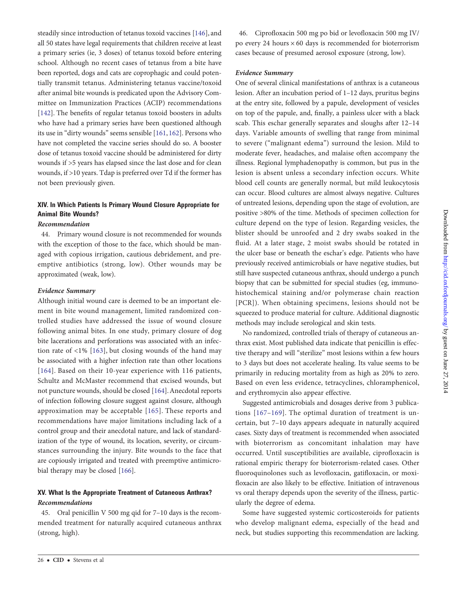steadily since introduction of tetanus toxoid vaccines [\[146\]](#page-40-0), and all 50 states have legal requirements that children receive at least a primary series (ie, 3 doses) of tetanus toxoid before entering school. Although no recent cases of tetanus from a bite have been reported, dogs and cats are coprophagic and could potentially transmit tetanus. Administering tetanus vaccine/toxoid after animal bite wounds is predicated upon the Advisory Committee on Immunization Practices (ACIP) recommendations [\[142\]](#page-39-0). The benefits of regular tetanus toxoid boosters in adults who have had a primary series have been questioned although its use in "dirty wounds" seems sensible [\[161,](#page-40-0) [162](#page-40-0)]. Persons who have not completed the vaccine series should do so. A booster dose of tetanus toxoid vaccine should be administered for dirty wounds if >5 years has elapsed since the last dose and for clean wounds, if >10 years. Tdap is preferred over Td if the former has not been previously given.

### XIV. In Which Patients Is Primary Wound Closure Appropriate for Animal Bite Wounds?

#### Recommendation

44. Primary wound closure is not recommended for wounds with the exception of those to the face, which should be managed with copious irrigation, cautious debridement, and preemptive antibiotics (strong, low). Other wounds may be approximated (weak, low).

#### Evidence Summary

Although initial wound care is deemed to be an important element in bite wound management, limited randomized controlled studies have addressed the issue of wound closure following animal bites. In one study, primary closure of dog bite lacerations and perforations was associated with an infection rate of <1% [\[163](#page-40-0)], but closing wounds of the hand may be associated with a higher infection rate than other locations [\[164\]](#page-40-0). Based on their 10-year experience with 116 patients, Schultz and McMaster recommend that excised wounds, but not puncture wounds, should be closed [\[164\]](#page-40-0).Anecdotal reports of infection following closure suggest against closure, although approximation may be acceptable [[165](#page-40-0)]. These reports and recommendations have major limitations including lack of a control group and their anecdotal nature, and lack of standardization of the type of wound, its location, severity, or circumstances surrounding the injury. Bite wounds to the face that are copiously irrigated and treated with preemptive antimicrobial therapy may be closed [\[166\]](#page-40-0).

#### XV. What Is the Appropriate Treatment of Cutaneous Anthrax? Recommendations

45. Oral penicillin V 500 mg qid for 7–10 days is the recommended treatment for naturally acquired cutaneous anthrax (strong, high).

#### Evidence Summary

One of several clinical manifestations of anthrax is a cutaneous lesion. After an incubation period of 1–12 days, pruritus begins at the entry site, followed by a papule, development of vesicles on top of the papule, and, finally, a painless ulcer with a black scab. This eschar generally separates and sloughs after 12–14 days. Variable amounts of swelling that range from minimal to severe ("malignant edema") surround the lesion. Mild to moderate fever, headaches, and malaise often accompany the illness. Regional lymphadenopathy is common, but pus in the lesion is absent unless a secondary infection occurs. White blood cell counts are generally normal, but mild leukocytosis can occur. Blood cultures are almost always negative. Cultures of untreated lesions, depending upon the stage of evolution, are positive >80% of the time. Methods of specimen collection for culture depend on the type of lesion. Regarding vesicles, the blister should be unroofed and 2 dry swabs soaked in the fluid. At a later stage, 2 moist swabs should be rotated in the ulcer base or beneath the eschar's edge. Patients who have previously received antimicrobials or have negative studies, but still have suspected cutaneous anthrax, should undergo a punch biopsy that can be submitted for special studies (eg, immunohistochemical staining and/or polymerase chain reaction [PCR]). When obtaining specimens, lesions should not be squeezed to produce material for culture. Additional diagnostic methods may include serological and skin tests.

No randomized, controlled trials of therapy of cutaneous anthrax exist. Most published data indicate that penicillin is effective therapy and will "sterilize" most lesions within a few hours to 3 days but does not accelerate healing. Its value seems to be primarily in reducing mortality from as high as 20% to zero. Based on even less evidence, tetracyclines, chloramphenicol, and erythromycin also appear effective.

Suggested antimicrobials and dosages derive from 3 publications [[167](#page-40-0)–[169\]](#page-40-0). The optimal duration of treatment is uncertain, but 7–10 days appears adequate in naturally acquired cases. Sixty days of treatment is recommended when associated with bioterrorism as concomitant inhalation may have occurred. Until susceptibilities are available, ciprofloxacin is rational empiric therapy for bioterrorism-related cases. Other fluoroquinolones such as levofloxacin, gatifloxacin, or moxifloxacin are also likely to be effective. Initiation of intravenous vs oral therapy depends upon the severity of the illness, particularly the degree of edema.

Some have suggested systemic corticosteroids for patients who develop malignant edema, especially of the head and neck, but studies supporting this recommendation are lacking.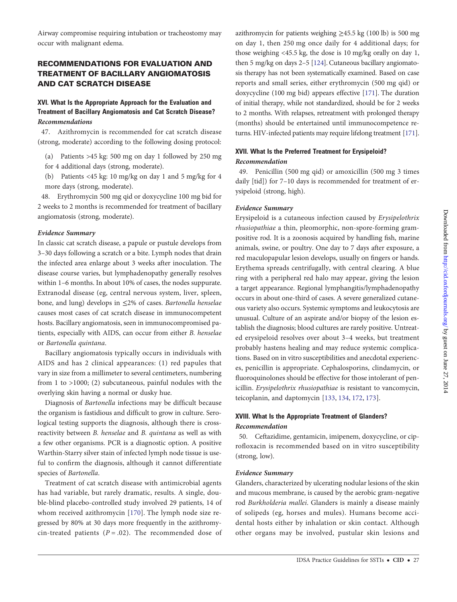Airway compromise requiring intubation or tracheostomy may occur with malignant edema.

### RECOMMENDATIONS FOR EVALUATION AND TREATMENT OF BACILLARY ANGIOMATOSIS AND CAT SCRATCH DISEASE

#### XVI. What Is the Appropriate Approach for the Evaluation and Treatment of Bacillary Angiomatosis and Cat Scratch Disease? Recommendations

47. Azithromycin is recommended for cat scratch disease (strong, moderate) according to the following dosing protocol:

- (a) Patients >45 kg: 500 mg on day 1 followed by 250 mg for 4 additional days (strong, moderate).
- (b) Patients <45 kg: 10 mg/kg on day 1 and 5 mg/kg for 4 more days (strong, moderate).

48. Erythromycin 500 mg qid or doxycycline 100 mg bid for 2 weeks to 2 months is recommended for treatment of bacillary angiomatosis (strong, moderate).

#### Evidence Summary

In classic cat scratch disease, a papule or pustule develops from 3–30 days following a scratch or a bite. Lymph nodes that drain the infected area enlarge about 3 weeks after inoculation. The disease course varies, but lymphadenopathy generally resolves within 1–6 months. In about 10% of cases, the nodes suppurate. Extranodal disease (eg, central nervous system, liver, spleen, bone, and lung) develops in ≤2% of cases. Bartonella henselae causes most cases of cat scratch disease in immunocompetent hosts. Bacillary angiomatosis, seen in immunocompromised patients, especially with AIDS, can occur from either B. henselae or Bartonella quintana.

Bacillary angiomatosis typically occurs in individuals with AIDS and has 2 clinical appearances: (1) red papules that vary in size from a millimeter to several centimeters, numbering from 1 to >1000; (2) subcutaneous, painful nodules with the overlying skin having a normal or dusky hue.

Diagnosis of Bartonella infections may be difficult because the organism is fastidious and difficult to grow in culture. Serological testing supports the diagnosis, although there is crossreactivity between B. henselae and B. quintana as well as with a few other organisms. PCR is a diagnostic option. A positive Warthin-Starry silver stain of infected lymph node tissue is useful to confirm the diagnosis, although it cannot differentiate species of Bartonella.

Treatment of cat scratch disease with antimicrobial agents has had variable, but rarely dramatic, results. A single, double-blind placebo-controlled study involved 29 patients, 14 of whom received azithromycin [[170](#page-40-0)]. The lymph node size regressed by 80% at 30 days more frequently in the azithromycin-treated patients  $(P=.02)$ . The recommended dose of

azithromycin for patients weighing  $\geq$ 45.5 kg (100 lb) is 500 mg on day 1, then 250 mg once daily for 4 additional days; for those weighing <45.5 kg, the dose is 10 mg/kg orally on day 1, then 5 mg/kg on days 2–5 [\[124\]](#page-39-0). Cutaneous bacillary angiomatosis therapy has not been systematically examined. Based on case reports and small series, either erythromycin (500 mg qid) or doxycycline (100 mg bid) appears effective [\[171\]](#page-40-0). The duration of initial therapy, while not standardized, should be for 2 weeks to 2 months. With relapses, retreatment with prolonged therapy (months) should be entertained until immunocompetence returns. HIV-infected patients may require lifelong treatment [\[171\]](#page-40-0).

#### XVII. What Is the Preferred Treatment for Erysipeloid? Recommendation

49. Penicillin (500 mg qid) or amoxicillin (500 mg 3 times daily [tid]) for 7–10 days is recommended for treatment of erysipeloid (strong, high).

#### Evidence Summary

Erysipeloid is a cutaneous infection caused by Erysipelothrix rhusiopathiae a thin, pleomorphic, non-spore-forming grampositive rod. It is a zoonosis acquired by handling fish, marine animals, swine, or poultry. One day to 7 days after exposure, a red maculopapular lesion develops, usually on fingers or hands. Erythema spreads centrifugally, with central clearing. A blue ring with a peripheral red halo may appear, giving the lesion a target appearance. Regional lymphangitis/lymphadenopathy occurs in about one-third of cases. A severe generalized cutaneous variety also occurs. Systemic symptoms and leukocytosis are unusual. Culture of an aspirate and/or biopsy of the lesion establish the diagnosis; blood cultures are rarely positive. Untreated erysipeloid resolves over about 3–4 weeks, but treatment probably hastens healing and may reduce systemic complications. Based on in vitro susceptibilities and anecdotal experiences, penicillin is appropriate. Cephalosporins, clindamycin, or fluoroquinolones should be effective for those intolerant of penicillin. Erysipelothrix rhusiopathiae is resistant to vancomycin, teicoplanin, and daptomycin [[133,](#page-39-0) [134](#page-39-0), [172](#page-40-0), [173](#page-40-0)].

### XVIII. What Is the Appropriate Treatment of Glanders? Recommendation

50. Ceftazidime, gentamicin, imipenem, doxycycline, or ciprofloxacin is recommended based on in vitro susceptibility (strong, low).

#### Evidence Summary

Glanders, characterized by ulcerating nodular lesions of the skin and mucous membrane, is caused by the aerobic gram-negative rod Burkholderia mallei. Glanders is mainly a disease mainly of solipeds (eg, horses and mules). Humans become accidental hosts either by inhalation or skin contact. Although other organs may be involved, pustular skin lesions and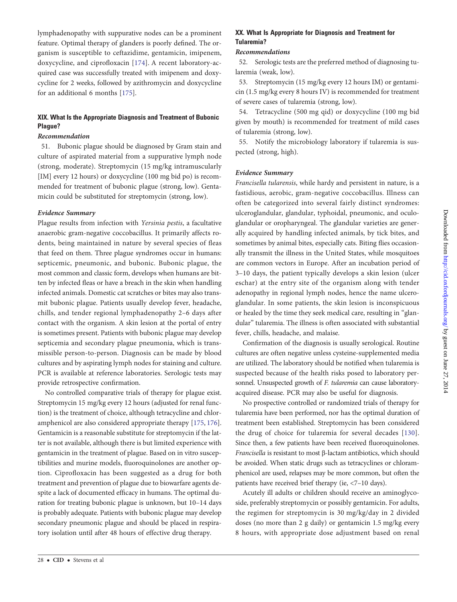lymphadenopathy with suppurative nodes can be a prominent feature. Optimal therapy of glanders is poorly defined. The organism is susceptible to ceftazidime, gentamicin, imipenem, doxycycline, and ciprofloxacin [[174\]](#page-40-0). A recent laboratory-acquired case was successfully treated with imipenem and doxycycline for 2 weeks, followed by azithromycin and doxycycline for an additional 6 months [[175](#page-40-0)].

#### XIX. What Is the Appropriate Diagnosis and Treatment of Bubonic Plague?

#### Recommendation

51. Bubonic plague should be diagnosed by Gram stain and culture of aspirated material from a suppurative lymph node (strong, moderate). Streptomycin (15 mg/kg intramuscularly [IM] every 12 hours) or doxycycline (100 mg bid po) is recommended for treatment of bubonic plague (strong, low). Gentamicin could be substituted for streptomycin (strong, low).

#### Evidence Summary

Plague results from infection with Yersinia pestis, a facultative anaerobic gram-negative coccobacillus. It primarily affects rodents, being maintained in nature by several species of fleas that feed on them. Three plague syndromes occur in humans: septicemic, pneumonic, and bubonic. Bubonic plague, the most common and classic form, develops when humans are bitten by infected fleas or have a breach in the skin when handling infected animals. Domestic cat scratches or bites may also transmit bubonic plague. Patients usually develop fever, headache, chills, and tender regional lymphadenopathy 2–6 days after contact with the organism. A skin lesion at the portal of entry is sometimes present. Patients with bubonic plague may develop septicemia and secondary plague pneumonia, which is transmissible person-to-person. Diagnosis can be made by blood cultures and by aspirating lymph nodes for staining and culture. PCR is available at reference laboratories. Serologic tests may provide retrospective confirmation.

No controlled comparative trials of therapy for plague exist. Streptomycin 15 mg/kg every 12 hours (adjusted for renal function) is the treatment of choice, although tetracycline and chloramphenicol are also considered appropriate therapy [\[175](#page-40-0), [176\]](#page-40-0). Gentamicin is a reasonable substitute for streptomycin if the latter is not available, although there is but limited experience with gentamicin in the treatment of plague. Based on in vitro susceptibilities and murine models, fluoroquinolones are another option. Ciprofloxacin has been suggested as a drug for both treatment and prevention of plague due to biowarfare agents despite a lack of documented efficacy in humans. The optimal duration for treating bubonic plague is unknown, but 10–14 days is probably adequate. Patients with bubonic plague may develop secondary pneumonic plague and should be placed in respiratory isolation until after 48 hours of effective drug therapy.

### XX. What Is Appropriate for Diagnosis and Treatment for Tularemia?

#### Recommendations

52. Serologic tests are the preferred method of diagnosing tularemia (weak, low).

53. Streptomycin (15 mg/kg every 12 hours IM) or gentamicin (1.5 mg/kg every 8 hours IV) is recommended for treatment of severe cases of tularemia (strong, low).

54. Tetracycline (500 mg qid) or doxycycline (100 mg bid given by mouth) is recommended for treatment of mild cases of tularemia (strong, low).

55. Notify the microbiology laboratory if tularemia is suspected (strong, high).

#### Evidence Summary

Francisella tularensis, while hardy and persistent in nature, is a fastidious, aerobic, gram-negative coccobacillus. Illness can often be categorized into several fairly distinct syndromes: ulceroglandular, glandular, typhoidal, pneumonic, and oculoglandular or oropharyngeal. The glandular varieties are generally acquired by handling infected animals, by tick bites, and sometimes by animal bites, especially cats. Biting flies occasionally transmit the illness in the United States, while mosquitoes are common vectors in Europe. After an incubation period of 3–10 days, the patient typically develops a skin lesion (ulcer eschar) at the entry site of the organism along with tender adenopathy in regional lymph nodes, hence the name ulceroglandular. In some patients, the skin lesion is inconspicuous or healed by the time they seek medical care, resulting in "glandular" tularemia. The illness is often associated with substantial fever, chills, headache, and malaise.

Confirmation of the diagnosis is usually serological. Routine cultures are often negative unless cysteine-supplemented media are utilized. The laboratory should be notified when tularemia is suspected because of the health risks posed to laboratory personnel. Unsuspected growth of F. tularemia can cause laboratoryacquired disease. PCR may also be useful for diagnosis.

No prospective controlled or randomized trials of therapy for tularemia have been performed, nor has the optimal duration of treatment been established. Streptomycin has been considered the drug of choice for tularemia for several decades [\[130](#page-39-0)]. Since then, a few patients have been received fluoroquinolones. Francisella is resistant to most β-lactam antibiotics, which should be avoided. When static drugs such as tetracyclines or chloramphenicol are used, relapses may be more common, but often the patients have received brief therapy (ie, <7–10 days).

Acutely ill adults or children should receive an aminoglycoside, preferably streptomycin or possibly gentamicin. For adults, the regimen for streptomycin is 30 mg/kg/day in 2 divided doses (no more than 2 g daily) or gentamicin 1.5 mg/kg every 8 hours, with appropriate dose adjustment based on renal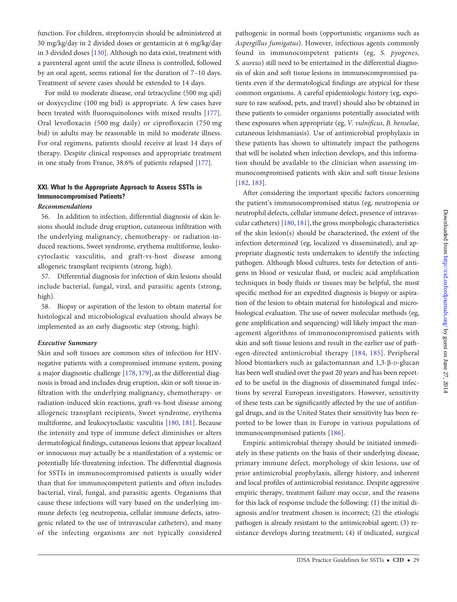function. For children, streptomycin should be administered at 30 mg/kg/day in 2 divided doses or gentamicin at 6 mg/kg/day in 3 divided doses [[130](#page-39-0)]. Although no data exist, treatment with a parenteral agent until the acute illness is controlled, followed by an oral agent, seems rational for the duration of 7–10 days. Treatment of severe cases should be extended to 14 days.

For mild to moderate disease, oral tetracycline (500 mg qid) or doxycycline (100 mg bid) is appropriate. A few cases have been treated with fluoroquinolones with mixed results [[177\]](#page-40-0). Oral levofloxacin (500 mg daily) or ciprofloxacin (750 mg bid) in adults may be reasonable in mild to moderate illness. For oral regimens, patients should receive at least 14 days of therapy. Despite clinical responses and appropriate treatment in one study from France, 38.6% of patients relapsed [\[177\]](#page-40-0).

### XXI. What Is the Appropriate Approach to Assess SSTIs in Immunocompromised Patients?

#### Recommendations

56. In addition to infection, differential diagnosis of skin lesions should include drug eruption, cutaneous infiltration with the underlying malignancy, chemotherapy- or radiation-induced reactions, Sweet syndrome, erythema multiforme, leukocytoclastic vasculitis, and graft-vs-host disease among allogeneic transplant recipients (strong, high).

57. Differential diagnosis for infection of skin lesions should include bacterial, fungal, viral, and parasitic agents (strong, high).

58. Biopsy or aspiration of the lesion to obtain material for histological and microbiological evaluation should always be implemented as an early diagnostic step (strong, high).

#### Executive Summary

Skin and soft tissues are common sites of infection for HIVnegative patients with a compromised immune system, posing a major diagnostic challenge [\[178](#page-40-0), [179\]](#page-40-0), as the differential diagnosis is broad and includes drug eruption, skin or soft tissue infiltration with the underlying malignancy, chemotherapy- or radiation-induced skin reactions, graft-vs-host disease among allogeneic transplant recipients, Sweet syndrome, erythema multiforme, and leukocytoclastic vasculitis [\[180](#page-40-0), [181](#page-40-0)]. Because the intensity and type of immune defect diminishes or alters dermatological findings, cutaneous lesions that appear localized or innocuous may actually be a manifestation of a systemic or potentially life-threatening infection. The differential diagnosis for SSTIs in immunocompromised patients is usually wider than that for immunocompetent patients and often includes bacterial, viral, fungal, and parasitic agents. Organisms that cause these infections will vary based on the underlying immune defects (eg neutropenia, cellular immune defects, iatrogenic related to the use of intravascular catheters), and many of the infecting organisms are not typically considered

pathogenic in normal hosts (opportunistic organisms such as Aspergillus fumigatus). However, infectious agents commonly found in immunocompetent patients (eg, S. pyogenes, S. aureus) still need to be entertained in the differential diagnosis of skin and soft tissue lesions in immunocompromised patients even if the dermatological findings are atypical for these common organisms. A careful epidemiologic history (eg, exposure to raw seafood, pets, and travel) should also be obtained in these patients to consider organisms potentially associated with these exposures when appropriate (eg, V. vulnificus, B. henselae, cutaneous leishmaniasis). Use of antimicrobial prophylaxis in these patients has shown to ultimately impact the pathogens that will be isolated when infection develops, and this information should be available to the clinician when assessing immunocompromised patients with skin and soft tissue lesions [\[182,](#page-40-0) [183\]](#page-40-0).

After considering the important specific factors concerning the patient's immunocompromised status (eg, neutropenia or neutrophil defects, cellular immune defect, presence of intravascular catheters) [[180](#page-40-0), [181](#page-40-0)], the gross morphologic characteristics of the skin lesion(s) should be characterized, the extent of the infection determined (eg, localized vs disseminated), and appropriate diagnostic tests undertaken to identify the infecting pathogen. Although blood cultures, tests for detection of antigens in blood or vesicular fluid, or nucleic acid amplification techniques in body fluids or tissues may be helpful, the most specific method for an expedited diagnosis is biopsy or aspiration of the lesion to obtain material for histological and microbiological evaluation. The use of newer molecular methods (eg, gene amplification and sequencing) will likely impact the management algorithms of immunocompromised patients with skin and soft tissue lesions and result in the earlier use of pathogen-directed antimicrobial therapy [[184,](#page-40-0) [185\]](#page-40-0). Peripheral blood biomarkers such as galactomannan and 1,3-β-D-glucan has been well studied over the past 20 years and has been reported to be useful in the diagnosis of disseminated fungal infections by several European investigators. However, sensitivity of these tests can be significantly affected by the use of antifungal drugs, and in the United States their sensitivity has been reported to be lower than in Europe in various populations of immunocompromised patients [\[186](#page-40-0)].

Empiric antimicrobial therapy should be initiated immediately in these patients on the basis of their underlying disease, primary immune defect, morphology of skin lesions, use of prior antimicrobial prophylaxis, allergy history, and inherent and local profiles of antimicrobial resistance. Despite aggressive empiric therapy, treatment failure may occur, and the reasons for this lack of response include the following: (1) the initial diagnosis and/or treatment chosen is incorrect; (2) the etiologic pathogen is already resistant to the antimicrobial agent; (3) resistance develops during treatment; (4) if indicated, surgical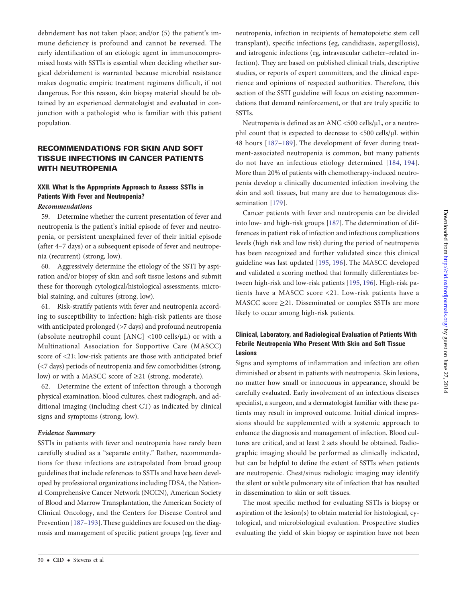debridement has not taken place; and/or (5) the patient's immune deficiency is profound and cannot be reversed. The early identification of an etiologic agent in immunocompromised hosts with SSTIs is essential when deciding whether surgical debridement is warranted because microbial resistance makes dogmatic empiric treatment regimens difficult, if not dangerous. For this reason, skin biopsy material should be obtained by an experienced dermatologist and evaluated in conjunction with a pathologist who is familiar with this patient population.

### RECOMMENDATIONS FOR SKIN AND SOFT TISSUE INFECTIONS IN CANCER PATIENTS WITH NEUTROPENIA

### XXII. What Is the Appropriate Approach to Assess SSTIs in Patients With Fever and Neutropenia?

#### Recommendations

59. Determine whether the current presentation of fever and neutropenia is the patient's initial episode of fever and neutropenia, or persistent unexplained fever of their initial episode (after 4–7 days) or a subsequent episode of fever and neutropenia (recurrent) (strong, low).

60. Aggressively determine the etiology of the SSTI by aspiration and/or biopsy of skin and soft tissue lesions and submit these for thorough cytological/histological assessments, microbial staining, and cultures (strong, low).

61. Risk-stratify patients with fever and neutropenia according to susceptibility to infection: high-risk patients are those with anticipated prolonged (>7 days) and profound neutropenia (absolute neutrophil count  $[ANC] < 100$  cells/ $\mu$ L) or with a Multinational Association for Supportive Care (MASCC) score of <21; low-risk patients are those with anticipated brief (<7 days) periods of neutropenia and few comorbidities (strong, low) or with a MASCC score of ≥21 (strong, moderate).

62. Determine the extent of infection through a thorough physical examination, blood cultures, chest radiograph, and additional imaging (including chest CT) as indicated by clinical signs and symptoms (strong, low).

#### Evidence Summary

SSTIs in patients with fever and neutropenia have rarely been carefully studied as a "separate entity." Rather, recommendations for these infections are extrapolated from broad group guidelines that include references to SSTIs and have been developed by professional organizations including IDSA, the National Comprehensive Cancer Network (NCCN), American Society of Blood and Marrow Transplantation, the American Society of Clinical Oncology, and the Centers for Disease Control and Prevention [\[187](#page-40-0)–[193\]](#page-40-0). These guidelines are focused on the diagnosis and management of specific patient groups (eg, fever and

neutropenia, infection in recipients of hematopoietic stem cell transplant), specific infections (eg, candidiasis, aspergillosis), and iatrogenic infections (eg, intravascular catheter–related infection). They are based on published clinical trials, descriptive studies, or reports of expert committees, and the clinical experience and opinions of respected authorities. Therefore, this section of the SSTI guideline will focus on existing recommendations that demand reinforcement, or that are truly specific to SSTIs.

Neutropenia is defined as an ANC <500 cells/µL, or a neutrophil count that is expected to decrease to <500 cells/µL within 48 hours [[187](#page-40-0)–[189\]](#page-40-0). The development of fever during treatment-associated neutropenia is common, but many patients do not have an infectious etiology determined [[184](#page-40-0), [194](#page-41-0)]. More than 20% of patients with chemotherapy-induced neutropenia develop a clinically documented infection involving the skin and soft tissues, but many are due to hematogenous dis-semination [\[179\]](#page-40-0).

Cancer patients with fever and neutropenia can be divided into low- and high-risk groups [\[187](#page-40-0)]. The determination of differences in patient risk of infection and infectious complications levels (high risk and low risk) during the period of neutropenia has been recognized and further validated since this clinical guideline was last updated [[195,](#page-41-0) [196\]](#page-41-0). The MASCC developed and validated a scoring method that formally differentiates between high-risk and low-risk patients [[195,](#page-41-0) [196](#page-41-0)]. High-risk patients have a MASCC score <21. Low-risk patients have a MASCC score  $\geq$ 21. Disseminated or complex SSTIs are more likely to occur among high-risk patients.

### Clinical, Laboratory, and Radiological Evaluation of Patients With Febrile Neutropenia Who Present With Skin and Soft Tissue Lesions

Signs and symptoms of inflammation and infection are often diminished or absent in patients with neutropenia. Skin lesions, no matter how small or innocuous in appearance, should be carefully evaluated. Early involvement of an infectious diseases specialist, a surgeon, and a dermatologist familiar with these patients may result in improved outcome. Initial clinical impressions should be supplemented with a systemic approach to enhance the diagnosis and management of infection. Blood cultures are critical, and at least 2 sets should be obtained. Radiographic imaging should be performed as clinically indicated, but can be helpful to define the extent of SSTIs when patients are neutropenic. Chest/sinus radiologic imaging may identify the silent or subtle pulmonary site of infection that has resulted in dissemination to skin or soft tissues.

The most specific method for evaluating SSTIs is biopsy or aspiration of the lesion(s) to obtain material for histological, cytological, and microbiological evaluation. Prospective studies evaluating the yield of skin biopsy or aspiration have not been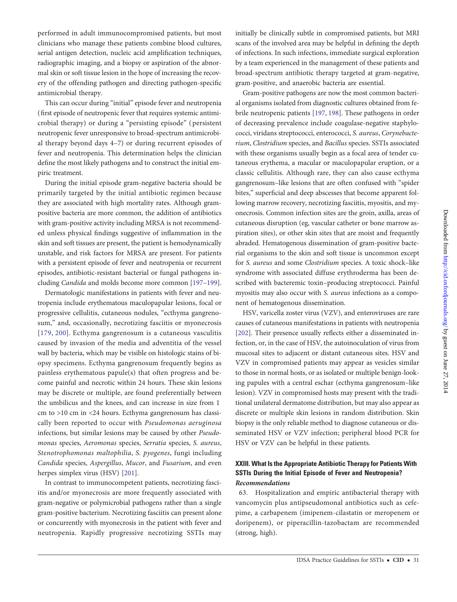performed in adult immunocompromised patients, but most clinicians who manage these patients combine blood cultures, serial antigen detection, nucleic acid amplification techniques, radiographic imaging, and a biopsy or aspiration of the abnormal skin or soft tissue lesion in the hope of increasing the recovery of the offending pathogen and directing pathogen-specific antimicrobial therapy.

This can occur during "initial" episode fever and neutropenia (first episode of neutropenic fever that requires systemic antimicrobial therapy) or during a "persisting episode" ( persistent neutropenic fever unresponsive to broad-spectrum antimicrobial therapy beyond days 4–7) or during recurrent episodes of fever and neutropenia. This determination helps the clinician define the most likely pathogens and to construct the initial empiric treatment.

During the initial episode gram-negative bacteria should be primarily targeted by the initial antibiotic regimen because they are associated with high mortality rates. Although grampositive bacteria are more common, the addition of antibiotics with gram-positive activity including MRSA is not recommended unless physical findings suggestive of inflammation in the skin and soft tissues are present, the patient is hemodynamically unstable, and risk factors for MRSA are present. For patients with a persistent episode of fever and neutropenia or recurrent episodes, antibiotic-resistant bacterial or fungal pathogens including Candida and molds become more common [\[197](#page-41-0)–[199\]](#page-41-0).

Dermatologic manifestations in patients with fever and neutropenia include erythematous maculopapular lesions, focal or progressive cellulitis, cutaneous nodules, "ecthyma gangrenosum," and, occasionally, necrotizing fasciitis or myonecrosis [\[179,](#page-40-0) [200](#page-41-0)]. Ecthyma gangrenosum is a cutaneous vasculitis caused by invasion of the media and adventitia of the vessel wall by bacteria, which may be visible on histologic stains of biopsy specimens. Ecthyma gangrenosum frequently begins as painless erythematous papule(s) that often progress and become painful and necrotic within 24 hours. These skin lesions may be discrete or multiple, are found preferentially between the umbilicus and the knees, and can increase in size from 1 cm to >10 cm in <24 hours. Ecthyma gangrenosum has classically been reported to occur with Pseudomonas aeruginosa infections, but similar lesions may be caused by other Pseudomonas species, Aeromonas species, Serratia species, S. aureus, Stenotrophomonas maltophilia, S. pyogenes, fungi including Candida species, Aspergillus, Mucor, and Fusarium, and even herpes simplex virus (HSV) [\[201](#page-41-0)].

In contrast to immunocompetent patients, necrotizing fasciitis and/or myonecrosis are more frequently associated with gram-negative or polymicrobial pathogens rather than a single gram-positive bacterium. Necrotizing fasciitis can present alone or concurrently with myonecrosis in the patient with fever and neutropenia. Rapidly progressive necrotizing SSTIs may initially be clinically subtle in compromised patients, but MRI scans of the involved area may be helpful in defining the depth of infections. In such infections, immediate surgical exploration by a team experienced in the management of these patients and broad-spectrum antibiotic therapy targeted at gram-negative, gram-positive, and anaerobic bacteria are essential.

Gram-positive pathogens are now the most common bacterial organisms isolated from diagnostic cultures obtained from febrile neutropenic patients [\[197,](#page-41-0) [198](#page-41-0)]. These pathogens in order of decreasing prevalence include coagulase-negative staphylococci, viridans streptococci, enterococci, S. aureus, Corynebacterium, Clostridium species, and Bacillus species. SSTIs associated with these organisms usually begin as a focal area of tender cutaneous erythema, a macular or maculopapular eruption, or a classic cellulitis. Although rare, they can also cause ecthyma gangrenosum–like lesions that are often confused with "spider bites," superficial and deep abscesses that become apparent following marrow recovery, necrotizing fasciitis, myositis, and myonecrosis. Common infection sites are the groin, axilla, areas of cutaneous disruption (eg, vascular catheter or bone marrow aspiration sites), or other skin sites that are moist and frequently abraded. Hematogenous dissemination of gram-positive bacterial organisms to the skin and soft tissue is uncommon except for S. aureus and some Clostridium species. A toxic shock–like syndrome with associated diffuse erythroderma has been described with bacteremic toxin–producing streptococci. Painful myositis may also occur with S. aureus infections as a component of hematogenous dissemination.

HSV, varicella zoster virus (VZV), and enteroviruses are rare causes of cutaneous manifestations in patients with neutropenia [\[202\]](#page-41-0). Their presence usually reflects either a disseminated infection, or, in the case of HSV, the autoinoculation of virus from mucosal sites to adjacent or distant cutaneous sites. HSV and VZV in compromised patients may appear as vesicles similar to those in normal hosts, or as isolated or multiple benign-looking papules with a central eschar (ecthyma gangrenosum–like lesion). VZV in compromised hosts may present with the traditional unilateral dermatome distribution, but may also appear as discrete or multiple skin lesions in random distribution. Skin biopsy is the only reliable method to diagnose cutaneous or disseminated HSV or VZV infection; peripheral blood PCR for HSV or VZV can be helpful in these patients.

### XXIII. What Is the Appropriate Antibiotic Therapy for Patients With SSTIs During the Initial Episode of Fever and Neutropenia? Recommendations

63. Hospitalization and empiric antibacterial therapy with vancomycin plus antipseudomonal antibiotics such as cefepime, a carbapenem (imipenem-cilastatin or meropenem or doripenem), or piperacillin-tazobactam are recommended (strong, high).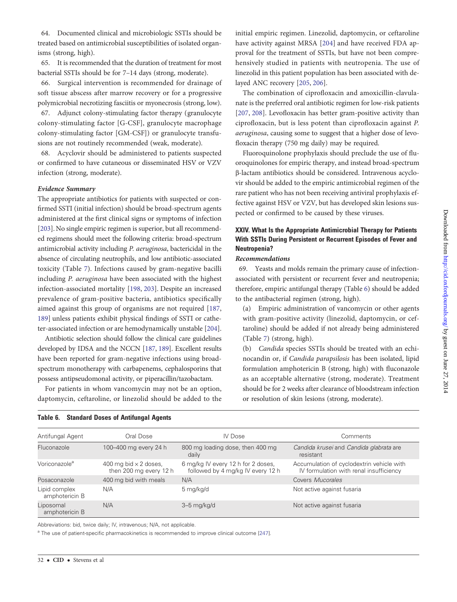<span id="page-31-0"></span>64. Documented clinical and microbiologic SSTIs should be treated based on antimicrobial susceptibilities of isolated organisms (strong, high).

65. It is recommended that the duration of treatment for most bacterial SSTIs should be for 7–14 days (strong, moderate).

66. Surgical intervention is recommended for drainage of soft tissue abscess after marrow recovery or for a progressive polymicrobial necrotizing fasciitis or myonecrosis (strong, low).

67. Adjunct colony-stimulating factor therapy (granulocyte colony-stimulating factor [G-CSF], granulocyte macrophage colony-stimulating factor [GM-CSF]) or granulocyte transfusions are not routinely recommended (weak, moderate).

68. Acyclovir should be administered to patients suspected or confirmed to have cutaneous or disseminated HSV or VZV infection (strong, moderate).

#### Evidence Summary

The appropriate antibiotics for patients with suspected or confirmed SSTI (initial infection) should be broad-spectrum agents administered at the first clinical signs or symptoms of infection [\[203\]](#page-41-0). No single empiric regimen is superior, but all recommended regimens should meet the following criteria: broad-spectrum antimicrobial activity including P. aeruginosa, bactericidal in the absence of circulating neutrophils, and low antibiotic-associated toxicity (Table [7\)](#page-32-0). Infections caused by gram-negative bacilli including P. aeruginosa have been associated with the highest infection-associated mortality [[198](#page-41-0), [203\]](#page-41-0). Despite an increased prevalence of gram-positive bacteria, antibiotics specifically aimed against this group of organisms are not required [[187,](#page-40-0) [189\]](#page-40-0) unless patients exhibit physical findings of SSTI or catheter-associated infection or are hemodynamically unstable [[204\]](#page-41-0).

Antibiotic selection should follow the clinical care guidelines developed by IDSA and the NCCN [\[187,](#page-40-0) [189](#page-40-0)]. Excellent results have been reported for gram-negative infections using broadspectrum monotherapy with carbapenems, cephalosporins that possess antipseudomonal activity, or piperacillin/tazobactam.

For patients in whom vancomycin may not be an option, daptomycin, ceftaroline, or linezolid should be added to the

initial empiric regimen. Linezolid, daptomycin, or ceftaroline have activity against MRSA [[204\]](#page-41-0) and have received FDA approval for the treatment of SSTIs, but have not been comprehensively studied in patients with neutropenia. The use of linezolid in this patient population has been associated with delayed ANC recovery [[205](#page-41-0), [206](#page-41-0)].

The combination of ciprofloxacin and amoxicillin-clavulanate is the preferred oral antibiotic regimen for low-risk patients [\[207,](#page-41-0) [208](#page-41-0)]. Levofloxacin has better gram-positive activity than ciprofloxacin, but is less potent than ciprofloxacin against P. aeruginosa, causing some to suggest that a higher dose of levofloxacin therapy (750 mg daily) may be required.

Fluoroquinolone prophylaxis should preclude the use of fluoroquinolones for empiric therapy, and instead broad-spectrum β-lactam antibiotics should be considered. Intravenous acyclovir should be added to the empiric antimicrobial regimen of the rare patient who has not been receiving antiviral prophylaxis effective against HSV or VZV, but has developed skin lesions suspected or confirmed to be caused by these viruses.

### XXIV. What Is the Appropriate Antimicrobial Therapy for Patients With SSTIs During Persistent or Recurrent Episodes of Fever a Neutropenia?

#### Recommendations

69. Yeasts and molds remain the primary cause of infectionassociated with persistent or recurrent fever and neutrope therefore, empiric antifungal therapy (Table 6) should be ad to the antibacterial regimen (strong, high).

(a) Empiric administration of vancomycin or other age with gram-positive activity (linezolid, daptomycin, or taroline) should be added if not already being administed (Table [7](#page-32-0)) (strong, high).

(b) Candida species SSTIs should be treated with an echinocandin or, if Candida parapsilosis has been isolated, lipid formulation amphotericin B (strong, high) with fluconazole as an acceptable alternative (strong, moderate). Treatment should be for 2 weeks after clearance of bloodstream infection or resolution of skin lesions (strong, moderate).

| nts  |
|------|
| and  |
|      |
|      |
| ion- |
| nia; |
| lded |
|      |
| ents |
| cef- |
| ered |
|      |

Downloaded from http://cid.oxfordjournals.org/ by guest on June 27, 2014  $Downloaded from <http://cid.oxfordjournals.ordg> by guest on June 27, 2014$ 

#### Table 6. Standard Doses of Antifungal Agents

| Antifungal Agent                | Oral Dose                                              | <b>IV</b> Dose                                                          | Comments                                                                             |
|---------------------------------|--------------------------------------------------------|-------------------------------------------------------------------------|--------------------------------------------------------------------------------------|
| Fluconazole                     | 100-400 mg every 24 h                                  | 800 mg loading dose, then 400 mg<br>daily                               | Candida krusei and Candida glabrata are<br>resistant                                 |
| Voriconazole <sup>a</sup>       | 400 mg bid $\times$ 2 doses,<br>then 200 mg every 12 h | 6 mg/kg IV every 12 h for 2 doses,<br>followed by 4 mg/kg IV every 12 h | Accumulation of cyclodextrin vehicle with<br>IV formulation with renal insufficiency |
| Posaconazole                    | 400 mg bid with meals                                  | N/A                                                                     | Covers Mucorales                                                                     |
| Lipid complex<br>amphotericin B | N/A                                                    | 5 mg/kg/d                                                               | Not active against fusaria                                                           |
| Liposomal<br>amphotericin B     | N/A                                                    | $3-5$ mg/kg/d                                                           | Not active against fusaria                                                           |

Abbreviations: bid, twice daily; IV, intravenous; N/A, not applicable.

<sup>a</sup> The use of patient-specific pharmacokinetics is recommended to improve clinical outcome [\[247\]](#page-42-0).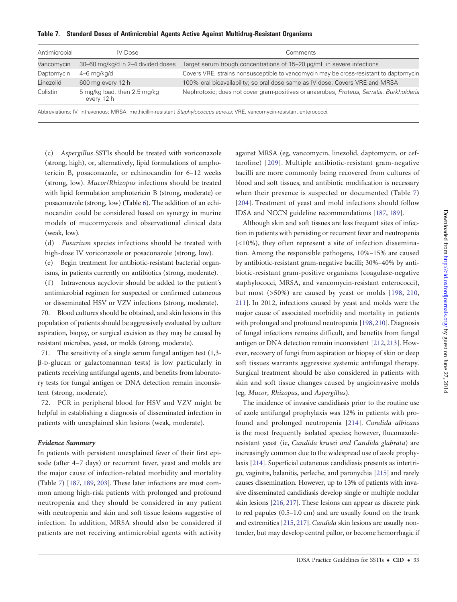<span id="page-32-0"></span>Table 7. Standard Doses of Antimicrobial Agents Active Against Multidrug-Resistant Organisms

| Antimicrobial | IV Dose                                    | Comments                                                                                 |
|---------------|--------------------------------------------|------------------------------------------------------------------------------------------|
| Vancomycin    | 30–60 mg/kg/d in 2–4 divided doses         | Target serum trough concentrations of 15–20 µg/mL in severe infections                   |
| Daptomycin    | $4-6$ mg/kg/d                              | Covers VRE, strains nonsusceptible to vancomycin may be cross-resistant to daptomycin    |
| Linezolid     | 600 mg every 12 h                          | 100% oral bioavailability; so oral dose same as IV dose. Covers VRE and MRSA             |
| Colistin      | 5 mg/kg load, then 2.5 mg/kg<br>every 12 h | Nephrotoxic; does not cover gram-positives or anaerobes, Proteus, Serratia, Burkholderia |

Abbreviations: IV, intravenous; MRSA, methicillin-resistant Staphylococcus aureus; VRE, vancomycin-resistant enterococci.

(c) Aspergillus SSTIs should be treated with voriconazole (strong, high), or, alternatively, lipid formulations of amphotericin B, posaconazole, or echinocandin for 6–12 weeks (strong, low). Mucor/Rhizopus infections should be treated with lipid formulation amphotericin B (strong, moderate) or posaconazole (strong, low) (Table [6\)](#page-31-0). The addition of an echinocandin could be considered based on synergy in murine models of mucormycosis and observational clinical data (weak, low).

(d) Fusarium species infections should be treated with high-dose IV voriconazole or posaconazole (strong, low).

- (e) Begin treatment for antibiotic-resistant bacterial organisms, in patients currently on antibiotics (strong, moderate).
- (f) Intravenous acyclovir should be added to the patient's antimicrobial regimen for suspected or confirmed cutaneous or disseminated HSV or VZV infections (strong, moderate).

70. Blood cultures should be obtained, and skin lesions in this population of patients should be aggressively evaluated by culture aspiration, biopsy, or surgical excision as they may be caused by resistant microbes, yeast, or molds (strong, moderate).

71. The sensitivity of a single serum fungal antigen test (1,3 β-D-glucan or galactomannan tests) is low particularly in patients receiving antifungal agents, and benefits from laboratory tests for fungal antigen or DNA detection remain inconsistent (strong, moderate).

72. PCR in peripheral blood for HSV and VZV might be helpful in establishing a diagnosis of disseminated infection in patients with unexplained skin lesions (weak, moderate).

#### Evidence Summary

In patients with persistent unexplained fever of their first episode (after 4–7 days) or recurrent fever, yeast and molds are the major cause of infection-related morbidity and mortality (Table 7) [\[187,](#page-40-0) [189,](#page-40-0) [203\]](#page-41-0). These later infections are most common among high-risk patients with prolonged and profound neutropenia and they should be considered in any patient with neutropenia and skin and soft tissue lesions suggestive of infection. In addition, MRSA should also be considered if patients are not receiving antimicrobial agents with activity against MRSA (eg, vancomycin, linezolid, daptomycin, or ceftaroline) [[209](#page-41-0)]. Multiple antibiotic-resistant gram-negative bacilli are more commonly being recovered from cultures of blood and soft tissues, and antibiotic modification is necessary when their presence is suspected or documented (Table 7) [\[204](#page-41-0)]. Treatment of yeast and mold infections should follow IDSA and NCCN guideline recommendations [\[187,](#page-40-0) [189\]](#page-40-0).

Although skin and soft tissues are less frequent sites of infection in patients with persisting or recurrent fever and neutropenia (<10%), they often represent a site of infection dissemination. Among the responsible pathogens, 10%–15% are caused by antibiotic-resistant gram-negative bacilli; 30%–40% by antibiotic-resistant gram-positive organisms (coagulase-negative staphylococci, MRSA, and vancomycin-resistant enterococci), but most (>50%) are caused by yeast or molds [[198,](#page-41-0) [210,](#page-41-0) [211\]](#page-41-0). In 2012, infections caused by yeast and molds were the major cause of associated morbidity and mortality in patients with prolonged and profound neutropenia [\[198,](#page-41-0) [210](#page-41-0)]. Diagnosis of fungal infections remains difficult, and benefits from fungal antigen or DNA detection remain inconsistent [\[212](#page-41-0), [213](#page-41-0)]. However, recovery of fungi from aspiration or biopsy of skin or deep soft tissues warrants aggressive systemic antifungal therapy. Surgical treatment should be also considered in patients with skin and soft tissue changes caused by angioinvasive molds (eg, Mucor, Rhizopus, and Aspergillus).

The incidence of invasive candidiasis prior to the routine use of azole antifungal prophylaxis was 12% in patients with profound and prolonged neutropenia [\[214](#page-41-0)]. Candida albicans is the most frequently isolated species; however, fluconazoleresistant yeast (ie, Candida krusei and Candida glabrata) are increasingly common due to the widespread use of azole prophylaxis [\[214](#page-41-0)]. Superficial cutaneous candidiasis presents as intertrigo, vaginitis, balanitis, perleche, and paronychia [\[215\]](#page-41-0) and rarely causes dissemination. However, up to 13% of patients with invasive disseminated candidiasis develop single or multiple nodular skin lesions [[216,](#page-41-0) [217](#page-41-0)]. These lesions can appear as discrete pink to red papules (0.5–1.0 cm) and are usually found on the trunk and extremities [\[215,](#page-41-0) [217\]](#page-41-0). Candida skin lesions are usually nontender, but may develop central pallor, or become hemorrhagic if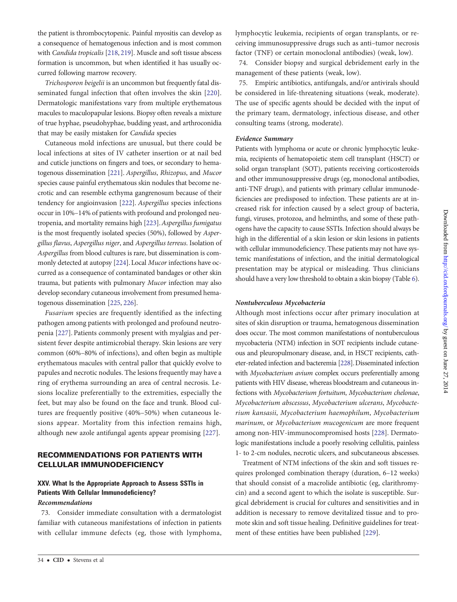the patient is thrombocytopenic. Painful myositis can develop as a consequence of hematogenous infection and is most common with Candida tropicalis [[218](#page-41-0), [219](#page-41-0)]. Muscle and soft tissue abscess formation is uncommon, but when identified it has usually occurred following marrow recovery.

Trichosporon beigelii is an uncommon but frequently fatal disseminated fungal infection that often involves the skin [[220\]](#page-41-0). Dermatologic manifestations vary from multiple erythematous macules to maculopapular lesions. Biopsy often reveals a mixture of true hyphae, pseudohyphae, budding yeast, and arthroconidia that may be easily mistaken for Candida species

Cutaneous mold infections are unusual, but there could be local infections at sites of IV catheter insertion or at nail bed and cuticle junctions on fingers and toes, or secondary to hematogenous dissemination [\[221](#page-41-0)]. Aspergillus, Rhizopus, and Mucor species cause painful erythematous skin nodules that become necrotic and can resemble ecthyma gangrenosum because of their tendency for angioinvasion [\[222\]](#page-41-0). Aspergillus species infections occur in 10%–14% of patients with profound and prolonged neutropenia, and mortality remains high [\[223](#page-41-0)].Aspergillus fumigatus is the most frequently isolated species (50%), followed by Aspergillus flavus, Aspergillus niger, and Aspergillus terreus. Isolation of Aspergillus from blood cultures is rare, but dissemination is commonly detected at autopsy [[224\]](#page-41-0). Local Mucor infections have occurred as a consequence of contaminated bandages or other skin trauma, but patients with pulmonary Mucor infection may also develop secondary cutaneous involvement from presumed hematogenous dissemination [\[225](#page-41-0), [226\]](#page-41-0).

Fusarium species are frequently identified as the infecting pathogen among patients with prolonged and profound neutropenia [\[227\]](#page-41-0). Patients commonly present with myalgias and persistent fever despite antimicrobial therapy. Skin lesions are very common (60%–80% of infections), and often begin as multiple erythematous macules with central pallor that quickly evolve to papules and necrotic nodules. The lesions frequently may have a ring of erythema surrounding an area of central necrosis. Lesions localize preferentially to the extremities, especially the feet, but may also be found on the face and trunk. Blood cultures are frequently positive (40%–50%) when cutaneous lesions appear. Mortality from this infection remains high, although new azole antifungal agents appear promising [[227\]](#page-41-0).

### RECOMMENDATIONS FOR PATIENTS WITH CELLULAR IMMUNODEFICIENCY

### XXV. What Is the Appropriate Approach to Assess SSTIs in Patients With Cellular Immunodeficiency?

#### Recommendations

73. Consider immediate consultation with a dermatologist familiar with cutaneous manifestations of infection in patients with cellular immune defects (eg, those with lymphoma, lymphocytic leukemia, recipients of organ transplants, or receiving immunosuppressive drugs such as anti–tumor necrosis factor (TNF) or certain monoclonal antibodies) (weak, low).

74. Consider biopsy and surgical debridement early in the management of these patients (weak, low).

75. Empiric antibiotics, antifungals, and/or antivirals should be considered in life-threatening situations (weak, moderate). The use of specific agents should be decided with the input of the primary team, dermatology, infectious disease, and other consulting teams (strong, moderate).

#### Evidence Summary

Patients with lymphoma or acute or chronic lymphocytic leukemia, recipients of hematopoietic stem cell transplant (HSCT) or solid organ transplant (SOT), patients receiving corticosteroids and other immunosuppressive drugs (eg, monoclonal antibodies, anti-TNF drugs), and patients with primary cellular immunodeficiencies are predisposed to infection. These patients are at increased risk for infection caused by a select group of bacteria, fungi, viruses, protozoa, and helminths, and some of these pathogens have the capacity to cause SSTIs. Infection should always be high in the differential of a skin lesion or skin lesions in patients with cellular immunodeficiency. These patients may not have systemic manifestations of infection, and the initial dermatological presentation may be atypical or misleading. Thus clinicians should have a very low threshold to obtain a skin biopsy (Table [6\)](#page-31-0).

#### Nontuberculous Mycobacteria

Although most infections occur after primary inoculation at sites of skin disruption or trauma, hematogenous dissemination does occur. The most common manifestations of nontuberculous mycobacteria (NTM) infection in SOT recipients include cutaneous and pleuropulmonary disease, and, in HSCT recipients, catheter-related infection and bacteremia [\[228\]](#page-41-0).Disseminated infection with Mycobacterium avium complex occurs preferentially among patients with HIV disease, whereas bloodstream and cutaneous infections with Mycobacterium fortuitum, Mycobacterium chelonae, Mycobacterium abscessus, Mycobacterium ulcerans, Mycobacterium kansasii, Mycobacterium haemophilum, Mycobacterium marinum, or Mycobacterium mucogenicum are more frequent among non-HIV-immunocompromised hosts [\[228\]](#page-41-0). Dermatologic manifestations include a poorly resolving cellulitis, painless 1- to 2-cm nodules, necrotic ulcers, and subcutaneous abscesses.

Treatment of NTM infections of the skin and soft tissues requires prolonged combination therapy (duration, 6–12 weeks) that should consist of a macrolide antibiotic (eg, clarithromycin) and a second agent to which the isolate is susceptible. Surgical debridement is crucial for cultures and sensitivities and in addition is necessary to remove devitalized tissue and to promote skin and soft tissue healing. Definitive guidelines for treatment of these entities have been published [[229\]](#page-41-0).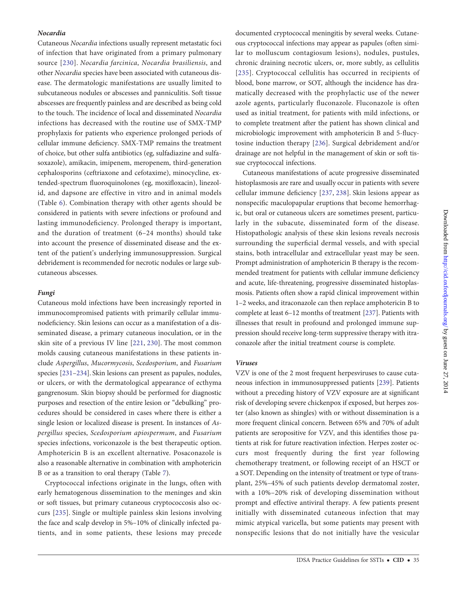#### Nocardia

Cutaneous Nocardia infections usually represent metastatic foci of infection that have originated from a primary pulmonary source [\[230\]](#page-41-0). Nocardia farcinica, Nocardia brasiliensis, and other Nocardia species have been associated with cutaneous disease. The dermatologic manifestations are usually limited to subcutaneous nodules or abscesses and panniculitis. Soft tissue abscesses are frequently painless and are described as being cold to the touch. The incidence of local and disseminated Nocardia infections has decreased with the routine use of SMX-TMP prophylaxis for patients who experience prolonged periods of cellular immune deficiency. SMX-TMP remains the treatment of choice, but other sulfa antibiotics (eg, sulfadiazine and sulfasoxazole), amikacin, imipenem, meropenem, third-generation cephalosporins (ceftriaxone and cefotaxime), minocycline, extended-spectrum fluoroquinolones (eg, moxifloxacin), linezolid, and dapsone are effective in vitro and in animal models (Table [6\)](#page-31-0). Combination therapy with other agents should be considered in patients with severe infections or profound and lasting immunodeficiency. Prolonged therapy is important, and the duration of treatment (6–24 months) should take into account the presence of disseminated disease and the extent of the patient's underlying immunosuppression. Surgical debridement is recommended for necrotic nodules or large subcutaneous abscesses.

#### Fungi

Cutaneous mold infections have been increasingly reported in immunocompromised patients with primarily cellular immunodeficiency. Skin lesions can occur as a manifestation of a disseminated disease, a primary cutaneous inoculation, or in the skin site of a previous IV line [[221,](#page-41-0) [230](#page-41-0)]. The most common molds causing cutaneous manifestations in these patients include Aspergillus, Mucormycosis, Scedosporium, and Fusarium species [[231](#page-41-0)–[234](#page-41-0)]. Skin lesions can present as papules, nodules, or ulcers, or with the dermatological appearance of ecthyma gangrenosum. Skin biopsy should be performed for diagnostic purposes and resection of the entire lesion or "debulking" procedures should be considered in cases where there is either a single lesion or localized disease is present. In instances of Aspergillus species, Scedosporium apiospermum, and Fusarium species infections, voriconazole is the best therapeutic option. Amphotericin B is an excellent alternative. Posaconazole is also a reasonable alternative in combination with amphotericin B or as a transition to oral therapy (Table [7\)](#page-32-0).

Cryptococcal infections originate in the lungs, often with early hematogenous dissemination to the meninges and skin or soft tissues, but primary cutaneous cryptococcosis also occurs [[235\]](#page-41-0). Single or multiple painless skin lesions involving the face and scalp develop in 5%–10% of clinically infected patients, and in some patients, these lesions may precede documented cryptococcal meningitis by several weeks. Cutaneous cryptococcal infections may appear as papules (often similar to molluscum contagiosum lesions), nodules, pustules, chronic draining necrotic ulcers, or, more subtly, as cellulitis [\[235\]](#page-41-0). Cryptococcal cellulitis has occurred in recipients of blood, bone marrow, or SOT, although the incidence has dramatically decreased with the prophylactic use of the newer azole agents, particularly fluconazole. Fluconazole is often used as initial treatment, for patients with mild infections, or to complete treatment after the patient has shown clinical and microbiologic improvement with amphotericin B and 5-flucytosine induction therapy [\[236](#page-41-0)]. Surgical debridement and/or drainage are not helpful in the management of skin or soft tissue cryptococcal infections.

Cutaneous manifestations of acute progressive disseminated histoplasmosis are rare and usually occur in patients with severe cellular immune deficiency [\[237](#page-42-0), [238\]](#page-42-0). Skin lesions appear as nonspecific maculopapular eruptions that become hemorrhagic, but oral or cutaneous ulcers are sometimes present, particularly in the subacute, disseminated form of the disease. Histopathologic analysis of these skin lesions reveals necrosis surrounding the superficial dermal vessels, and with special stains, both intracellular and extracellular yeast may be seen. Prompt administration of amphotericin B therapy is the recommended treatment for patients with cellular immune deficiency and acute, life-threatening, progressive disseminated histoplasmosis. Patients often show a rapid clinical improvement within 1–2 weeks, and itraconazole can then replace amphotericin B to complete at least 6–12 months of treatment [[237](#page-42-0)]. Patients with illnesses that result in profound and prolonged immune suppression should receive long-term suppressive therapy with itraconazole after the initial treatment course is complete.

#### Viruses

VZV is one of the 2 most frequent herpesviruses to cause cutaneous infection in immunosuppressed patients [[239](#page-42-0)]. Patients without a preceding history of VZV exposure are at significant risk of developing severe chickenpox if exposed, but herpes zoster (also known as shingles) with or without dissemination is a more frequent clinical concern. Between 65% and 70% of adult patients are seropositive for VZV, and this identifies those patients at risk for future reactivation infection. Herpes zoster occurs most frequently during the first year following chemotherapy treatment, or following receipt of an HSCT or a SOT. Depending on the intensity of treatment or type of transplant, 25%–45% of such patients develop dermatomal zoster, with a 10%–20% risk of developing dissemination without prompt and effective antiviral therapy. A few patients present initially with disseminated cutaneous infection that may mimic atypical varicella, but some patients may present with nonspecific lesions that do not initially have the vesicular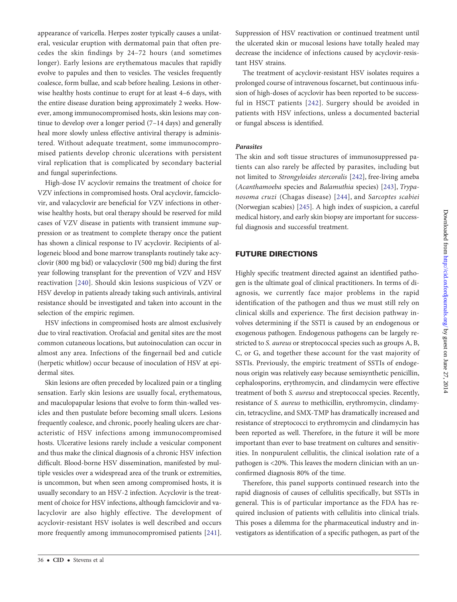appearance of varicella. Herpes zoster typically causes a unilateral, vesicular eruption with dermatomal pain that often precedes the skin findings by 24–72 hours (and sometimes longer). Early lesions are erythematous macules that rapidly evolve to papules and then to vesicles. The vesicles frequently coalesce, form bullae, and scab before healing. Lesions in otherwise healthy hosts continue to erupt for at least 4–6 days, with the entire disease duration being approximately 2 weeks. However, among immunocompromised hosts, skin lesions may continue to develop over a longer period (7–14 days) and generally heal more slowly unless effective antiviral therapy is administered. Without adequate treatment, some immunocompromised patients develop chronic ulcerations with persistent viral replication that is complicated by secondary bacterial and fungal superinfections.

High-dose IV acyclovir remains the treatment of choice for VZV infections in compromised hosts. Oral acyclovir, famciclovir, and valacyclovir are beneficial for VZV infections in otherwise healthy hosts, but oral therapy should be reserved for mild cases of VZV disease in patients with transient immune suppression or as treatment to complete therapy once the patient has shown a clinical response to IV acyclovir. Recipients of allogeneic blood and bone marrow transplants routinely take acyclovir (800 mg bid) or valacyclovir (500 mg bid) during the first year following transplant for the prevention of VZV and HSV reactivation [[240\]](#page-42-0). Should skin lesions suspicious of VZV or HSV develop in patients already taking such antivirals, antiviral resistance should be investigated and taken into account in the selection of the empiric regimen.

HSV infections in compromised hosts are almost exclusively due to viral reactivation. Orofacial and genital sites are the most common cutaneous locations, but autoinoculation can occur in almost any area. Infections of the fingernail bed and cuticle (herpetic whitlow) occur because of inoculation of HSV at epidermal sites.

Skin lesions are often preceded by localized pain or a tingling sensation. Early skin lesions are usually focal, erythematous, and maculopapular lesions that evolve to form thin-walled vesicles and then pustulate before becoming small ulcers. Lesions frequently coalesce, and chronic, poorly healing ulcers are characteristic of HSV infections among immunocompromised hosts. Ulcerative lesions rarely include a vesicular component and thus make the clinical diagnosis of a chronic HSV infection difficult. Blood-borne HSV dissemination, manifested by multiple vesicles over a widespread area of the trunk or extremities, is uncommon, but when seen among compromised hosts, it is usually secondary to an HSV-2 infection. Acyclovir is the treatment of choice for HSV infections, although famciclovir and valacyclovir are also highly effective. The development of acyclovir-resistant HSV isolates is well described and occurs more frequently among immunocompromised patients [[241\]](#page-42-0).

Suppression of HSV reactivation or continued treatment until the ulcerated skin or mucosal lesions have totally healed may decrease the incidence of infections caused by acyclovir-resistant HSV strains.

The treatment of acyclovir-resistant HSV isolates requires a prolonged course of intravenous foscarnet, but continuous infusion of high-doses of acyclovir has been reported to be successful in HSCT patients [[242](#page-42-0)]. Surgery should be avoided in patients with HSV infections, unless a documented bacterial or fungal abscess is identified.

#### Parasites

The skin and soft tissue structures of immunosuppressed patients can also rarely be affected by parasites, including but not limited to Strongyloides stercoralis [\[242](#page-42-0)], free-living ameba (Acanthamoeba species and Balamuthia species) [\[243\]](#page-42-0), Trypanosoma cruzi (Chagas disease) [\[244\]](#page-42-0), and Sarcoptes scabiei (Norwegian scabies) [[245](#page-42-0)]. A high index of suspicion, a careful medical history, and early skin biopsy are important for successful diagnosis and successful treatment.

#### FUTURE DIRECTIONS

Highly specific treatment directed against an identified pathogen is the ultimate goal of clinical practitioners. In terms of diagnosis, we currently face major problems in the rapid identification of the pathogen and thus we must still rely on clinical skills and experience. The first decision pathway involves determining if the SSTI is caused by an endogenous or exogenous pathogen. Endogenous pathogens can be largely restricted to S. aureus or streptococcal species such as groups A, B, C, or G, and together these account for the vast majority of SSTIs. Previously, the empiric treatment of SSTIs of endogenous origin was relatively easy because semisynthetic penicillin, cephalosporins, erythromycin, and clindamycin were effective treatment of both S. aureus and streptococcal species. Recently, resistance of S. aureus to methicillin, erythromycin, clindamycin, tetracycline, and SMX-TMP has dramatically increased and resistance of streptococci to erythromycin and clindamycin has been reported as well. Therefore, in the future it will be more important than ever to base treatment on cultures and sensitivities. In nonpurulent cellulitis, the clinical isolation rate of a pathogen is <20%. This leaves the modern clinician with an unconfirmed diagnosis 80% of the time.

Therefore, this panel supports continued research into the rapid diagnosis of causes of cellulitis specifically, but SSTIs in general. This is of particular importance as the FDA has required inclusion of patients with cellulitis into clinical trials. This poses a dilemma for the pharmaceutical industry and investigators as identification of a specific pathogen, as part of the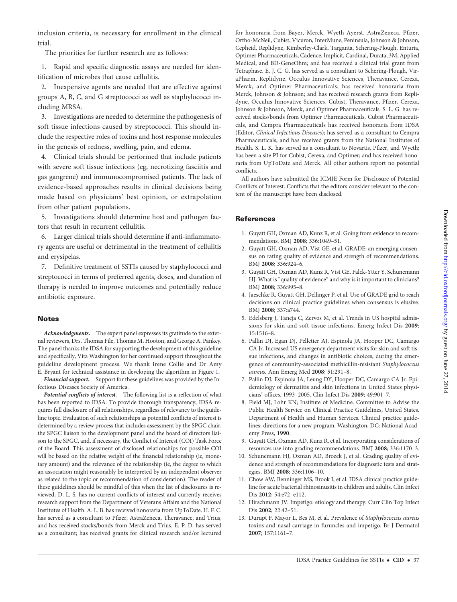<span id="page-36-0"></span>inclusion criteria, is necessary for enrollment in the clinical trial.

The priorities for further research are as follows:

1. Rapid and specific diagnostic assays are needed for identification of microbes that cause cellulitis.

2. Inexpensive agents are needed that are effective against groups A, B, C, and G streptococci as well as staphylococci including MRSA.

3. Investigations are needed to determine the pathogenesis of soft tissue infections caused by streptococci. This should include the respective roles of toxins and host response molecules in the genesis of redness, swelling, pain, and edema.

4. Clinical trials should be performed that include patients with severe soft tissue infections (eg, necrotizing fasciitis and gas gangrene) and immunocompromised patients. The lack of evidence-based approaches results in clinical decisions being made based on physicians' best opinion, or extrapolation from other patient populations.

5. Investigations should determine host and pathogen factors that result in recurrent cellulitis.

6. Larger clinical trials should determine if anti-inflammatory agents are useful or detrimental in the treatment of cellulitis and erysipelas.

7. Definitive treatment of SSTIs caused by staphylococci and streptococci in terms of preferred agents, doses, and duration of therapy is needed to improve outcomes and potentially reduce antibiotic exposure.

#### **Notes**

Acknowledgments. The expert panel expresses its gratitude to the external reviewers, Drs. Thomas File, Thomas M. Hooton, and George A. Pankey. The panel thanks the IDSA for supporting the development of this guideline and specifically, Vita Washington for her continued support throughout the guideline development process. We thank Irene Collie and Dr Amy E. Bryant for technical assistance in developing the algorithm in Figure [1.](#page-1-0)

Financial support. Support for these guidelines was provided by the Infectious Diseases Society of America.

Potential conflicts of interest. The following list is a reflection of what has been reported to IDSA. To provide thorough transparency, IDSA requires full disclosure of all relationships, regardless of relevancy to the guideline topic. Evaluation of such relationships as potential conflicts of interest is determined by a review process that includes assessment by the SPGC chair, the SPGC liaison to the development panel and the board of directors liaison to the SPGC, and, if necessary, the Conflict of Interest (COI) Task Force of the Board. This assessment of disclosed relationships for possible COI will be based on the relative weight of the financial relationship (ie, monetary amount) and the relevance of the relationship (ie, the degree to which an association might reasonably be interpreted by an independent observer as related to the topic or recommendation of consideration). The reader of these guidelines should be mindful of this when the list of disclosures is reviewed. D. L. S. has no current conflicts of interest and currently receives research support from the Department of Veterans Affairs and the National Institutes of Health. A. L. B. has received honoraria from UpToDate. H. F. C. has served as a consultant to Pfizer, AstraZeneca, Theravance, and Trius, and has received stocks/bonds from Merck and Trius. E. P. D. has served as a consultant; has received grants for clinical research and/or lectured for honoraria from Bayer, Merck, Wyeth-Ayerst, AstraZeneca, Pfizer, Ortho-McNeil, Cubist, Vicuron, InterMune, Peninsula, Johnson & Johnson, Cepheid, Replidyne, Kimberley-Clark, Targanta, Schering-Plough, Enturia, Optimer Pharmaceuticals, Cadence, Implicit, Cardinal, Durata, 3M, Applied Medical, and BD-GeneOhm; and has received a clinical trial grant from Tetraphase. E. J. C. G. has served as a consultant to Schering-Plough, ViraPharm, Replidyne, Occulus Innovative Sciences, Theravance, Cerexa, Merck, and Optimer Pharmaceuticals; has received honoraria from Merck, Johnson & Johnson; and has received research grants from Replidyne, Occulus Innovative Sciences, Cubist, Theravance, Pfizer, Cerexa, Johnson & Johnson, Merck, and Optimer Pharmaceuticals. S. L. G. has received stocks/bonds from Optimer Pharmaceuticals, Cubist Pharmaceuticals, and Cempra Pharmaceuticals has received honoraria from IDSA (Editor, Clinical Infectious Diseases); has served as a consultant to Cempra Pharmaceuticals; and has received grants from the National Institutes of Health. S. L. K. has served as a consultant to Novartis, Pfizer, and Wyeth; has been a site PI for Cubist, Cerexa, and Optimer; and has received honoraria from UpToDate and Merck. All other authors report no potential conflicts.

All authors have submitted the ICMJE Form for Disclosure of Potential Conflicts of Interest. Conflicts that the editors consider relevant to the content of the manuscript have been disclosed.

#### **References**

- 1. Guyatt GH, Oxman AD, Kunz R, et al. Going from evidence to recommendations. BMJ 2008; 336:1049–51.
- 2. Guyatt GH, Oxman AD, Vist GE, et al. GRADE: an emerging consensus on rating quality of evidence and strength of recommendations. BMJ 2008; 336:924–6.
- 3. Guyatt GH, Oxman AD, Kunz R, Vist GE, Falck-Ytter Y, Schunemann HJ. What is "quality of evidence" and why is it important to clinicians? BMJ 2008; 336:995–8.
- 4. Jaeschke R, Guyatt GH, Dellinger P, et al. Use of GRADE grid to reach decisions on clinical practice guidelines when consensus is elusive. BMJ 2008; 337:a744.
- 5. Edelsberg J, Taneja C, Zervos M, et al. Trends in US hospital admissions for skin and soft tissue infections. Emerg Infect Dis 2009; 15:1516–8.
- 6. Pallin DJ, Egan DJ, Pelletier AJ, Espinola JA, Hooper DC, Camargo CA Jr. Increased US emergency department visits for skin and soft tissue infections, and changes in antibiotic choices, during the emergence of community-associated methicillin-resistant Staphylococcus aureus. Ann Emerg Med 2008; 51:291–8.
- 7. Pallin DJ, Espinola JA, Leung DY, Hooper DC, Camargo CA Jr. Epidemiology of dermatitis and skin infections in United States physicians' offices, 1993–2005. Clin Infect Dis 2009; 49:901–7.
- 8. Field MJ, Lohr KN; Institute of Medicine. Committee to Advise the Public Health Service on Clinical Practice Guidelines, United States. Department of Health and Human Services. Clinical practice guidelines: directions for a new program. Washington, DC: National Academy Press, 1990.
- 9. Guyatt GH, Oxman AD, Kunz R, et al. Incorporating considerations of resources use into grading recommendations. BMJ 2008; 336:1170–3.
- 10. Schunemann HJ, Oxman AD, Brozek J, et al. Grading quality of evidence and strength of recommendations for diagnostic tests and strategies. BMJ 2008; 336:1106–10.
- 11. Chow AW, Benninger MS, Brook I, et al. IDSA clinical practice guideline for acute bacterial rhinosinusitis in children and adults. Clin Infect Dis 2012; 54:e72–e112.
- 12. Hirschmann JV. Impetigo: etiology and therapy. Curr Clin Top Infect Dis 2002; 22:42–51.
- 13. Durupt F, Mayor L, Bes M, et al. Prevalence of Staphylococcus aureus toxins and nasal carriage in furuncles and impetigo. Br J Dermatol 2007; 157:1161–7.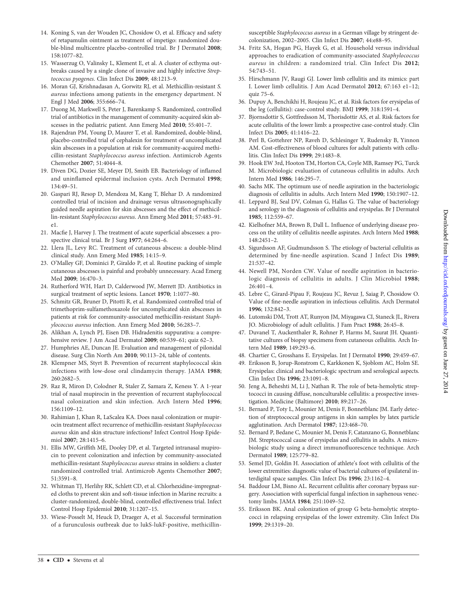- <span id="page-37-0"></span>14. Koning S, van der Wouden JC, Chosidow O, et al. Efficacy and safety of retapamulin ointment as treatment of impetigo: randomized double-blind multicentre placebo-controlled trial. Br J Dermatol 2008; 158:1077–82.
- 15. Wasserzug O, Valinsky L, Klement E, et al. A cluster of ecthyma outbreaks caused by a single clone of invasive and highly infective Streptococcus pyogenes. Clin Infect Dis 2009; 48:1213–9.
- 16. Moran GJ, Krishnadasan A, Gorwitz RJ, et al. Methicillin-resistant S. aureus infections among patients in the emergency department. N Engl J Med 2006; 355:666–74.
- 17. Duong M, Markwell S, Peter J, Barenkamp S. Randomized, controlled trial of antibiotics in the management of community-acquired skin abscesses in the pediatric patient. Ann Emerg Med 2010; 55:401–7.
- 18. Rajendran PM, Young D, Maurer T, et al. Randomized, double-blind, placebo-controlled trial of cephalexin for treatment of uncomplicated skin abscesses in a population at risk for community-acquired methicillin-resistant Staphylococcus aureus infection. Antimicrob Agents Chemother 2007; 51:4044–8.
- 19. Diven DG, Dozier SE, Meyer DJ, Smith EB. Bacteriology of inflamed and uninflamed epidermal inclusion cysts. Arch Dermatol 1998; 134:49–51.
- 20. Gaspari RJ, Resop D, Mendoza M, Kang T, Blehar D. A randomized controlled trial of incision and drainage versus ultrasonographically guided needle aspiration for skin abscesses and the effect of methicillin-resistant Staphylococcus aureus. Ann Emerg Med 2011; 57:483–91. e1.
- 21. Macfie J, Harvey J. The treatment of acute superficial abscesses: a prospective clinical trial. Br J Surg 1977; 64:264-6.
- 22. Llera JL, Levy RC. Treatment of cutaneous abscess: a double-blind clinical study. Ann Emerg Med 1985; 14:15–9.
- 23. O'Malley GF, Dominici P, Giraldo P, et al. Routine packing of simple cutaneous abscesses is painful and probably unnecessary. Acad Emerg Med 2009; 16:470–3.
- 24. Rutherford WH, Hart D, Calderwood JW, Merrett JD. Antibiotics in surgical treatment of septic lesions. Lancet 1970; 1:1077–80.
- 25. Schmitz GR, Bruner D, Pitotti R, et al. Randomized controlled trial of trimethoprim-sulfamethoxazole for uncomplicated skin abscesses in patients at risk for community-associated methicillin-resistant Staphylococcus aureus infection. Ann Emerg Med 2010; 56:283–7.
- 26. Alikhan A, Lynch PJ, Eisen DB. Hidradenitis suppurativa: a comprehensive review. J Am Acad Dermatol 2009; 60:539-61; quiz 62-3.
- 27. Humphries AE, Duncan JE. Evaluation and management of pilonidal disease. Surg Clin North Am 2010; 90:113–24, table of contents.
- 28. Klempner MS, Styrt B. Prevention of recurrent staphylococcal skin infections with low-dose oral clindamycin therapy. JAMA 1988; 260:2682–5.
- 29. Raz R, Miron D, Colodner R, Staler Z, Samara Z, Keness Y. A 1-year trial of nasal mupirocin in the prevention of recurrent staphylococcal nasal colonization and skin infection. Arch Intern Med 1996; 156:1109–12.
- 30. Rahimian J, Khan R, LaScalea KA. Does nasal colonization or mupirocin treatment affect recurrence of methicillin-resistant Staphylococcus aureus skin and skin structure infections? Infect Control Hosp Epidemiol 2007; 28:1415–6.
- 31. Ellis MW, Griffith ME, Dooley DP, et al. Targeted intranasal mupirocin to prevent colonization and infection by community-associated methicillin-resistant Staphylococcus aureus strains in soldiers: a cluster randomized controlled trial. Antimicrob Agents Chemother 2007; 51:3591–8.
- 32. Whitman TJ, Herlihy RK, Schlett CD, et al. Chlorhexidine-impregnated cloths to prevent skin and soft-tissue infection in Marine recruits: a cluster-randomized, double-blind, controlled effectiveness trial. Infect Control Hosp Epidemiol 2010; 31:1207–15.
- 33. Wiese-Posselt M, Heuck D, Draeger A, et al. Successful termination of a furunculosis outbreak due to lukS-lukF-positive, methicillin-

susceptible Staphylococcus aureus in a German village by stringent decolonization, 2002–2005. Clin Infect Dis 2007; 44:e88–95.

- 34. Fritz SA, Hogan PG, Hayek G, et al. Household versus individual approaches to eradication of community-associated Staphylococcus aureus in children: a randomized trial. Clin Infect Dis 2012; 54:743–51.
- 35. Hirschmann JV, Raugi GJ. Lower limb cellulitis and its mimics: part I. Lower limb cellulitis. J Am Acad Dermatol 2012; 67:163 e1–12; quiz 75–6.
- 36. Dupuy A, Benchikhi H, Roujeau JC, et al. Risk factors for erysipelas of the leg (cellulitis): case-control study. BMJ 1999; 318:1591–4.
- 37. Bjornsdottir S, Gottfredsson M, Thorisdottir AS, et al. Risk factors for acute cellulitis of the lower limb: a prospective case-control study. Clin Infect Dis 2005; 41:1416–22.
- 38. Perl B, Gottehrer NP, Raveh D, Schlesinger Y, Rudensky B, Yinnon AM. Cost-effectiveness of blood cultures for adult patients with cellulitis. Clin Infect Dis 1999; 29:1483–8.
- 39. Hook EW 3rd, Hooton TM, Horton CA, Coyle MB, Ramsey PG, Turck M. Microbiologic evaluation of cutaneous cellulitis in adults. Arch Intern Med 1986; 146:295–7.
- 40. Sachs MK. The optimum use of needle aspiration in the bacteriologic diagnosis of cellulitis in adults. Arch Intern Med 1990; 150:1907–12.
- 41. Leppard BJ, Seal DV, Colman G, Hallas G. The value of bacteriology and serology in the diagnosis of cellulitis and erysipelas. Br J Dermatol 1985; 112:559–67.
- 42. Kielhofner MA, Brown B, Dall L. Influence of underlying disease process on the utility of cellulitis needle aspirates. Arch Intern Med 1988; 148:2451–2.
- 43. Sigurdsson AF, Gudmundsson S. The etiology of bacterial cellulitis as determined by fine-needle aspiration. Scand J Infect Dis 1989; 21:537–42.
- 44. Newell PM, Norden CW. Value of needle aspiration in bacteriologic diagnosis of cellulitis in adults. J Clin Microbiol 1988; 26:401–4.
- 45. Lebre C, Girard-Pipau F, Roujeau JC, Revuz J, Saiag P, Chosidow O. Value of fine-needle aspiration in infectious cellulitis. Arch Dermatol 1996; 132:842–3.
- 46. Lutomski DM, Trott AT, Runyon JM, Miyagawa CI, Staneck JL, Rivera JO. Microbiology of adult cellulitis. J Fam Pract 1988; 26:45–8.
- 47. Duvanel T, Auckenthaler R, Rohner P, Harms M, Saurat JH. Quantitative cultures of biopsy specimens from cutaneous cellulitis. Arch Intern Med 1989; 149:293–6.
- 48. Chartier C, Grosshans E. Erysipelas. Int J Dermatol 1990; 29:459–67.
- 49. Eriksson B, Jorup-Ronstrom C, Karkkonen K, Sjoblom AC, Holm SE. Erysipelas: clinical and bacteriologic spectrum and serological aspects. Clin Infect Dis 1996; 23:1091–8.
- 50. Jeng A, Beheshti M, Li J, Nathan R. The role of beta-hemolytic streptococci in causing diffuse, nonculturable cellulitis: a prospective investigation. Medicine (Baltimore) 2010; 89:217–26.
- 51. Bernard P, Toty L, Mounier M, Denis F, Bonnetblanc JM. Early detection of streptococcal group antigens in skin samples by latex particle agglutination. Arch Dermatol 1987; 123:468–70.
- 52. Bernard P, Bedane C, Mounier M, Denis F, Catanzano G, Bonnetblanc JM. Streptococcal cause of erysipelas and cellulitis in adults. A microbiologic study using a direct immunofluorescence technique. Arch Dermatol 1989; 125:779–82.
- 53. Semel JD, Goldin H. Association of athlete's foot with cellulitis of the lower extremities: diagnostic value of bacterial cultures of ipsilateral interdigital space samples. Clin Infect Dis 1996; 23:1162–4.
- 54. Baddour LM, Bisno AL. Recurrent cellulitis after coronary bypass surgery. Association with superficial fungal infection in saphenous venectomy limbs. JAMA 1984; 251:1049–52.
- 55. Eriksson BK. Anal colonization of group G beta-hemolytic streptococci in relapsing erysipelas of the lower extremity. Clin Infect Dis 1999; 29:1319–20.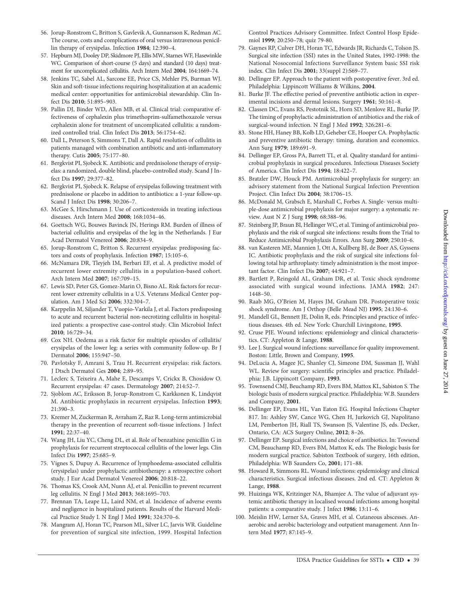- <span id="page-38-0"></span>56. Jorup-Ronstrom C, Britton S, Gavlevik A, Gunnarsson K, Redman AC. The course, costs and complications of oral versus intravenous penicillin therapy of erysipelas. Infection 1984; 12:390–4.
- 57. Hepburn MJ, Dooley DP, Skidmore PJ, Ellis MW, Starnes WF, Hasewinkle WC. Comparison of short-course (5 days) and standard (10 days) treatment for uncomplicated cellulitis. Arch Intern Med 2004; 164:1669–74.
- 58. Jenkins TC, Sabel AL, Sarcone EE, Price CS, Mehler PS, Burman WJ. Skin and soft-tissue infections requiring hospitalization at an academic medical center: opportunities for antimicrobial stewardship. Clin Infect Dis 2010; 51:895–903.
- 59. Pallin DJ, Binder WD, Allen MB, et al. Clinical trial: comparative effectiveness of cephalexin plus trimethoprim-sulfamethoxazole versus cephalexin alone for treatment of uncomplicated cellulitis: a randomized controlled trial. Clin Infect Dis 2013; 56:1754–62.
- 60. Dall L, Peterson S, Simmons T, Dall A. Rapid resolution of cellulitis in patients managed with combination antibiotic and anti-inflammatory therapy. Cutis 2005; 75:177–80.
- 61. Bergkvist PI, Sjobeck K. Antibiotic and prednisolone therapy of erysipelas: a randomized, double blind, placebo-controlled study. Scand J Infect Dis 1997; 29:377–82.
- 62. Bergkvist PI, Sjobeck K. Relapse of erysipelas following treatment with prednisolone or placebo in addition to antibiotics: a 1-year follow-up. Scand J Infect Dis 1998; 30:206–7.
- 63. McGee S, Hirschmann J. Use of corticosteroids in treating infectious diseases. Arch Intern Med 2008; 168:1034–46.
- 64. Goettsch WG, Bouwes Bavinck JN, Herings RM. Burden of illness of bacterial cellulitis and erysipelas of the leg in the Netherlands. J Eur Acad Dermatol Venereol 2006; 20:834–9.
- 65. Jorup-Ronstrom C, Britton S. Recurrent erysipelas: predisposing factors and costs of prophylaxis. Infection 1987; 15:105–6.
- 66. McNamara DR, Tleyjeh IM, Berbari EF, et al. A predictive model of recurrent lower extremity cellulitis in a population-based cohort. Arch Intern Med 2007; 167:709–15.
- 67. Lewis SD, Peter GS, Gomez-Marin O, Bisno AL. Risk factors for recurrent lower extremity cellulitis in a U.S. Veterans Medical Center population. Am J Med Sci 2006; 332:304–7.
- 68. Karppelin M, Siljander T, Vuopio-Varkila J, et al. Factors predisposing to acute and recurrent bacterial non-necrotizing cellulitis in hospitalized patients: a prospective case-control study. Clin Microbiol Infect 2010; 16:729–34.
- 69. Cox NH. Oedema as a risk factor for multiple episodes of cellulitis/ erysipelas of the lower leg: a series with community follow-up. Br J Dermatol 2006; 155:947–50.
- 70. Pavlotsky F, Amrani S, Trau H. Recurrent erysipelas: risk factors. J Dtsch Dermatol Ges 2004; 2:89–95.
- 71. Leclerc S, Teixeira A, Mahe E, Descamps V, Crickx B, Chosidow O. Recurrent erysipelas: 47 cases. Dermatology 2007; 214:52–7.
- 72. Sjoblom AC, Eriksson B, Jorup-Ronstrom C, Karkkonen K, Lindqvist M. Antibiotic prophylaxis in recurrent erysipelas. Infection 1993; 21:390–3.
- 73. Kremer M, Zuckerman R, Avraham Z, Raz R. Long-term antimicrobial therapy in the prevention of recurrent soft-tissue infections. J Infect 1991; 22:37–40.
- 74. Wang JH, Liu YC, Cheng DL, et al. Role of benzathine penicillin G in prophylaxis for recurrent streptococcal cellulitis of the lower legs. Clin Infect Dis 1997; 25:685–9.
- 75. Vignes S, Dupuy A. Recurrence of lymphoedema-associated cellulitis (erysipelas) under prophylactic antibiotherapy: a retrospective cohort study. J Eur Acad Dermatol Venereol 2006; 20:818–22.
- 76. Thomas KS, Crook AM, Nunn AJ, et al. Penicillin to prevent recurrent leg cellulitis. N Engl J Med 2013; 368:1695–703.
- 77. Brennan TA, Leape LL, Laird NM, et al. Incidence of adverse events and negligence in hospitalized patients. Results of the Harvard Medical Practice Study I. N Engl J Med 1991; 324:370–6.
- 78. Mangram AJ, Horan TC, Pearson ML, Silver LC, Jarvis WR. Guideline for prevention of surgical site infection, 1999. Hospital Infection

Control Practices Advisory Committee. Infect Control Hosp Epidemiol 1999; 20:250–78; quiz 79-80.

- 79. Gaynes RP, Culver DH, Horan TC, Edwards JR, Richards C, Tolson JS. Surgical site infection (SSI) rates in the United States, 1992-1998: the National Nosocomial Infections Surveillance System basic SSI risk index. Clin Infect Dis 2001; 33(suppl 2):S69–77.
- 80. Dellinger EP. Approach to the patient with postoperative fever. 3rd ed. Philadelphia: Lippincott Williams & Wilkins, 2004.
- 81. Burke JF. The effective period of preventive antibiotic action in experimental incisions and dermal lesions. Surgery 1961; 50:161–8.
- 82. Classen DC, Evans RS, Pestotnik SL, Horn SD, Menlove RL, Burke JP. The timing of prophylactic administration of antibiotics and the risk of surgical-wound infection. N Engl J Med 1992; 326:281–6.
- 83. Stone HH, Haney BB, Kolb LD, Geheber CE, Hooper CA. Prophylactic and preventive antibiotic therapy: timing, duration and economics. Ann Surg 1979; 189:691–9.
- 84. Dellinger EP, Gross PA, Barrett TL, et al. Quality standard for antimicrobial prophylaxis in surgical procedures. Infectious Diseases Society of America. Clin Infect Dis 1994; 18:422–7.
- 85. Bratzler DW, Houck PM. Antimicrobial prophylaxis for surgery: an advisory statement from the National Surgical Infection Prevention Project. Clin Infect Dis 2004; 38:1706–15.
- 86. McDonald M, Grabsch E, Marshall C, Forbes A. Single- versus multiple-dose antimicrobial prophylaxis for major surgery: a systematic review. Aust N Z J Surg 1998; 68:388–96.
- 87. Steinberg JP, Braun BI, Hellinger WC, et al. Timing of antimicrobial prophylaxis and the risk of surgical site infections: results from the Trial to Reduce Antimicrobial Prophylaxis Errors. Ann Surg 2009; 250:10–6.
- 88. van Kasteren ME, Mannien J, Ott A, Kullberg BJ, de Boer AS, Gyssens IC. Antibiotic prophylaxis and the risk of surgical site infections following total hip arthroplasty: timely administration is the most important factor. Clin Infect Dis 2007; 44:921–7.
- 89. Bartlett P, Reingold AL, Graham DR, et al. Toxic shock syndrome associated with surgical wound infections. JAMA 1982; 247: 1448–50.
- 90. Raab MG, O'Brien M, Hayes JM, Graham DR. Postoperative toxic shock syndrome. Am J Orthop (Belle Mead NJ) 1995; 24:130–6.
- 91. Mandell GL, Bennett JE, Dolin R, eds. Principles and practice of infectious diseases. 4th ed. New York: Churchill Livingstone, 1995.
- 92. Cruse PJE. Wound infections: epidemiology and clinical characteristics. CT: Appleton & Lange, 1988.
- 93. Lee J. Surgical wound infections: surveillance for quality improvement. Boston: Little, Brown and Company, 1995.
- 94. DeLucia A, Magee JC, Shanley CJ, Simeone DM, Sussman JJ, Wahl WL. Review for surgery: scientific principles and practice. Philadelphia: J.B. Lippincott Company, 1993.
- 95. Townsend CMJ, Beuchamp RD, Evers BM, Mattox KL, Sabiston S. The biologic basis of modern surgical practice. Philadelphia: W.B. Saunders and Company, 2001.
- 96. Dellinger EP, Evans HL, Van Eaton EG. Hospital Infections Chapter 817. In: Ashley SW, Cance WG, Chen H, Jurkovich GJ, Napolitano LM, Pemberton JH, Riall TS, Swanson JS, Valentine JS, eds. Decker, Ontario, CA: ACS Surgery Online, 2012; 8–26.
- 97. Dellinger EP. Surgical infections and choice of antibiotics. In: Towsend CM, Beauchamp RD, Evers BM, Mattox K, eds. The Biologic basis for modern surgical practice. Sabiston Textbook of surgery, 16th edition, Philadelphia: WB Saunders Co, 2001; 171–88.
- 98. Howard R, Simmons RL. Wound infections: epidemiology and clinical characteristics. Surgical infectious diseases. 2nd ed. CT: Appleton & Lange, 1988.
- 99. Huizinga WK, Kritzinger NA, Bhamjee A. The value of adjuvant systemic antibiotic therapy in localised wound infections among hospital patients: a comparative study. J Infect 1986; 13:11–6.
- 100. Meislin HW, Lerner SA, Graves MH, et al. Cutaneous abscesses. Anaerobic and aerobic bacteriology and outpatient management. Ann Intern Med 1977; 87:145–9.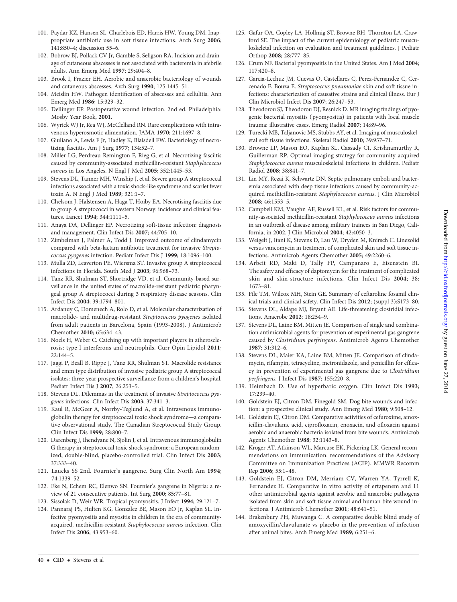- <span id="page-39-0"></span>101. Paydar KZ, Hansen SL, Charlebois ED, Harris HW, Young DM. Inappropriate antibiotic use in soft tissue infections. Arch Surg 2006; 141:850–4; discussion 55–6.
- 102. Bobrow BJ, Pollack CV Jr, Gamble S, Seligson RA. Incision and drainage of cutaneous abscesses is not associated with bacteremia in afebrile adults. Ann Emerg Med 1997; 29:404–8.
- 103. Brook I, Frazier EH. Aerobic and anaerobic bacteriology of wounds and cutaneous abscesses. Arch Surg 1990; 125:1445–51.
- 104. Meislin HW. Pathogen identification of abscesses and cellulitis. Ann Emerg Med 1986; 15:329–32.
- 105. Dellinger EP. Postoperative wound infection. 2nd ed. Philadelphia: Mosby Year Book, 2001.
- 106. Wyrick WJ Jr, Rea WJ, McClelland RN. Rare complications with intravenous hyperosmotic alimentation. JAMA 1970; 211:1697–8.
- 107. Giuliano A, Lewis F Jr, Hadley K, Blaisdell FW. Bacteriology of necrotizing fasciitis. Am J Surg 1977; 134:52–7.
- 108. Miller LG, Perdreau-Remington F, Rieg G, et al. Necrotizing fasciitis caused by community-associated methicillin-resistant Staphylococcus aureus in Los Angeles. N Engl J Med 2005; 352:1445–53.
- 109. Stevens DL, Tanner MH, Winship J, et al. Severe group A streptococcal infections associated with a toxic shock-like syndrome and scarlet fever toxin A. N Engl J Med 1989; 321:1–7.
- 110. Chelsom J, Halstensen A, Haga T, Hoiby EA. Necrotising fasciitis due to group A streptococci in western Norway: incidence and clinical features. Lancet 1994; 344:1111–5.
- 111. Anaya DA, Dellinger EP. Necrotizing soft-tissue infection: diagnosis and management. Clin Infect Dis 2007; 44:705–10.
- 112. Zimbelman J, Palmer A, Todd J. Improved outcome of clindamycin compared with beta-lactam antibiotic treatment for invasive Streptococcus pyogenes infection. Pediatr Infect Dis J 1999; 18:1096–100.
- 113. Mulla ZD, Leaverton PE, Wiersma ST. Invasive group A streptococcal infections in Florida. South Med J 2003; 96:968–73.
- 114. Tanz RR, Shulman ST, Shortridge VD, et al. Community-based surveillance in the united states of macrolide-resistant pediatric pharyngeal group A streptococci during 3 respiratory disease seasons. Clin Infect Dis 2004; 39:1794–801.
- 115. Ardanuy C, Domenech A, Rolo D, et al. Molecular characterization of macrolide- and multidrug-resistant Streptococcus pyogenes isolated from adult patients in Barcelona, Spain (1993-2008). J Antimicrob Chemother 2010; 65:634–43.
- 116. Noels H, Weber C. Catching up with important players in atherosclerosis: type I interferons and neutrophils. Curr Opin Lipidol 2011; 22:144–5.
- 117. Jaggi P, Beall B, Rippe J, Tanz RR, Shulman ST. Macrolide resistance and emm type distribution of invasive pediatric group A streptococcal isolates: three-year prospective surveillance from a children's hospital. Pediatr Infect Dis J 2007; 26:253–5.
- 118. Stevens DL. Dilemmas in the treatment of invasive Streptococcus pyogenes infections. Clin Infect Dis 2003; 37:341–3.
- 119. Kaul R, McGeer A, Norrby-Teglund A, et al. Intravenous immunoglobulin therapy for streptococcal toxic shock syndrome—a comparative observational study. The Canadian Streptococcal Study Group. Clin Infect Dis 1999; 28:800–7.
- 120. Darenberg J, Ihendyane N, Sjolin J, et al. Intravenous immunoglobulin G therapy in streptococcal toxic shock syndrome: a European randomized, double-blind, placebo-controlled trial. Clin Infect Dis 2003; 37:333–40.
- 121. Laucks SS 2nd. Fournier's gangrene. Surg Clin North Am 1994; 74:1339–52.
- 122. Eke N, Echem RC, Elenwo SN. Fournier's gangrene in Nigeria: a review of 21 consecutive patients. Int Surg 2000; 85:77–81.
- 123. Sissolak D, Weir WR. Tropical pyomyositis. J Infect 1994; 29:121–7.
- 124. Pannaraj PS, Hulten KG, Gonzalez BE, Mason EO Jr, Kaplan SL. Infective pyomyositis and myositis in children in the era of communityacquired, methicillin-resistant Staphylococcus aureus infection. Clin Infect Dis 2006; 43:953–60.
- 125. Gafur OA, Copley LA, Hollmig ST, Browne RH, Thornton LA, Crawford SE. The impact of the current epidemiology of pediatric musculoskeletal infection on evaluation and treatment guidelines. J Pediatr Orthop 2008; 28:777–85.
- 126. Crum NF. Bacterial pyomyositis in the United States. Am J Med 2004; 117:420–8.
- 127. Garcia-Lechuz JM, Cuevas O, Castellares C, Perez-Fernandez C, Cercenado E, Bouza E. Streptococcus pneumoniae skin and soft tissue infections: characterization of causative strains and clinical illness. Eur J Clin Microbiol Infect Dis 2007; 26:247–53.
- 128. Theodorou SJ, Theodorou DJ, Resnick D. MR imaging findings of pyogenic bacterial myositis ( pyomyositis) in patients with local muscle trauma: illustrative cases. Emerg Radiol 2007; 14:89–96.
- 129. Turecki MB, Taljanovic MS, Stubbs AY, et al. Imaging of musculoskeletal soft tissue infections. Skeletal Radiol 2010; 39:957–71.
- 130. Browne LP, Mason EO, Kaplan SL, Cassady CI, Krishnamurthy R, Guillerman RP. Optimal imaging strategy for community-acquired Staphylococcus aureus musculoskeletal infections in children. Pediatr Radiol 2008; 38:841–7.
- 131. Lin MY, Rezai K, Schwartz DN. Septic pulmonary emboli and bacteremia associated with deep tissue infections caused by community-acquired methicillin-resistant Staphylococcus aureus. J Clin Microbiol 2008; 46:1553–5.
- 132. Campbell KM, Vaughn AF, Russell KL, et al. Risk factors for community-associated methicillin-resistant Staphylococcus aureus infections in an outbreak of disease among military trainees in San Diego, California, in 2002. J Clin Microbiol 2004; 42:4050–3.
- 133. Weigelt J, Itani K, Stevens D, Lau W, Dryden M, Knirsch C. Linezolid versus vancomycin in treatment of complicated skin and soft tissue infections. Antimicrob Agents Chemother 2005; 49:2260–6.
- 134. Arbeit RD, Maki D, Tally FP, Campanaro E, Eisenstein BI. The safety and efficacy of daptomycin for the treatment of complicated skin and skin-structure infections. Clin Infect Dis 2004; 38: 1673–81.
- 135. File TM, Wilcox MH, Stein GE. Summary of ceftaroline fosamil clinical trials and clinical safety. Clin Infect Dis 2012; (suppl 3):S173–80.
- 136. Stevens DL, Aldape MJ, Bryant AE. Life-threatening clostridial infections. Anaerobe 2012; 18:254–9.
- 137. Stevens DL, Laine BM, Mitten JE. Comparison of single and combination antimicrobial agents for prevention of experimental gas gangrene caused by Clostridium perfringens. Antimicrob Agents Chemother 1987; 31:312–6.
- 138. Stevens DL, Maier KA, Laine BM, Mitten JE. Comparison of clindamycin, rifampin, tetracycline, metronidazole, and penicillin for efficacy in prevention of experimental gas gangrene due to Clostridium perfringens. J Infect Dis 1987; 155:220–8.
- 139. Heimbach D. Use of hyperbaric oxygen. Clin Infect Dis 1993; 17:239–40.
- 140. Goldstein EJ, Citron DM, Finegold SM. Dog bite wounds and infection: a prospective clinical study. Ann Emerg Med 1980; 9:508–12.
- 141. Goldstein EJ, Citron DM. Comparative activities of cefuroxime, amoxicillin-clavulanic acid, ciprofloxacin, enoxacin, and ofloxacin against aerobic and anaerobic bacteria isolated from bite wounds. Antimicrob Agents Chemother 1988; 32:1143–8.
- 142. Kroger AT, Atkinson WL, Marcuse EK, Pickering LK. General recommendations on immunization: recommendations of the Advisory Committee on Immunization Practices (ACIP). MMWR Recomm Rep 2006; 55:1–48.
- 143. Goldstein EJ, Citron DM, Merriam CV, Warren YA, Tyrrell K, Fernandez H. Comparative in vitro activity of ertapenem and 11 other antimicrobial agents against aerobic and anaerobic pathogens isolated from skin and soft tissue animal and human bite wound infections. J Antimicrob Chemother 2001; 48:641–51.
- 144. Brakenbury PH, Muwanga C. A comparative double blind study of amoxycillin/clavulanate vs placebo in the prevention of infection after animal bites. Arch Emerg Med 1989; 6:251–6.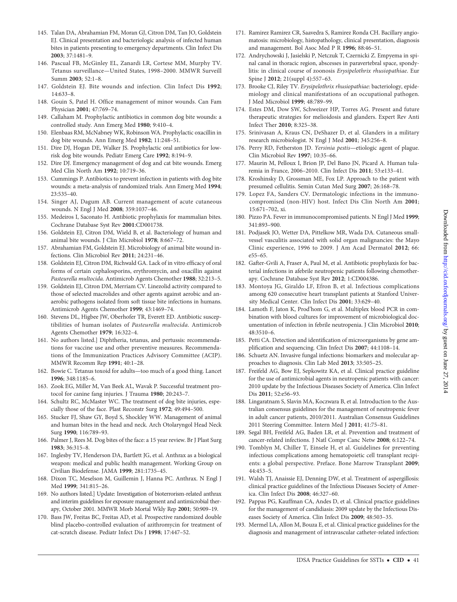- <span id="page-40-0"></span>145. Talan DA, Abrahamian FM, Moran GJ, Citron DM, Tan JO, Goldstein EJ. Clinical presentation and bacteriologic analysis of infected human bites in patients presenting to emergency departments. Clin Infect Dis 146. Pascual FB, McGinley EL, Zanardi LR, Cortese MM, Murphy TV. Tetanus surveillance—United States, 1998–2000. MMWR Surveill
- 147. Goldstein EJ. Bite wounds and infection. Clin Infect Dis 1992; 14:633–8.

2003; 37:1481–9.

Summ 2003; 52:1–8.

- 148. Gouin S, Patel H. Office management of minor wounds. Can Fam Physician 2001; 47:769–74.
- 149. Callaham M. Prophylactic antibiotics in common dog bite wounds: a controlled study. Ann Emerg Med 1980; 9:410–4.
- 150. Elenbaas RM, McNabney WK, Robinson WA. Prophylactic oxacillin in dog bite wounds. Ann Emerg Med 1982; 11:248–51.
- 151. Dire DJ, Hogan DE, Walker JS. Prophylactic oral antibiotics for lowrisk dog bite wounds. Pediatr Emerg Care 1992; 8:194–9.
- 152. Dire DJ. Emergency management of dog and cat bite wounds. Emerg Med Clin North Am 1992; 10:719–36.
- 153. Cummings P. Antibiotics to prevent infection in patients with dog bite wounds: a meta-analysis of randomized trials. Ann Emerg Med 1994; 23:535–40.
- 154. Singer AJ, Dagum AB. Current management of acute cutaneous wounds. N Engl J Med 2008; 359:1037–46.
- 155. Medeiros I, Saconato H. Antibiotic prophylaxis for mammalian bites. Cochrane Database Syst Rev 2001:CD001738.
- 156. Goldstein EJ, Citron DM, Wield B, et al. Bacteriology of human and animal bite wounds. J Clin Microbiol 1978; 8:667–72.
- 157. Abrahamian FM, Goldstein EJ. Microbiology of animal bite wound infections. Clin Microbiol Rev 2011; 24:231–46.
- 158. Goldstein EJ, Citron DM, Richwald GA. Lack of in vitro efficacy of oral forms of certain cephalosporins, erythromycin, and oxacillin against Pasteurella multocida. Antimicrob Agents Chemother 1988; 32:213–5.
- 159. Goldstein EJ, Citron DM, Merriam CV. Linezolid activity compared to those of selected macrolides and other agents against aerobic and anaerobic pathogens isolated from soft tissue bite infections in humans. Antimicrob Agents Chemother 1999; 43:1469–74.
- 160. Stevens DL, Higbee JW, Oberhofer TR, Everett ED. Antibiotic susceptibilities of human isolates of Pasteurella multocida. Antimicrob Agents Chemother 1979; 16:322–4.
- 161. No authors listed.] Diphtheria, tetanus, and pertussis: recommendations for vaccine use and other preventive measures. Recommendations of the Immunization Practices Advisory Committee (ACIP). MMWR Recomm Rep 1991; 40:1–28.
- 162. Bowie C. Tetanus toxoid for adults—too much of a good thing. Lancet 1996; 348:1185–6.
- 163. Zook EG, Miller M, Van Beek AL, Wavak P. Successful treatment protocol for canine fang injuries. J Trauma 1980; 20:243–7.
- 164. Schultz RC, McMaster WC. The treatment of dog bite injuries, especially those of the face. Plast Reconstr Surg 1972; 49:494–500.
- 165. Stucker FJ, Shaw GY, Boyd S, Shockley WW. Management of animal and human bites in the head and neck. Arch Otolaryngol Head Neck Surg 1990; 116:789–93.
- 166. Palmer J, Rees M. Dog bites of the face: a 15 year review. Br J Plast Surg 1983; 36:315–8.
- 167. Inglesby TV, Henderson DA, Bartlett JG, et al. Anthrax as a biological weapon: medical and public health management. Working Group on Civilian Biodefense. JAMA 1999; 281:1735–45.
- 168. Dixon TC, Meselson M, Guillemin J, Hanna PC. Anthrax. N Engl J Med 1999; 341:815–26.
- 169. No authors listed.] Update: Investigation of bioterrorism-related anthrax and interim guidelines for exposure management and antimicrobial therapy, October 2001. MMWR Morb Mortal Wkly Rep 2001; 50:909–19.
- 170. Bass JW, Freitas BC, Freitas AD, et al. Prospective randomized double blind placebo-controlled evaluation of azithromycin for treatment of cat-scratch disease. Pediatr Infect Dis J 1998; 17:447–52.
- 171. Ramirez Ramirez CR, Saavedra S, Ramirez Ronda CH. Bacillary angiomatosis: microbiology, histopathology, clinical presentation, diagnosis and management. Bol Asoc Med P R 1996; 88:46–51.
- 172. Andrychowski J, Jasielski P, Netczuk T, Czernicki Z. Empyema in spinal canal in thoracic region, abscesses in paravertebral space, spondylitis: in clinical course of zoonosis Erysipelothrix rhusiopathiae. Eur Spine J 2012; 21(suppl 4):557–63.
- 173. Brooke CJ, Riley TV. Erysipelothrix rhusiopathiae: bacteriology, epidemiology and clinical manifestations of an occupational pathogen. J Med Microbiol 1999; 48:789–99.
- 174. Estes DM, Dow SW, Schweizer HP, Torres AG. Present and future therapeutic strategies for melioidosis and glanders. Expert Rev Anti Infect Ther 2010; 8:325–38.
- 175. Srinivasan A, Kraus CN, DeShazer D, et al. Glanders in a military research microbiologist. N Engl J Med 2001; 345:256–8.
- 176. Perry RD, Fetherston JD. Yersinia pestis—etiologic agent of plague. Clin Microbiol Rev 1997; 10:35–66.
- 177. Maurin M, Pelloux I, Brion JP, Del Bano JN, Picard A. Human tularemia in France, 2006–2010. Clin Infect Dis 2011; 53:e133–41.
- 178. Kroshinsky D, Grossman ME, Fox LP. Approach to the patient with presumed cellulitis. Semin Cutan Med Surg 2007; 26:168–78.
- 179. Lopez FA, Sanders CV. Dermatologic infections in the immunocompromised (non-HIV) host. Infect Dis Clin North Am 2001; 15:671–702, xi.
- 180. Pizzo PA. Fever in immunocompromised patients. N Engl J Med 1999; 341:893–900.
- 181. Podjasek JO, Wetter DA, Pittelkow MR, Wada DA. Cutaneous smallvessel vasculitis associated with solid organ malignancies: the Mayo Clinic experience, 1996 to 2009. J Am Acad Dermatol 2012; 66: e55–65.
- 182. Gafter-Gvili A, Fraser A, Paul M, et al. Antibiotic prophylaxis for bacterial infections in afebrile neutropenic patients following chemotherapy. Cochrane Database Syst Rev 2012; 1:CD004386.
- 183. Montoya JG, Giraldo LF, Efron B, et al. Infectious complications among 620 consecutive heart transplant patients at Stanford University Medical Center. Clin Infect Dis 2001; 33:629–40.
- 184. Lamoth F, Jaton K, Prod'hom G, et al. Multiplex blood PCR in combination with blood cultures for improvement of microbiological documentation of infection in febrile neutropenia. J Clin Microbiol 2010; 48:3510–6.
- 185. Petti CA. Detection and identification of microorganisms by gene amplification and sequencing. Clin Infect Dis 2007; 44:1108–14.
- 186. Schuetz AN. Invasive fungal infections: biomarkers and molecular approaches to diagnosis. Clin Lab Med 2013; 33:505–25.
- 187. Freifeld AG, Bow EJ, Sepkowitz KA, et al. Clinical practice guideline for the use of antimicrobial agents in neutropenic patients with cancer: 2010 update by the Infectious Diseases Society of America. Clin Infect Dis 2011; 52:e56–93.
- 188. Lingaratnam S, Slavin MA, Koczwara B, et al. Introduction to the Australian consensus guidelines for the management of neutropenic fever in adult cancer patients, 2010/2011. Australian Consensus Guidelines 2011 Steering Committee. Intern Med J 2011; 41:75–81.
- 189. Segal BH, Freifeld AG, Baden LR, et al. Prevention and treatment of cancer-related infections. J Natl Compr Canc Netw 2008; 6:122–74.
- 190. Tomblyn M, Chiller T, Einsele H, et al. Guidelines for preventing infectious complications among hematopoietic cell transplant recipients: a global perspective. Preface. Bone Marrow Transplant 2009; 44:453–5.
- 191. Walsh TJ, Anaissie EJ, Denning DW, et al. Treatment of aspergillosis: clinical practice guidelines of the Infectious Diseases Society of America. Clin Infect Dis 2008; 46:327–60.
- 192. Pappas PG, Kauffman CA, Andes D, et al. Clinical practice guidelines for the management of candidiasis: 2009 update by the Infectious Diseases Society of America. Clin Infect Dis 2009; 48:503–35.
- 193. Mermel LA, Allon M, Bouza E, et al. Clinical practice guidelines for the diagnosis and management of intravascular catheter-related infection: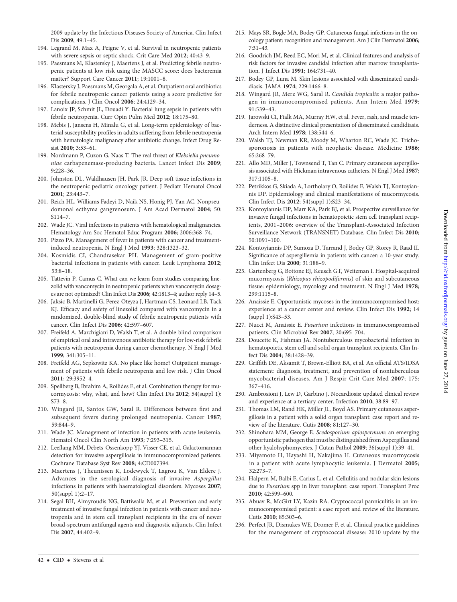- <span id="page-41-0"></span>194. Legrand M, Max A, Peigne V, et al. Survival in neutropenic patients with severe sepsis or septic shock. Crit Care Med 2012; 40:43–9.
- 195. Paesmans M, Klastersky J, Maertens J, et al. Predicting febrile neutropenic patients at low risk using the MASCC score: does bacteremia matter? Support Care Cancer 2011; 19:1001–8.
- 196. Klastersky J, Paesmans M, Georgala A, et al. Outpatient oral antibiotics for febrile neutropenic cancer patients using a score predictive for complications. J Clin Oncol 2006; 24:4129–34.
- 197. Lanoix JP, Schmit JL, Douadi Y. Bacterial lung sepsis in patients with febrile neutropenia. Curr Opin Pulm Med 2012; 18:175–80.
- 198. Mebis J, Jansens H, Minalu G, et al. Long-term epidemiology of bacterial susceptibility profiles in adults suffering from febrile neutropenia with hematologic malignancy after antibiotic change. Infect Drug Resist 2010; 3:53–61.
- 199. Nordmann P, Cuzon G, Naas T. The real threat of Klebsiella pneumoniae carbapenemase-producing bacteria. Lancet Infect Dis 2009; 9:228–36.
- 200. Johnston DL, Waldhausen JH, Park JR. Deep soft tissue infections in the neutropenic pediatric oncology patient. J Pediatr Hematol Oncol 2001; 23:443–7.
- 201. Reich HL, Williams Fadeyi D, Naik NS, Honig PJ, Yan AC. Nonpseudomonal ecthyma gangrenosum. J Am Acad Dermatol 2004; 50: S114–7.
- 202. Wade JC. Viral infections in patients with hematological malignancies. Hematology Am Soc Hematol Educ Program 2006; 2006:368–74.
- 203. Pizzo PA. Management of fever in patients with cancer and treatmentinduced neutropenia. N Engl J Med 1993; 328:1323–32.
- 204. Kosmidis CI, Chandrasekar PH. Management of gram-positive bacterial infections in patients with cancer. Leuk Lymphoma 2012; 53:8–18.
- 205. Tattevin P, Camus C. What can we learn from studies comparing linezolid with vancomycin in neutropenic patients when vancomycin dosages are not optimized? Clin Infect Dis 2006; 42:1813–4; author reply 14–5.
- 206. Jaksic B, Martinelli G, Perez-Oteyza J, Hartman CS, Leonard LB, Tack KJ. Efficacy and safety of linezolid compared with vancomycin in a randomized, double-blind study of febrile neutropenic patients with cancer. Clin Infect Dis 2006; 42:597–607.
- 207. Freifeld A, Marchigiani D, Walsh T, et al. A double-blind comparison of empirical oral and intravenous antibiotic therapy for low-risk febrile patients with neutropenia during cancer chemotherapy. N Engl J Med 1999; 341:305–11.
- 208. Freifeld AG, Sepkowitz KA. No place like home? Outpatient management of patients with febrile neutropenia and low risk. J Clin Oncol 2011; 29:3952–4.
- 209. Spellberg B, Ibrahim A, Roilides E, et al. Combination therapy for mucormycosis: why, what, and how? Clin Infect Dis 2012; 54(suppl 1): S73–8.
- 210. Wingard JR, Santos GW, Saral R. Differences between first and subsequent fevers during prolonged neutropenia. Cancer 1987; 59:844–9.
- 211. Wade JC. Management of infection in patients with acute leukemia. Hematol Oncol Clin North Am 1993; 7:293–315.
- 212. Leeflang MM, Debets-Ossenkopp YJ, Visser CE, et al. Galactomannan detection for invasive aspergillosis in immunocompromized patients. Cochrane Database Syst Rev 2008; 4:CD007394.
- 213. Maertens J, Theunissen K, Lodewyck T, Lagrou K, Van Eldere J. Advances in the serological diagnosis of invasive Aspergillus infections in patients with haematological disorders. Mycoses 2007; 50(suppl 1):2–17.
- 214. Segal BH, Almyroudis NG, Battiwalla M, et al. Prevention and early treatment of invasive fungal infection in patients with cancer and neutropenia and in stem cell transplant recipients in the era of newer broad-spectrum antifungal agents and diagnostic adjuncts. Clin Infect Dis 2007; 44:402–9.
- 215. Mays SR, Bogle MA, Bodey GP. Cutaneous fungal infections in the oncology patient: recognition and management. Am J Clin Dermatol 2006; 7:31–43.
- 216. Goodrich JM, Reed EC, Mori M, et al. Clinical features and analysis of risk factors for invasive candidal infection after marrow transplantation. J Infect Dis 1991; 164:731–40.
- 217. Bodey GP, Luna M. Skin lesions associated with disseminated candidiasis. JAMA 1974; 229:1466–8.
- 218. Wingard JR, Merz WG, Saral R. Candida tropicalis: a major pathogen in immunocompromised patients. Ann Intern Med 1979; 91:539–43.
- 219. Jarowski CI, Fialk MA, Murray HW, et al. Fever, rash, and muscle tenderness. A distinctive clinical presentation of disseminated candidiasis. Arch Intern Med 1978; 138:544–6.
- 220. Walsh TJ, Newman KR, Moody M, Wharton RC, Wade JC. Trichosporonosis in patients with neoplastic disease. Medicine 1986; 65:268–79.
- 221. Allo MD, Miller J, Townsend T, Tan C. Primary cutaneous aspergillosis associated with Hickman intravenous catheters. N Engl J Med 1987; 317:1105–8.
- 222. Petrikkos G, Skiada A, Lortholary O, Roilides E, Walsh TJ, Kontoyiannis DP. Epidemiology and clinical manifestations of mucormycosis. Clin Infect Dis 2012; 54(suppl 1):S23–34.
- 223. Kontoyiannis DP, Marr KA, Park BJ, et al. Prospective surveillance for invasive fungal infections in hematopoietic stem cell transplant recipients, 2001–2006: overview of the Transplant-Associated Infection Surveillance Network (TRANSNET) Database. Clin Infect Dis 2010; 50:1091–100.
- 224. Kontoyiannis DP, Sumoza D, Tarrand J, Bodey GP, Storey R, Raad II. Significance of aspergillemia in patients with cancer: a 10-year study. Clin Infect Dis 2000; 31:188–9.
- 225. Gartenberg G, Bottone EJ, Keusch GT, Weitzman I. Hospital-acquired mucormycosis (Rhizopus rhizopodiformis) of skin and subcutaneous tissue: epidemiology, mycology and treatment. N Engl J Med 1978; 299:1115–8.
- 226. Anaissie E. Opportunistic mycoses in the immunocompromised host: experience at a cancer center and review. Clin Infect Dis 1992; 14 (suppl 1):S43–53.
- 227. Nucci M, Anaissie E. Fusarium infections in immunocompromised patients. Clin Microbiol Rev 2007; 20:695–704.
- 228. Doucette K, Fishman JA. Nontuberculous mycobacterial infection in hematopoietic stem cell and solid organ transplant recipients. Clin Infect Dis 2004; 38:1428–39.
- 229. Griffith DE, Aksamit T, Brown-Elliott BA, et al. An official ATS/IDSA statement: diagnosis, treatment, and prevention of nontuberculous mycobacterial diseases. Am J Respir Crit Care Med 2007; 175: 367–416.
- 230. Ambrosioni J, Lew D, Garbino J. Nocardiosis: updated clinical review and experience at a tertiary center. Infection 2010; 38:89–97.
- 231. Thomas LM, Rand HK, Miller JL, Boyd AS. Primary cutaneous aspergillosis in a patient with a solid organ transplant: case report and review of the literature. Cutis 2008; 81:127–30.
- 232. Shinohara MM, George E. Scedosporium apiospermum: an emerging opportunistic pathogen that must be distinguished from Aspergillus and other hyalohyphomycetes. J Cutan Pathol 2009; 36(suppl 1):39–41.
- 233. Miyamoto H, Hayashi H, Nakajima H. Cutaneous mucormycosis in a patient with acute lymphocytic leukemia. J Dermatol 2005; 32:273–7.
- 234. Halpern M, Balbi E, Carius L, et al. Cellulitis and nodular skin lesions due to Fusarium spp in liver transplant: case report. Transplant Proc 2010; 42:599–600.
- 235. Abuav R, McGirt LY, Kazin RA. Cryptococcal panniculitis in an immunocompromised patient: a case report and review of the literature. Cutis 2010; 85:303–6.
- 236. Perfect JR, Dismukes WE, Dromer F, et al. Clinical practice guidelines for the management of cryptococcal disease: 2010 update by the